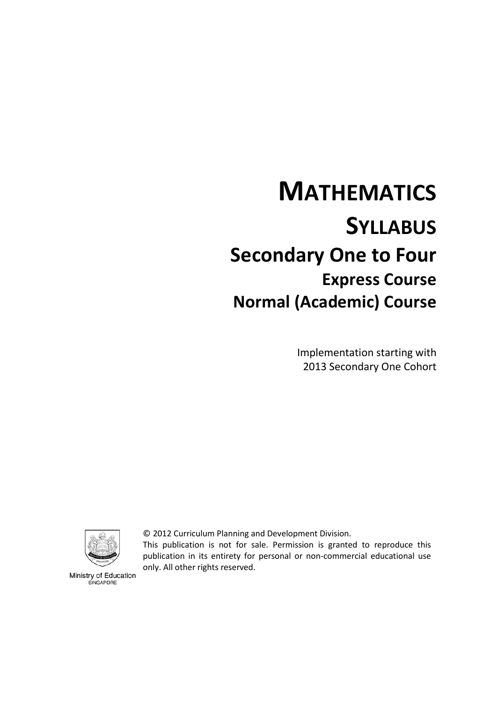# **MATHEMATICS SYLLABUS Secondary One to Four Express Course Normal (Academic) Course**

Implementation starting with 2013 Secondary One Cohort



© 2012 Curriculum Planning and Development Division.

This publication is not for sale. Permission is granted to reproduce this publication in its entirety for personal or non-commercial educational use only. All other rights reserved.

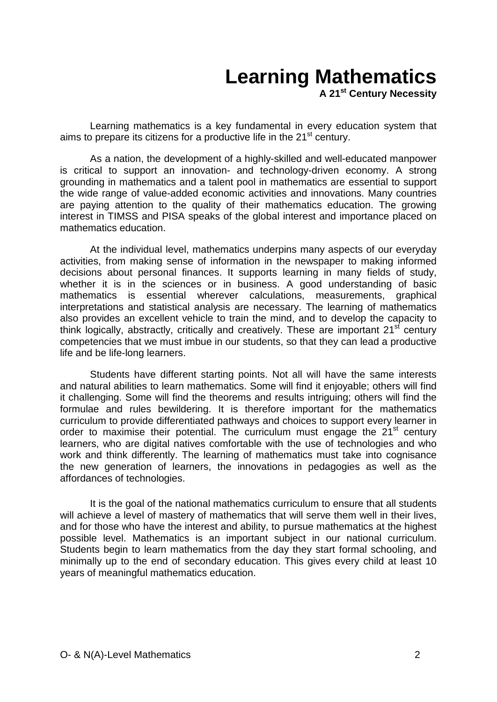# **Learning Mathematics**

**A 21st Century Necessity**

Learning mathematics is a key fundamental in every education system that aims to prepare its citizens for a productive life in the  $21<sup>st</sup>$  century.

As a nation, the development of a highly-skilled and well-educated manpower is critical to support an innovation- and technology-driven economy. A strong grounding in mathematics and a talent pool in mathematics are essential to support the wide range of value-added economic activities and innovations. Many countries are paying attention to the quality of their mathematics education. The growing interest in TIMSS and PISA speaks of the global interest and importance placed on mathematics education.

At the individual level, mathematics underpins many aspects of our everyday activities, from making sense of information in the newspaper to making informed decisions about personal finances. It supports learning in many fields of study, whether it is in the sciences or in business. A good understanding of basic mathematics is essential wherever calculations, measurements, graphical interpretations and statistical analysis are necessary. The learning of mathematics also provides an excellent vehicle to train the mind, and to develop the capacity to think logically, abstractly, critically and creatively. These are important  $21<sup>st</sup>$  century competencies that we must imbue in our students, so that they can lead a productive life and be life-long learners.

Students have different starting points. Not all will have the same interests and natural abilities to learn mathematics. Some will find it enjoyable; others will find it challenging. Some will find the theorems and results intriguing; others will find the formulae and rules bewildering. It is therefore important for the mathematics curriculum to provide differentiated pathways and choices to support every learner in order to maximise their potential. The curriculum must engage the  $21<sup>st</sup>$  century learners, who are digital natives comfortable with the use of technologies and who work and think differently. The learning of mathematics must take into cognisance the new generation of learners, the innovations in pedagogies as well as the affordances of technologies.

<span id="page-1-0"></span>It is the goal of the national mathematics curriculum to ensure that all students will achieve a level of mastery of mathematics that will serve them well in their lives, and for those who have the interest and ability, to pursue mathematics at the highest possible level. Mathematics is an important subject in our national curriculum. Students begin to learn mathematics from the day they start formal schooling, and minimally up to the end of secondary education. This gives every child at least 10 years of meaningful mathematics education.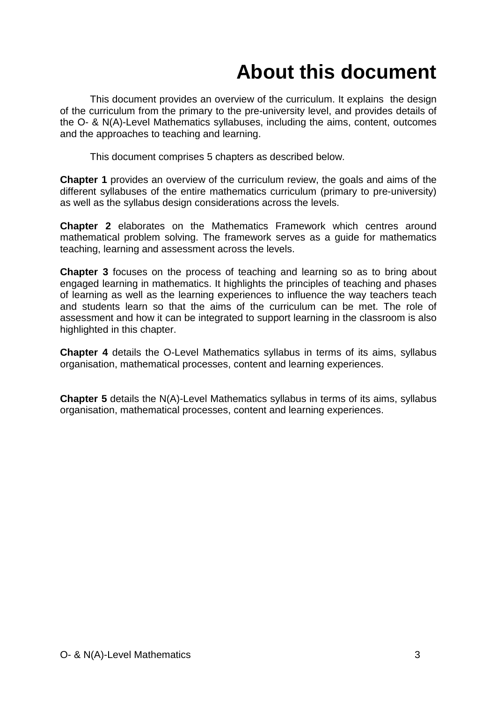# **About this document**

This document provides an overview of the curriculum. It explains the design of the curriculum from the primary to the pre-university level, and provides details of the O- & N(A)-Level Mathematics syllabuses, including the aims, content, outcomes and the approaches to teaching and learning.

This document comprises 5 chapters as described below.

**Chapter 1** provides an overview of the curriculum review, the goals and aims of the different syllabuses of the entire mathematics curriculum (primary to pre-university) as well as the syllabus design considerations across the levels.

**Chapter 2** elaborates on the Mathematics Framework which centres around mathematical problem solving. The framework serves as a guide for mathematics teaching, learning and assessment across the levels.

**Chapter 3** focuses on the process of teaching and learning so as to bring about engaged learning in mathematics. It highlights the principles of teaching and phases of learning as well as the learning experiences to influence the way teachers teach and students learn so that the aims of the curriculum can be met. The role of assessment and how it can be integrated to support learning in the classroom is also highlighted in this chapter.

**Chapter 4** details the O-Level Mathematics syllabus in terms of its aims, syllabus organisation, mathematical processes, content and learning experiences.

**Chapter 5** details the N(A)-Level Mathematics syllabus in terms of its aims, syllabus organisation, mathematical processes, content and learning experiences.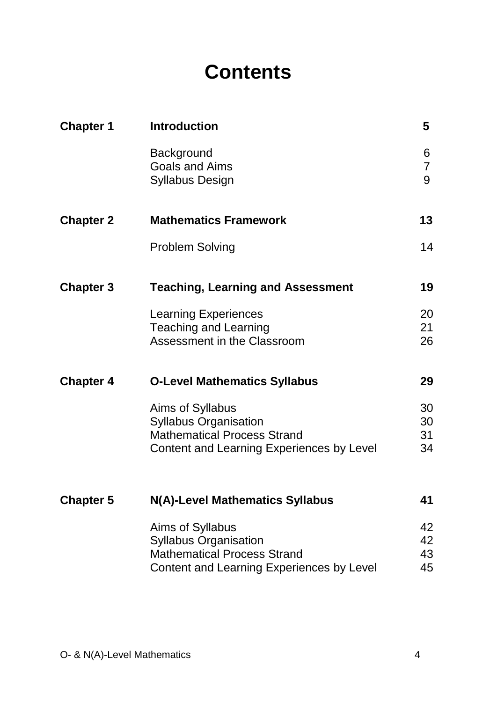## **Contents**

| <b>Chapter 1</b> | <b>Introduction</b>                                                  | 5           |
|------------------|----------------------------------------------------------------------|-------------|
|                  | <b>Background</b><br><b>Goals and Aims</b><br><b>Syllabus Design</b> | 6<br>7<br>9 |
| <b>Chapter 2</b> | <b>Mathematics Framework</b>                                         | 13          |
|                  | <b>Problem Solving</b>                                               | 14          |
| <b>Chapter 3</b> | <b>Teaching, Learning and Assessment</b>                             | 19          |
|                  | <b>Learning Experiences</b>                                          | 20          |
|                  | <b>Teaching and Learning</b>                                         | 21          |
|                  | Assessment in the Classroom                                          | 26          |
| <b>Chapter 4</b> | <b>O-Level Mathematics Syllabus</b>                                  | 29          |
|                  | Aims of Syllabus                                                     | 30          |
|                  | <b>Syllabus Organisation</b>                                         | 30          |
|                  | <b>Mathematical Process Strand</b>                                   | 31<br>34    |
|                  | Content and Learning Experiences by Level                            |             |
| <b>Chapter 5</b> | N(A)-Level Mathematics Syllabus                                      | 41          |
|                  | Aims of Syllabus                                                     | 42          |
|                  | <b>Syllabus Organisation</b>                                         | 42          |
|                  | <b>Mathematical Process Strand</b>                                   | 43<br>45    |
|                  | Content and Learning Experiences by Level                            |             |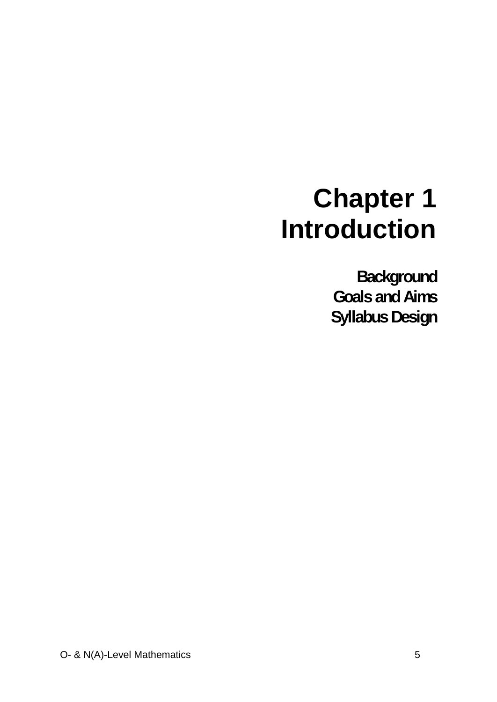# **Chapter 1 Introduction**

**Background Goals and Aims Syllabus Design**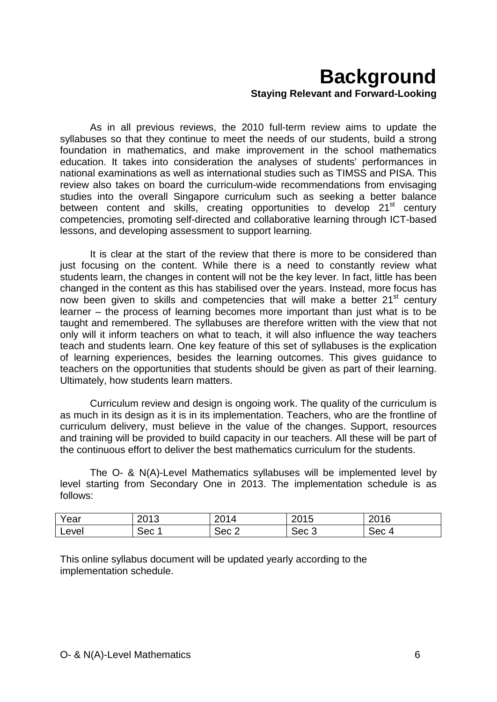## **Background Staying Relevant and Forward-Looking**

As in all previous reviews, the 2010 full-term review aims to update the syllabuses so that they continue to meet the needs of our students, build a strong foundation in mathematics, and make improvement in the school mathematics education. It takes into consideration the analyses of students' performances in national examinations as well as international studies such as TIMSS and PISA. This review also takes on board the curriculum-wide recommendations from envisaging studies into the overall Singapore curriculum such as seeking a better balance between content and skills, creating opportunities to develop 21<sup>st</sup> century competencies, promoting self-directed and collaborative learning through ICT-based lessons, and developing assessment to support learning.

It is clear at the start of the review that there is more to be considered than just focusing on the content. While there is a need to constantly review what students learn, the changes in content will not be the key lever. In fact, little has been changed in the content as this has stabilised over the years. Instead, more focus has now been given to skills and competencies that will make a better 21<sup>st</sup> century learner – the process of learning becomes more important than just what is to be taught and remembered. The syllabuses are therefore written with the view that not only will it inform teachers on what to teach, it will also influence the way teachers teach and students learn. One key feature of this set of syllabuses is the explication of learning experiences, besides the learning outcomes. This gives guidance to teachers on the opportunities that students should be given as part of their learning. Ultimately, how students learn matters.

Curriculum review and design is ongoing work. The quality of the curriculum is as much in its design as it is in its implementation. Teachers, who are the frontline of curriculum delivery, must believe in the value of the changes. Support, resources and training will be provided to build capacity in our teachers. All these will be part of the continuous effort to deliver the best mathematics curriculum for the students.

The O- & N(A)-Level Mathematics syllabuses will be implemented level by level starting from Secondary One in 2013. The implementation schedule is as follows:

| Year  | ∩^י ∩<br>∠∪וט | 2014  | 2015  | 2016  |
|-------|---------------|-------|-------|-------|
| Level | Sec.          | Sec 2 | Sec 3 | Sec 4 |

This online syllabus document will be updated yearly according to the implementation schedule.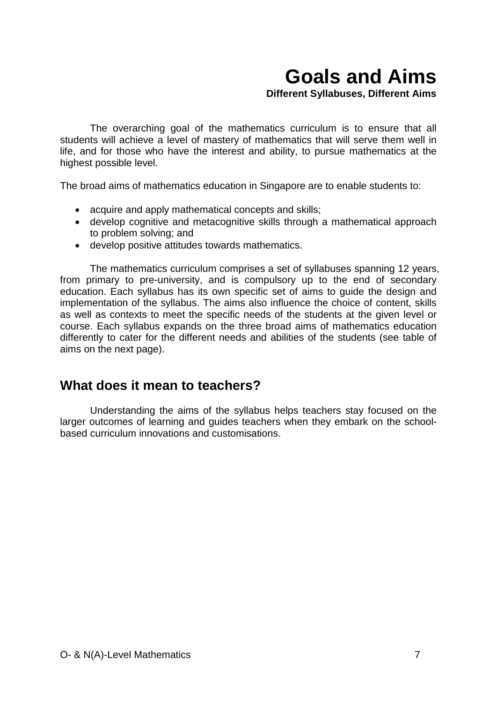## **Goals and Aims**

**Different Syllabuses, Different Aims**

The overarching goal of the mathematics curriculum is to ensure that all students will achieve a level of mastery of mathematics that will serve them well in life, and for those who have the interest and ability, to pursue mathematics at the highest possible level.

The broad aims of mathematics education in Singapore are to enable students to:

- acquire and apply mathematical concepts and skills;
- develop cognitive and metacognitive skills through a mathematical approach to problem solving; and
- develop positive attitudes towards mathematics.

The mathematics curriculum comprises a set of syllabuses spanning 12 years, from primary to pre-university, and is compulsory up to the end of secondary education. Each syllabus has its own specific set of aims to guide the design and implementation of the syllabus. The aims also influence the choice of content, skills as well as contexts to meet the specific needs of the students at the given level or course. Each syllabus expands on the three broad aims of mathematics education differently to cater for the different needs and abilities of the students (see table of aims on the next page).

### **What does it mean to teachers?**

Understanding the aims of the syllabus helps teachers stay focused on the larger outcomes of learning and guides teachers when they embark on the schoolbased curriculum innovations and customisations.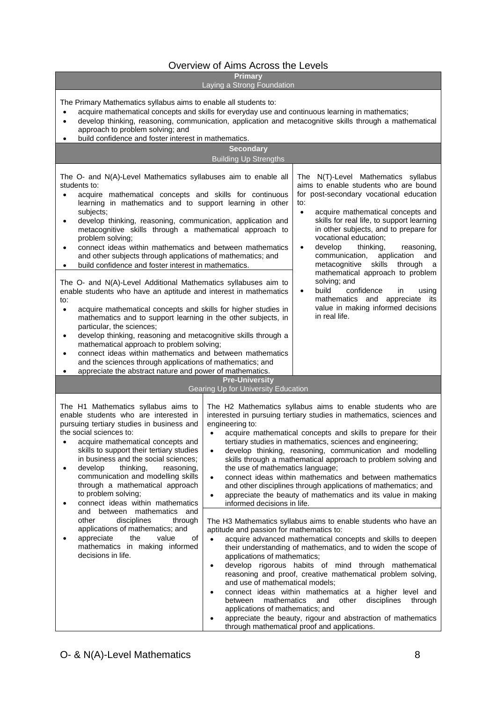#### Overview of Aims Across the Levels

#### **Primary**

#### Laying a Strong Foundation

The Primary Mathematics syllabus aims to enable all students to:

- acquire mathematical concepts and skills for everyday use and continuous learning in mathematics;
- develop thinking, reasoning, communication, application and metacognitive skills through a mathematical approach to problem solving; and
- 

| build confidence and foster interest in mathematics.                                                                                                                                                                                                                                                                                                                                                                                                                                                                                                                                                                                                                                                                                                                                                                                                                                                                                                                                                                                                                                                                                                                                                                                  |                                                                                                                                                                                                                                 |                                                                                                                                                                                                                                                                                                                                                                                                                                                                                                                                                                                                                                                                                                                                                                                                  |
|---------------------------------------------------------------------------------------------------------------------------------------------------------------------------------------------------------------------------------------------------------------------------------------------------------------------------------------------------------------------------------------------------------------------------------------------------------------------------------------------------------------------------------------------------------------------------------------------------------------------------------------------------------------------------------------------------------------------------------------------------------------------------------------------------------------------------------------------------------------------------------------------------------------------------------------------------------------------------------------------------------------------------------------------------------------------------------------------------------------------------------------------------------------------------------------------------------------------------------------|---------------------------------------------------------------------------------------------------------------------------------------------------------------------------------------------------------------------------------|--------------------------------------------------------------------------------------------------------------------------------------------------------------------------------------------------------------------------------------------------------------------------------------------------------------------------------------------------------------------------------------------------------------------------------------------------------------------------------------------------------------------------------------------------------------------------------------------------------------------------------------------------------------------------------------------------------------------------------------------------------------------------------------------------|
|                                                                                                                                                                                                                                                                                                                                                                                                                                                                                                                                                                                                                                                                                                                                                                                                                                                                                                                                                                                                                                                                                                                                                                                                                                       | <b>Secondary</b><br><b>Building Up Strengths</b>                                                                                                                                                                                |                                                                                                                                                                                                                                                                                                                                                                                                                                                                                                                                                                                                                                                                                                                                                                                                  |
| The O- and N(A)-Level Mathematics syllabuses aim to enable all<br>students to:<br>acquire mathematical concepts and skills for continuous<br>$\bullet$<br>learning in mathematics and to support learning in other<br>subjects;<br>develop thinking, reasoning, communication, application and<br>$\bullet$<br>metacognitive skills through a mathematical approach to<br>problem solving;<br>connect ideas within mathematics and between mathematics<br>$\bullet$<br>and other subjects through applications of mathematics; and<br>build confidence and foster interest in mathematics.<br>The O- and N(A)-Level Additional Mathematics syllabuses aim to<br>enable students who have an aptitude and interest in mathematics<br>to:<br>acquire mathematical concepts and skills for higher studies in<br>$\bullet$<br>mathematics and to support learning in the other subjects, in<br>particular, the sciences;<br>develop thinking, reasoning and metacognitive skills through a<br>$\bullet$<br>mathematical approach to problem solving;<br>connect ideas within mathematics and between mathematics<br>and the sciences through applications of mathematics; and<br>appreciate the abstract nature and power of mathematics. |                                                                                                                                                                                                                                 | The N(T)-Level Mathematics syllabus<br>aims to enable students who are bound<br>for post-secondary vocational education<br>acquire mathematical concepts and<br>skills for real life, to support learning<br>in other subjects, and to prepare for<br>vocational education;<br>develop<br>thinking,<br>reasoning,<br>communication,<br>application<br>and<br>metacognitive skills<br>through<br>a<br>mathematical approach to problem<br>solving; and<br>build<br>confidence<br>using<br>ın<br>mathematics and appreciate<br>its<br>value in making informed decisions<br>in real life.                                                                                                                                                                                                          |
|                                                                                                                                                                                                                                                                                                                                                                                                                                                                                                                                                                                                                                                                                                                                                                                                                                                                                                                                                                                                                                                                                                                                                                                                                                       | <b>Pre-University</b><br><b>Gearing Up for University Education</b>                                                                                                                                                             |                                                                                                                                                                                                                                                                                                                                                                                                                                                                                                                                                                                                                                                                                                                                                                                                  |
| The H1 Mathematics syllabus aims to<br>enable students who are interested in<br>pursuing tertiary studies in business and<br>the social sciences to:<br>acquire mathematical concepts and<br>$\bullet$<br>skills to support their tertiary studies<br>in business and the social sciences;<br>develop<br>thinking,<br>reasoning,<br>$\bullet$<br>communication and modelling skills<br>through a mathematical approach<br>to problem solving;<br>connect ideas within mathematics<br>mathematics<br>and<br>between<br>and<br>disciplines<br>through<br>other<br>applications of mathematics; and<br>appreciate<br>the<br>value<br>of<br>mathematics in making informed<br>decisions in life.                                                                                                                                                                                                                                                                                                                                                                                                                                                                                                                                          | engineering to:<br>$\bullet$<br>$\bullet$<br>the use of mathematics language;<br>$\bullet$<br>$\bullet$<br>informed decisions in life.<br>aptitude and passion for mathematics to:<br>$\bullet$<br>applications of mathematics; | The H2 Mathematics syllabus aims to enable students who are<br>interested in pursuing tertiary studies in mathematics, sciences and<br>acquire mathematical concepts and skills to prepare for their<br>tertiary studies in mathematics, sciences and engineering;<br>develop thinking, reasoning, communication and modelling<br>skills through a mathematical approach to problem solving and<br>connect ideas within mathematics and between mathematics<br>and other disciplines through applications of mathematics; and<br>appreciate the beauty of mathematics and its value in making<br>The H3 Mathematics syllabus aims to enable students who have an<br>acquire advanced mathematical concepts and skills to deepen<br>their understanding of mathematics, and to widen the scope of |
|                                                                                                                                                                                                                                                                                                                                                                                                                                                                                                                                                                                                                                                                                                                                                                                                                                                                                                                                                                                                                                                                                                                                                                                                                                       | ٠<br>and use of mathematical models;<br>mathematics<br>between<br>applications of mathematics; and<br>through mathematical proof and applications.                                                                              | develop rigorous habits of mind through mathematical<br>reasoning and proof, creative mathematical problem solving,<br>connect ideas within mathematics at a higher level and<br>and<br>other<br>disciplines<br>through<br>appreciate the beauty, rigour and abstraction of mathematics                                                                                                                                                                                                                                                                                                                                                                                                                                                                                                          |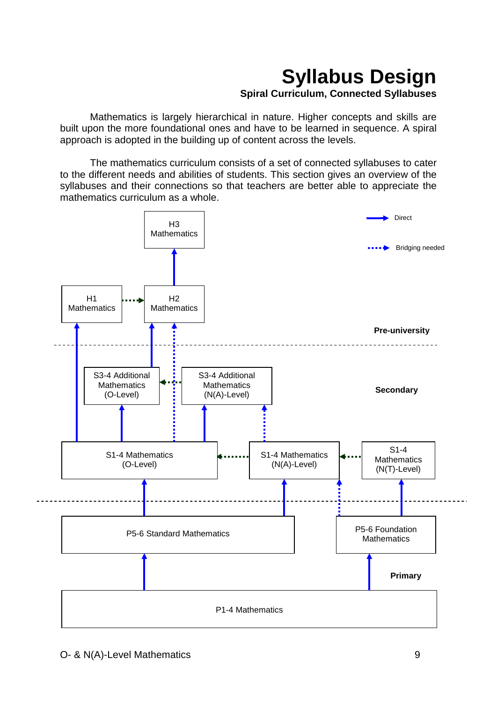## **Syllabus Design Spiral Curriculum, Connected Syllabuses**

Mathematics is largely hierarchical in nature. Higher concepts and skills are built upon the more foundational ones and have to be learned in sequence. A spiral approach is adopted in the building up of content across the levels.

The mathematics curriculum consists of a set of connected syllabuses to cater to the different needs and abilities of students. This section gives an overview of the syllabuses and their connections so that teachers are better able to appreciate the mathematics curriculum as a whole.

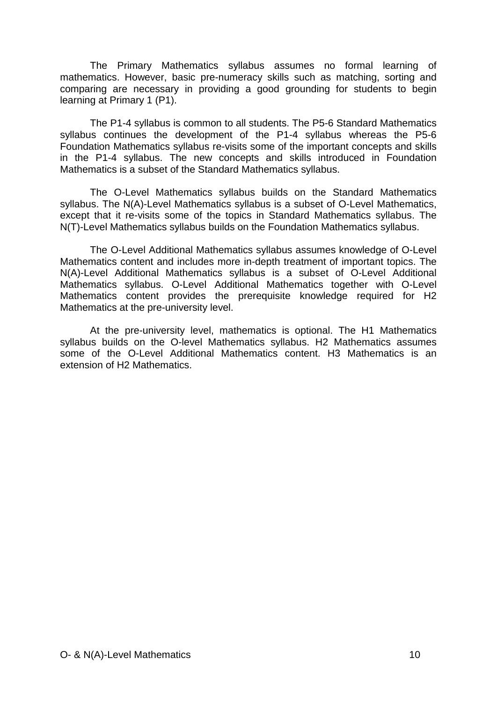The Primary Mathematics syllabus assumes no formal learning of mathematics. However, basic pre-numeracy skills such as matching, sorting and comparing are necessary in providing a good grounding for students to begin learning at Primary 1 (P1).

The P1-4 syllabus is common to all students. The P5-6 Standard Mathematics syllabus continues the development of the P1-4 syllabus whereas the P5-6 Foundation Mathematics syllabus re-visits some of the important concepts and skills in the P1-4 syllabus. The new concepts and skills introduced in Foundation Mathematics is a subset of the Standard Mathematics syllabus.

The O-Level Mathematics syllabus builds on the Standard Mathematics syllabus. The N(A)-Level Mathematics syllabus is a subset of O-Level Mathematics, except that it re-visits some of the topics in Standard Mathematics syllabus. The N(T)-Level Mathematics syllabus builds on the Foundation Mathematics syllabus.

The O-Level Additional Mathematics syllabus assumes knowledge of O-Level Mathematics content and includes more in-depth treatment of important topics. The N(A)-Level Additional Mathematics syllabus is a subset of O-Level Additional Mathematics syllabus. O-Level Additional Mathematics together with O-Level Mathematics content provides the prerequisite knowledge required for H2 Mathematics at the pre-university level.

At the pre-university level, mathematics is optional. The H1 Mathematics syllabus builds on the O-level Mathematics syllabus. H2 Mathematics assumes some of the O-Level Additional Mathematics content. H3 Mathematics is an extension of H2 Mathematics.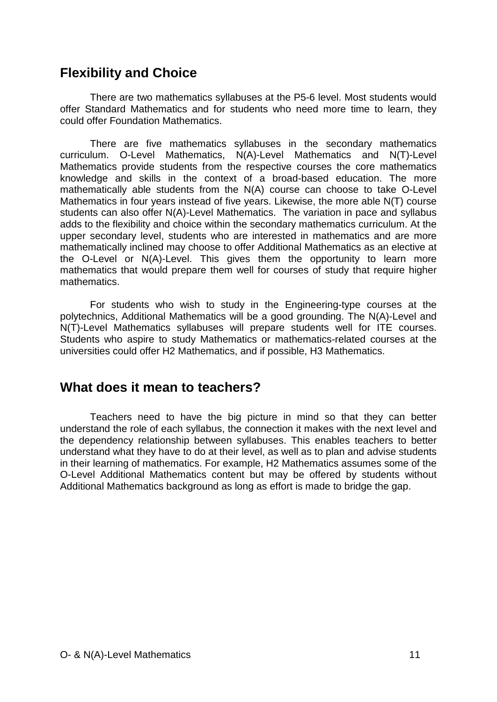### **Flexibility and Choice**

There are two mathematics syllabuses at the P5-6 level. Most students would offer Standard Mathematics and for students who need more time to learn, they could offer Foundation Mathematics.

There are five mathematics syllabuses in the secondary mathematics curriculum. O-Level Mathematics, N(A)-Level Mathematics and N(T)-Level Mathematics provide students from the respective courses the core mathematics knowledge and skills in the context of a broad-based education. The more mathematically able students from the N(A) course can choose to take O-Level Mathematics in four years instead of five years. Likewise, the more able N(T) course students can also offer N(A)-Level Mathematics. The variation in pace and syllabus adds to the flexibility and choice within the secondary mathematics curriculum. At the upper secondary level, students who are interested in mathematics and are more mathematically inclined may choose to offer Additional Mathematics as an elective at the O-Level or N(A)-Level. This gives them the opportunity to learn more mathematics that would prepare them well for courses of study that require higher mathematics.

For students who wish to study in the Engineering-type courses at the polytechnics, Additional Mathematics will be a good grounding. The N(A)-Level and N(T)-Level Mathematics syllabuses will prepare students well for ITE courses. Students who aspire to study Mathematics or mathematics-related courses at the universities could offer H2 Mathematics, and if possible, H3 Mathematics.

#### **What does it mean to teachers?**

Teachers need to have the big picture in mind so that they can better understand the role of each syllabus, the connection it makes with the next level and the dependency relationship between syllabuses. This enables teachers to better understand what they have to do at their level, as well as to plan and advise students in their learning of mathematics. For example, H2 Mathematics assumes some of the O-Level Additional Mathematics content but may be offered by students without Additional Mathematics background as long as effort is made to bridge the gap.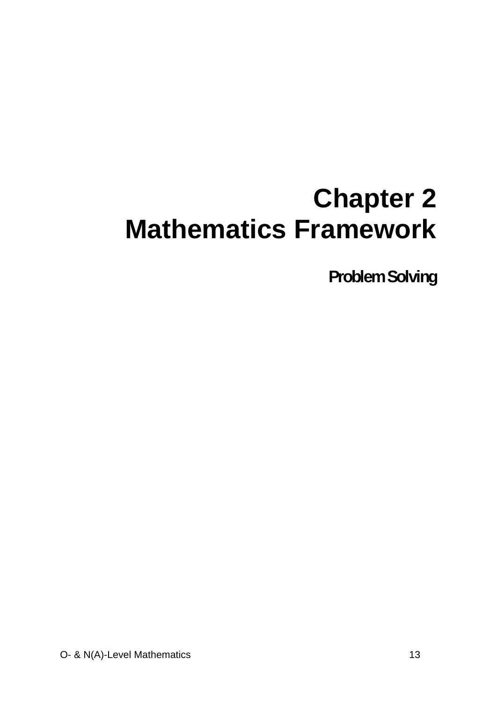# **Chapter 2 Mathematics Framework**

**Problem Solving**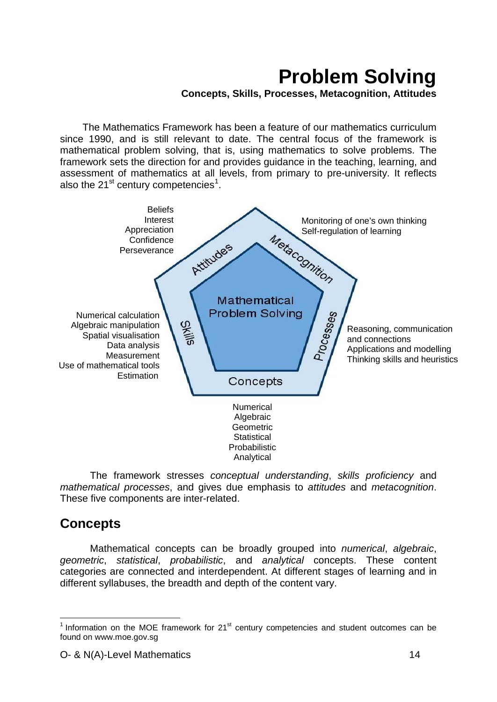# **Problem Solving**

**Concepts, Skills, Processes, Metacognition, Attitudes**

The Mathematics Framework has been a feature of our mathematics curriculum since 1990, and is still relevant to date. The central focus of the framework is mathematical problem solving, that is, using mathematics to solve problems. The framework sets the direction for and provides guidance in the teaching, learning, and assessment of mathematics at all levels, from primary to pre-university. It reflects also the 2[1](#page-1-0) $\mathrm{^{st}}$  century competencies<sup>1</sup>.



The framework stresses *conceptual understanding*, *skills proficiency* and *mathematical processes*, and gives due emphasis to *attitudes* and *metacognition*. These five components are inter-related.

### **Concepts**

Mathematical concepts can be broadly grouped into *numerical*, *algebraic*, *geometric*, *statistical*, *probabilistic*, and *analytical* concepts. These content categories are connected and interdependent. At different stages of learning and in different syllabuses, the breadth and depth of the content vary.

<span id="page-13-0"></span> $1$  Information on the MOE framework for 21 $<sup>st</sup>$  century competencies and student outcomes can be</sup> found on www.moe.gov.sg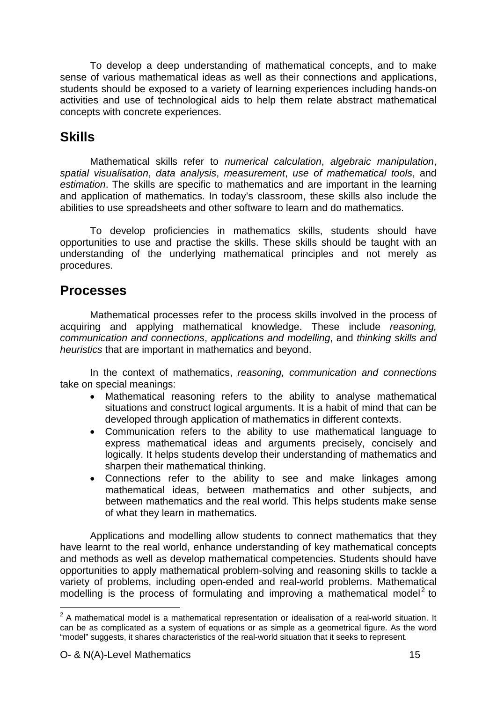To develop a deep understanding of mathematical concepts, and to make sense of various mathematical ideas as well as their connections and applications, students should be exposed to a variety of learning experiences including hands-on activities and use of technological aids to help them relate abstract mathematical concepts with concrete experiences.

### **Skills**

Mathematical skills refer to *numerical calculation*, *algebraic manipulation*, *spatial visualisation*, *data analysis*, *measurement*, *use of mathematical tools*, and *estimation*. The skills are specific to mathematics and are important in the learning and application of mathematics. In today's classroom, these skills also include the abilities to use spreadsheets and other software to learn and do mathematics.

To develop proficiencies in mathematics skills, students should have opportunities to use and practise the skills. These skills should be taught with an understanding of the underlying mathematical principles and not merely as procedures.

### **Processes**

Mathematical processes refer to the process skills involved in the process of acquiring and applying mathematical knowledge. These include *reasoning, communication and connections*, *applications and modelling*, and *thinking skills and heuristics* that are important in mathematics and beyond.

In the context of mathematics, *reasoning, communication and connections* take on special meanings:

- Mathematical reasoning refers to the ability to analyse mathematical situations and construct logical arguments. It is a habit of mind that can be developed through application of mathematics in different contexts.
- Communication refers to the ability to use mathematical language to express mathematical ideas and arguments precisely, concisely and logically. It helps students develop their understanding of mathematics and sharpen their mathematical thinking.
- Connections refer to the ability to see and make linkages among mathematical ideas, between mathematics and other subjects, and between mathematics and the real world. This helps students make sense of what they learn in mathematics.

Applications and modelling allow students to connect mathematics that they have learnt to the real world, enhance understanding of key mathematical concepts and methods as well as develop mathematical competencies. Students should have opportunities to apply mathematical problem-solving and reasoning skills to tackle a variety of problems, including open-ended and real-world problems. Mathematical modelling is the process of formulating and improving a mathematical model<sup>[2](#page-13-0)</sup> to

<span id="page-14-0"></span> $2$  A mathematical model is a mathematical representation or idealisation of a real-world situation. It can be as complicated as a system of equations or as simple as a geometrical figure. As the word "model" suggests, it shares characteristics of the real-world situation that it seeks to represent.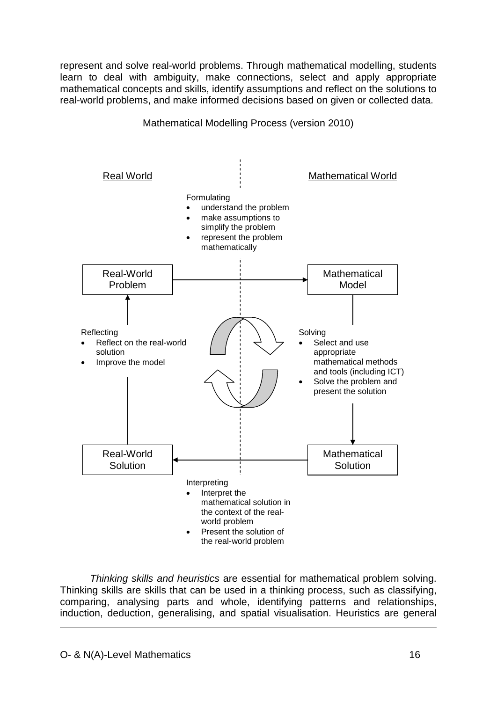represent and solve real-world problems. Through mathematical modelling, students learn to deal with ambiguity, make connections, select and apply appropriate mathematical concepts and skills, identify assumptions and reflect on the solutions to real-world problems, and make informed decisions based on given or collected data.



Mathematical Modelling Process (version 2010)

*Thinking skills and heuristics* are essential for mathematical problem solving. Thinking skills are skills that can be used in a thinking process, such as classifying, comparing, analysing parts and whole, identifying patterns and relationships, induction, deduction, generalising, and spatial visualisation. Heuristics are general

-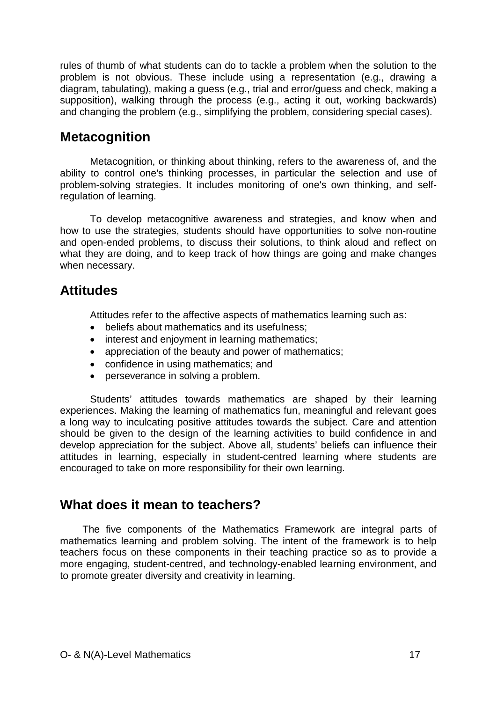rules of thumb of what students can do to tackle a problem when the solution to the problem is not obvious. These include using a representation (e.g., drawing a diagram, tabulating), making a guess (e.g., trial and error/guess and check, making a supposition), walking through the process (e.g., acting it out, working backwards) and changing the problem (e.g., simplifying the problem, considering special cases).

### **Metacognition**

Metacognition, or thinking about thinking, refers to the awareness of, and the ability to control one's thinking processes, in particular the selection and use of problem-solving strategies. It includes monitoring of one's own thinking, and selfregulation of learning.

To develop metacognitive awareness and strategies, and know when and how to use the strategies, students should have opportunities to solve non-routine and open-ended problems, to discuss their solutions, to think aloud and reflect on what they are doing, and to keep track of how things are going and make changes when necessary.

### **Attitudes**

Attitudes refer to the affective aspects of mathematics learning such as:

- beliefs about mathematics and its usefulness;
- interest and enjoyment in learning mathematics;
- appreciation of the beauty and power of mathematics;
- confidence in using mathematics; and
- perseverance in solving a problem.

Students' attitudes towards mathematics are shaped by their learning experiences. Making the learning of mathematics fun, meaningful and relevant goes a long way to inculcating positive attitudes towards the subject. Care and attention should be given to the design of the learning activities to build confidence in and develop appreciation for the subject. Above all, students' beliefs can influence their attitudes in learning, especially in student-centred learning where students are encouraged to take on more responsibility for their own learning.

### **What does it mean to teachers?**

The five components of the Mathematics Framework are integral parts of mathematics learning and problem solving. The intent of the framework is to help teachers focus on these components in their teaching practice so as to provide a more engaging, student-centred, and technology-enabled learning environment, and to promote greater diversity and creativity in learning.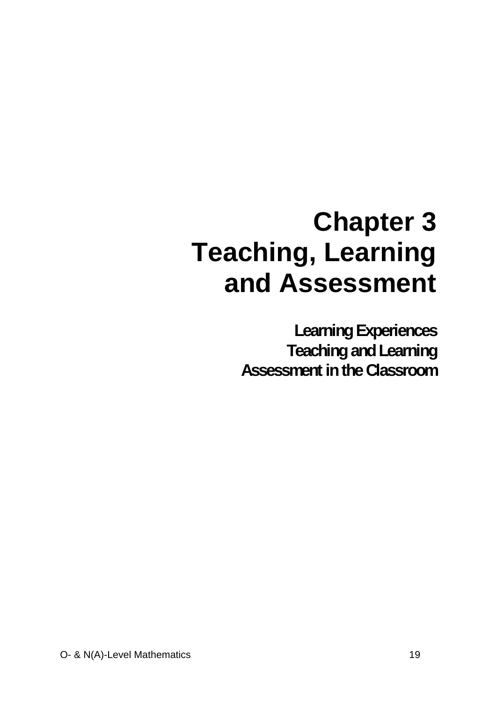# **Chapter 3 Teaching, Learning and Assessment**

**Learning Experiences Teaching and Learning Assessment in the Classroom**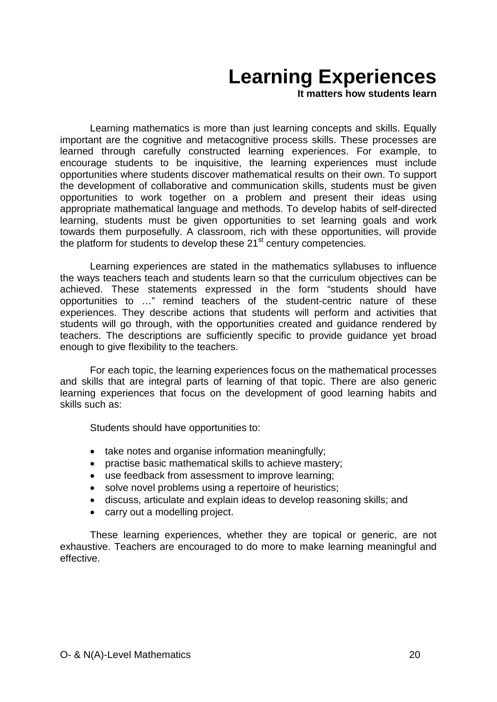# **Learning Experiences**

**It matters how students learn**

Learning mathematics is more than just learning concepts and skills. Equally important are the cognitive and metacognitive process skills. These processes are learned through carefully constructed learning experiences. For example, to encourage students to be inquisitive, the learning experiences must include opportunities where students discover mathematical results on their own. To support the development of collaborative and communication skills, students must be given opportunities to work together on a problem and present their ideas using appropriate mathematical language and methods. To develop habits of self-directed learning, students must be given opportunities to set learning goals and work towards them purposefully. A classroom, rich with these opportunities, will provide the platform for students to develop these 21<sup>st</sup> century competencies.

Learning experiences are stated in the mathematics syllabuses to influence the ways teachers teach and students learn so that the curriculum objectives can be achieved. These statements expressed in the form "students should have opportunities to …" remind teachers of the student-centric nature of these experiences. They describe actions that students will perform and activities that students will go through, with the opportunities created and guidance rendered by teachers. The descriptions are sufficiently specific to provide guidance yet broad enough to give flexibility to the teachers.

For each topic, the learning experiences focus on the mathematical processes and skills that are integral parts of learning of that topic. There are also generic learning experiences that focus on the development of good learning habits and skills such as:

Students should have opportunities to:

- take notes and organise information meaningfully;
- practise basic mathematical skills to achieve mastery;
- use feedback from assessment to improve learning;
- solve novel problems using a repertoire of heuristics;
- discuss, articulate and explain ideas to develop reasoning skills; and
- carry out a modelling project.

These learning experiences, whether they are topical or generic, are not exhaustive. Teachers are encouraged to do more to make learning meaningful and effective.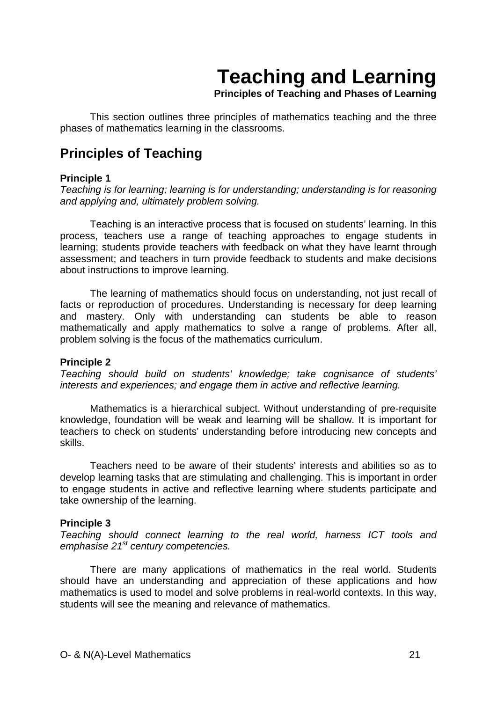# **Teaching and Learning**

**Principles of Teaching and Phases of Learning**

This section outlines three principles of mathematics teaching and the three phases of mathematics learning in the classrooms.

### **Principles of Teaching**

#### **Principle 1**

*Teaching is for learning; learning is for understanding; understanding is for reasoning and applying and, ultimately problem solving.*

Teaching is an interactive process that is focused on students' learning. In this process, teachers use a range of teaching approaches to engage students in learning; students provide teachers with feedback on what they have learnt through assessment; and teachers in turn provide feedback to students and make decisions about instructions to improve learning.

The learning of mathematics should focus on understanding, not just recall of facts or reproduction of procedures. Understanding is necessary for deep learning and mastery. Only with understanding can students be able to reason mathematically and apply mathematics to solve a range of problems. After all, problem solving is the focus of the mathematics curriculum.

#### **Principle 2**

*Teaching should build on students' knowledge; take cognisance of students' interests and experiences; and engage them in active and reflective learning.*

Mathematics is a hierarchical subject. Without understanding of pre-requisite knowledge, foundation will be weak and learning will be shallow. It is important for teachers to check on students' understanding before introducing new concepts and skills.

Teachers need to be aware of their students' interests and abilities so as to develop learning tasks that are stimulating and challenging. This is important in order to engage students in active and reflective learning where students participate and take ownership of the learning.

#### **Principle 3**

*Teaching should connect learning to the real world, harness ICT tools and emphasise 21st century competencies.*

There are many applications of mathematics in the real world. Students should have an understanding and appreciation of these applications and how mathematics is used to model and solve problems in real-world contexts. In this way, students will see the meaning and relevance of mathematics.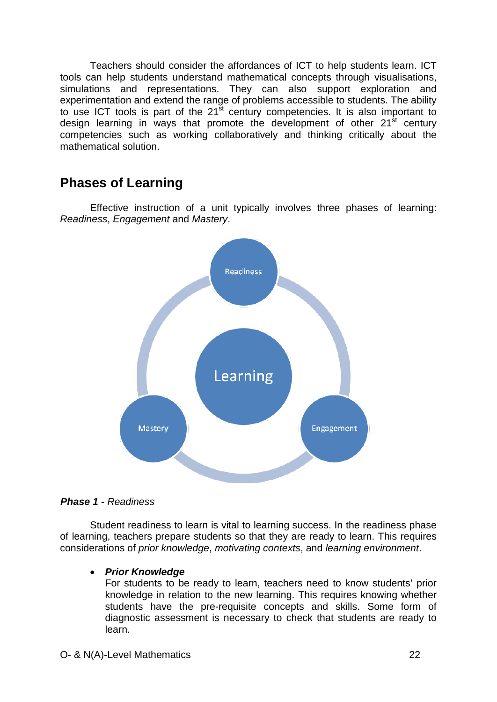Teachers should consider the affordances of ICT to help students learn. ICT tools can help students understand mathematical concepts through visualisations, simulations and representations. They can also support exploration and experimentation and extend the range of problems accessible to students. The ability to use ICT tools is part of the  $21<sup>st</sup>$  century competencies. It is also important to design learning in ways that promote the development of other  $21<sup>st</sup>$  century competencies such as working collaboratively and thinking critically about the mathematical solution.

### **Phases of Learning**

Effective instruction of a unit typically involves three phases of learning: *Readiness*, *Engagement* and *Mastery*.



*Phase 1 - Readiness*

Student readiness to learn is vital to learning success. In the readiness phase of learning, teachers prepare students so that they are ready to learn. This requires considerations of *prior knowledge*, *motivating contexts*, and *learning environment*.

#### • *Prior Knowledge*

For students to be ready to learn, teachers need to know students' prior knowledge in relation to the new learning. This requires knowing whether students have the pre-requisite concepts and skills. Some form of diagnostic assessment is necessary to check that students are ready to learn.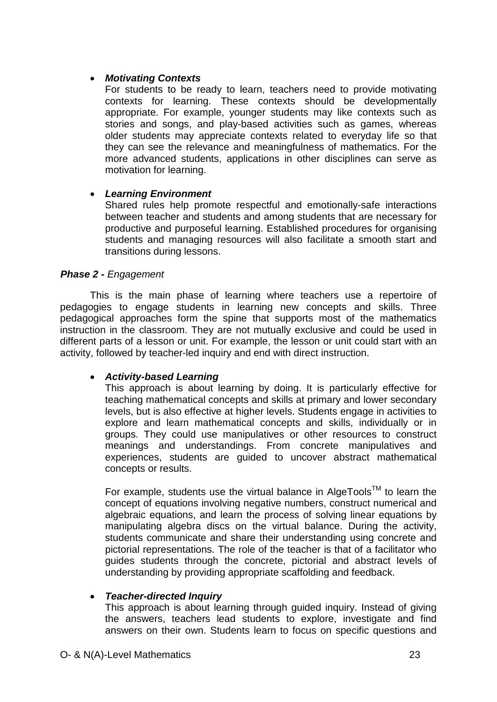#### • *Motivating Contexts*

For students to be ready to learn, teachers need to provide motivating contexts for learning. These contexts should be developmentally appropriate. For example, younger students may like contexts such as stories and songs, and play-based activities such as games, whereas older students may appreciate contexts related to everyday life so that they can see the relevance and meaningfulness of mathematics. For the more advanced students, applications in other disciplines can serve as motivation for learning.

#### • *Learning Environment*

Shared rules help promote respectful and emotionally-safe interactions between teacher and students and among students that are necessary for productive and purposeful learning. Established procedures for organising students and managing resources will also facilitate a smooth start and transitions during lessons.

#### *Phase 2 - Engagement*

This is the main phase of learning where teachers use a repertoire of pedagogies to engage students in learning new concepts and skills. Three pedagogical approaches form the spine that supports most of the mathematics instruction in the classroom. They are not mutually exclusive and could be used in different parts of a lesson or unit. For example, the lesson or unit could start with an activity, followed by teacher-led inquiry and end with direct instruction.

#### • *Activity-based Learning*

This approach is about learning by doing. It is particularly effective for teaching mathematical concepts and skills at primary and lower secondary levels, but is also effective at higher levels. Students engage in activities to explore and learn mathematical concepts and skills, individually or in groups. They could use manipulatives or other resources to construct meanings and understandings. From concrete manipulatives and experiences, students are guided to uncover abstract mathematical concepts or results.

For example, students use the virtual balance in AlgeTools<sup>TM</sup> to learn the concept of equations involving negative numbers, construct numerical and algebraic equations, and learn the process of solving linear equations by manipulating algebra discs on the virtual balance. During the activity, students communicate and share their understanding using concrete and pictorial representations. The role of the teacher is that of a facilitator who guides students through the concrete, pictorial and abstract levels of understanding by providing appropriate scaffolding and feedback.

#### • *Teacher-directed Inquiry*

This approach is about learning through guided inquiry. Instead of giving the answers, teachers lead students to explore, investigate and find answers on their own. Students learn to focus on specific questions and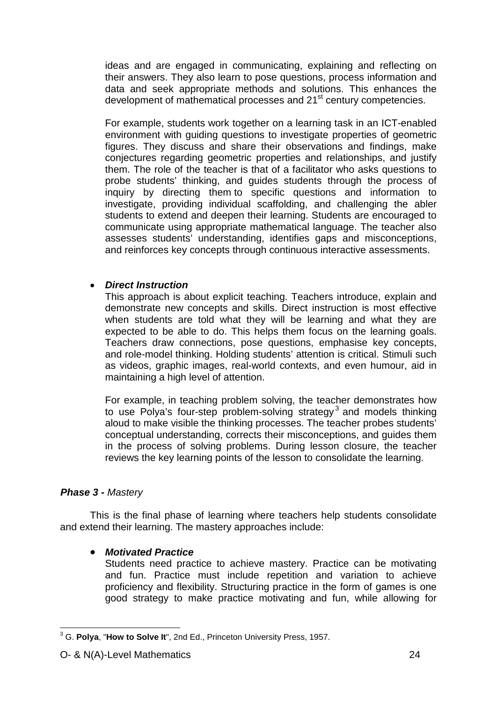ideas and are engaged in communicating, explaining and reflecting on their answers. They also learn to pose questions, process information and data and seek appropriate methods and solutions. This enhances the development of mathematical processes and 21<sup>st</sup> century competencies.

For example, students work together on a learning task in an ICT-enabled environment with guiding questions to investigate properties of geometric figures. They discuss and share their observations and findings, make conjectures regarding geometric properties and relationships, and justify them. The role of the teacher is that of a facilitator who asks questions to probe students' thinking, and guides students through the process of inquiry by directing them to specific questions and information to investigate, providing individual scaffolding, and challenging the abler students to extend and deepen their learning. Students are encouraged to communicate using appropriate mathematical language. The teacher also assesses students' understanding, identifies gaps and misconceptions, and reinforces key concepts through continuous interactive assessments.

#### • *Direct Instruction*

This approach is about explicit teaching. Teachers introduce, explain and demonstrate new concepts and skills. Direct instruction is most effective when students are told what they will be learning and what they are expected to be able to do. This helps them focus on the learning goals. Teachers draw connections, pose questions, emphasise key concepts, and role-model thinking. Holding students' attention is critical. Stimuli such as videos, graphic images, real-world contexts, and even humour, aid in maintaining a high level of attention.

For example, in teaching problem solving, the teacher demonstrates how to use Polya's four-step problem-solving strategy<sup>[3](#page-14-0)</sup> and models thinking aloud to make visible the thinking processes. The teacher probes students' conceptual understanding, corrects their misconceptions, and guides them in the process of solving problems. During lesson closure, the teacher reviews the key learning points of the lesson to consolidate the learning.

#### *Phase 3 - Mastery*

This is the final phase of learning where teachers help students consolidate and extend their learning. The mastery approaches include:

#### • *Motivated Practice*

Students need practice to achieve mastery. Practice can be motivating and fun. Practice must include repetition and variation to achieve proficiency and flexibility. Structuring practice in the form of games is one good strategy to make practice motivating and fun, while allowing for

 <sup>3</sup> G. **Polya**, "**How to Solve It**", 2nd Ed., Princeton University Press, 1957.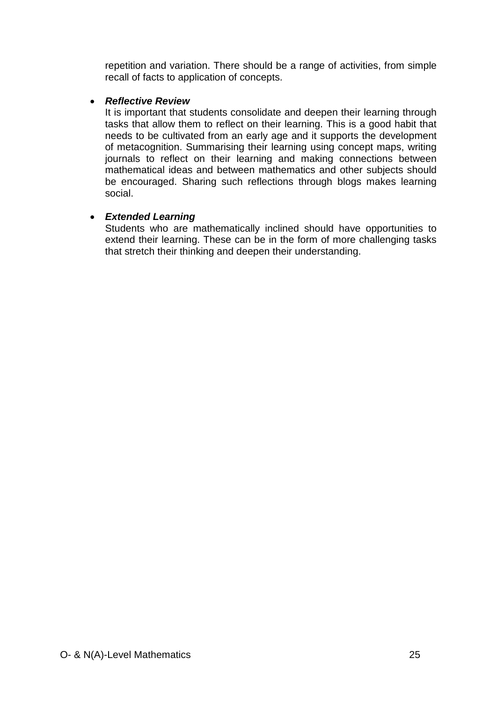repetition and variation. There should be a range of activities, from simple recall of facts to application of concepts.

#### • *Reflective Review*

It is important that students consolidate and deepen their learning through tasks that allow them to reflect on their learning. This is a good habit that needs to be cultivated from an early age and it supports the development of metacognition. Summarising their learning using concept maps, writing journals to reflect on their learning and making connections between mathematical ideas and between mathematics and other subjects should be encouraged. Sharing such reflections through blogs makes learning social.

#### • *Extended Learning*

Students who are mathematically inclined should have opportunities to extend their learning. These can be in the form of more challenging tasks that stretch their thinking and deepen their understanding.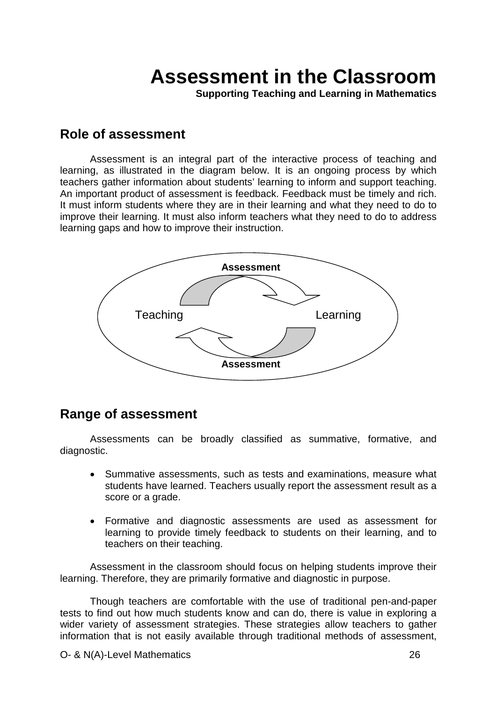## **Assessment in the Classroom**

**Supporting Teaching and Learning in Mathematics**

#### **Role of assessment**

Assessment is an integral part of the interactive process of teaching and learning, as illustrated in the diagram below. It is an ongoing process by which teachers gather information about students' learning to inform and support teaching. An important product of assessment is feedback. Feedback must be timely and rich. It must inform students where they are in their learning and what they need to do to improve their learning. It must also inform teachers what they need to do to address learning gaps and how to improve their instruction.



#### **Range of assessment**

Assessments can be broadly classified as summative, formative, and diagnostic.

- Summative assessments, such as tests and examinations, measure what students have learned. Teachers usually report the assessment result as a score or a grade.
- Formative and diagnostic assessments are used as assessment for learning to provide timely feedback to students on their learning, and to teachers on their teaching.

Assessment in the classroom should focus on helping students improve their learning. Therefore, they are primarily formative and diagnostic in purpose.

Though teachers are comfortable with the use of traditional pen-and-paper tests to find out how much students know and can do, there is value in exploring a wider variety of assessment strategies. These strategies allow teachers to gather information that is not easily available through traditional methods of assessment,

O- & N(A)-Level Mathematics 26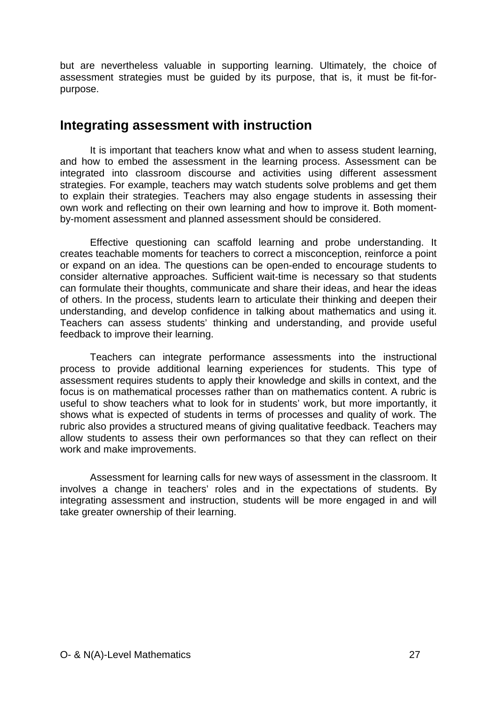but are nevertheless valuable in supporting learning. Ultimately, the choice of assessment strategies must be guided by its purpose, that is, it must be fit-forpurpose.

### **Integrating assessment with instruction**

It is important that teachers know what and when to assess student learning, and how to embed the assessment in the learning process. Assessment can be integrated into classroom discourse and activities using different assessment strategies. For example, teachers may watch students solve problems and get them to explain their strategies. Teachers may also engage students in assessing their own work and reflecting on their own learning and how to improve it. Both momentby-moment assessment and planned assessment should be considered.

Effective questioning can scaffold learning and probe understanding. It creates teachable moments for teachers to correct a misconception, reinforce a point or expand on an idea. The questions can be open-ended to encourage students to consider alternative approaches. Sufficient wait-time is necessary so that students can formulate their thoughts, communicate and share their ideas, and hear the ideas of others. In the process, students learn to articulate their thinking and deepen their understanding, and develop confidence in talking about mathematics and using it. Teachers can assess students' thinking and understanding, and provide useful feedback to improve their learning.

Teachers can integrate performance assessments into the instructional process to provide additional learning experiences for students. This type of assessment requires students to apply their knowledge and skills in context, and the focus is on mathematical processes rather than on mathematics content. A rubric is useful to show teachers what to look for in students' work, but more importantly, it shows what is expected of students in terms of processes and quality of work. The rubric also provides a structured means of giving qualitative feedback. Teachers may allow students to assess their own performances so that they can reflect on their work and make improvements.

Assessment for learning calls for new ways of assessment in the classroom. It involves a change in teachers' roles and in the expectations of students. By integrating assessment and instruction, students will be more engaged in and will take greater ownership of their learning.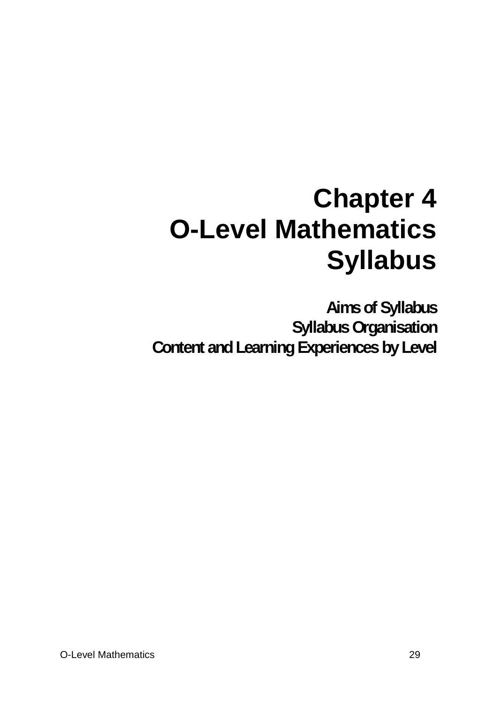# **Chapter 4 O-Level Mathematics Syllabus**

**Aims of Syllabus Syllabus Organisation Content and Learning Experiences by Level**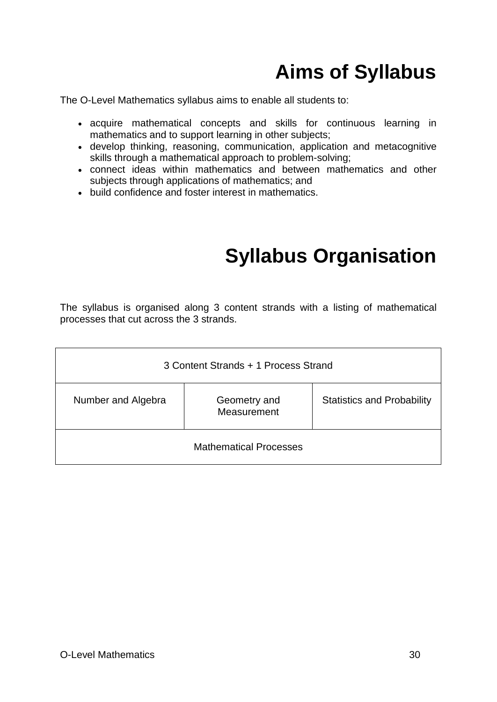# **Aims of Syllabus**

The O-Level Mathematics syllabus aims to enable all students to:

- acquire mathematical concepts and skills for continuous learning in mathematics and to support learning in other subjects;
- develop thinking, reasoning, communication, application and metacognitive skills through a mathematical approach to problem-solving;
- connect ideas within mathematics and between mathematics and other subjects through applications of mathematics; and
- build confidence and foster interest in mathematics.

## **Syllabus Organisation**

The syllabus is organised along 3 content strands with a listing of mathematical processes that cut across the 3 strands.

| 3 Content Strands + 1 Process Strand |                             |                                   |
|--------------------------------------|-----------------------------|-----------------------------------|
| Number and Algebra                   | Geometry and<br>Measurement | <b>Statistics and Probability</b> |
| <b>Mathematical Processes</b>        |                             |                                   |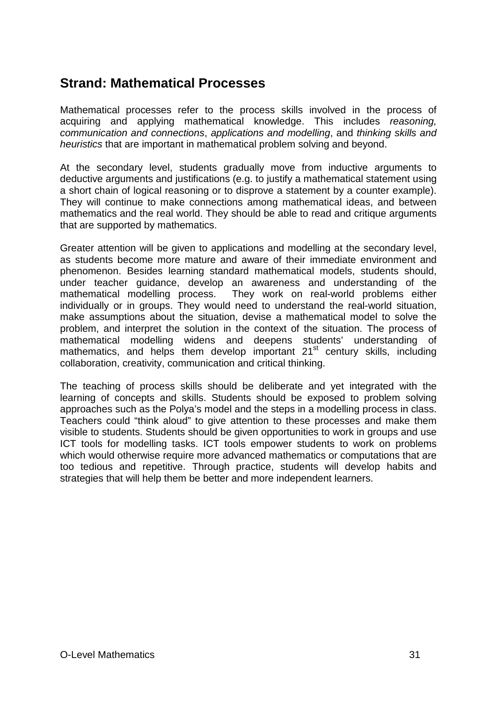### **Strand: Mathematical Processes**

Mathematical processes refer to the process skills involved in the process of acquiring and applying mathematical knowledge. This includes *reasoning, communication and connections*, *applications and modelling*, and *thinking skills and heuristics* that are important in mathematical problem solving and beyond.

At the secondary level, students gradually move from inductive arguments to deductive arguments and justifications (e.g. to justify a mathematical statement using a short chain of logical reasoning or to disprove a statement by a counter example). They will continue to make connections among mathematical ideas, and between mathematics and the real world. They should be able to read and critique arguments that are supported by mathematics.

Greater attention will be given to applications and modelling at the secondary level, as students become more mature and aware of their immediate environment and phenomenon. Besides learning standard mathematical models, students should, under teacher guidance, develop an awareness and understanding of the mathematical modelling process. They work on real-world problems either individually or in groups. They would need to understand the real-world situation, make assumptions about the situation, devise a mathematical model to solve the problem, and interpret the solution in the context of the situation. The process of mathematical modelling widens and deepens students' understanding of mathematics, and helps them develop important 21<sup>st</sup> century skills, including collaboration, creativity, communication and critical thinking.

The teaching of process skills should be deliberate and yet integrated with the learning of concepts and skills. Students should be exposed to problem solving approaches such as the Polya's model and the steps in a modelling process in class. Teachers could "think aloud" to give attention to these processes and make them visible to students. Students should be given opportunities to work in groups and use ICT tools for modelling tasks. ICT tools empower students to work on problems which would otherwise require more advanced mathematics or computations that are too tedious and repetitive. Through practice, students will develop habits and strategies that will help them be better and more independent learners.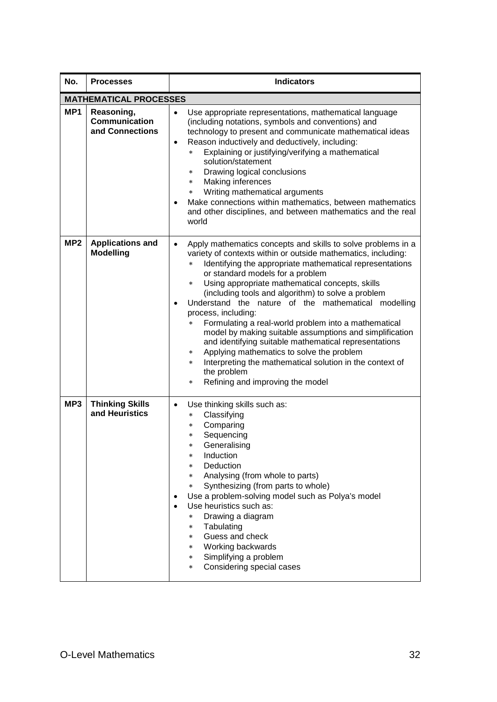| No.             | <b>Processes</b>                               | <b>Indicators</b>                                                                                                                                                                                                                                                                                                                                                                                                                                                                                                                                                                                                                                                                                                                                                                                                                                      |
|-----------------|------------------------------------------------|--------------------------------------------------------------------------------------------------------------------------------------------------------------------------------------------------------------------------------------------------------------------------------------------------------------------------------------------------------------------------------------------------------------------------------------------------------------------------------------------------------------------------------------------------------------------------------------------------------------------------------------------------------------------------------------------------------------------------------------------------------------------------------------------------------------------------------------------------------|
|                 | <b>MATHEMATICAL PROCESSES</b>                  |                                                                                                                                                                                                                                                                                                                                                                                                                                                                                                                                                                                                                                                                                                                                                                                                                                                        |
| MP <sub>1</sub> | Reasoning,<br>Communication<br>and Connections | Use appropriate representations, mathematical language<br>$\bullet$<br>(including notations, symbols and conventions) and<br>technology to present and communicate mathematical ideas<br>Reason inductively and deductively, including:<br>$\bullet$<br>Explaining or justifying/verifying a mathematical<br>$\star$<br>solution/statement<br>Drawing logical conclusions<br>$\ast$<br>Making inferences<br>$\star$<br>Writing mathematical arguments<br>$\star$<br>Make connections within mathematics, between mathematics<br>and other disciplines, and between mathematics and the real<br>world                                                                                                                                                                                                                                                   |
| MP <sub>2</sub> | <b>Applications and</b><br><b>Modelling</b>    | Apply mathematics concepts and skills to solve problems in a<br>$\bullet$<br>variety of contexts within or outside mathematics, including:<br>Identifying the appropriate mathematical representations<br>$\ast$<br>or standard models for a problem<br>Using appropriate mathematical concepts, skills<br>$\star$<br>(including tools and algorithm) to solve a problem<br>Understand the nature of the mathematical modelling<br>$\bullet$<br>process, including:<br>Formulating a real-world problem into a mathematical<br>$\star$<br>model by making suitable assumptions and simplification<br>and identifying suitable mathematical representations<br>Applying mathematics to solve the problem<br>$\ast$<br>Interpreting the mathematical solution in the context of<br>$\star$<br>the problem<br>Refining and improving the model<br>$\star$ |
| MP3             | <b>Thinking Skills</b><br>and Heuristics       | Use thinking skills such as:<br>$\bullet$<br>Classifying<br>$\star$<br>Comparing<br>$\star$<br>Sequencing<br>$\ast$<br>Generalising<br>Induction<br>$\ast$<br>Deduction<br>$\star$<br>Analysing (from whole to parts)<br>$\star$<br>Synthesizing (from parts to whole)<br>$\star$<br>Use a problem-solving model such as Polya's model<br>Use heuristics such as:<br>Drawing a diagram<br>$\ast$<br>Tabulating<br>$\star$<br>Guess and check<br>$\star$<br>Working backwards<br>$\star$<br>Simplifying a problem<br>$\star$<br>Considering special cases<br>$\star$                                                                                                                                                                                                                                                                                    |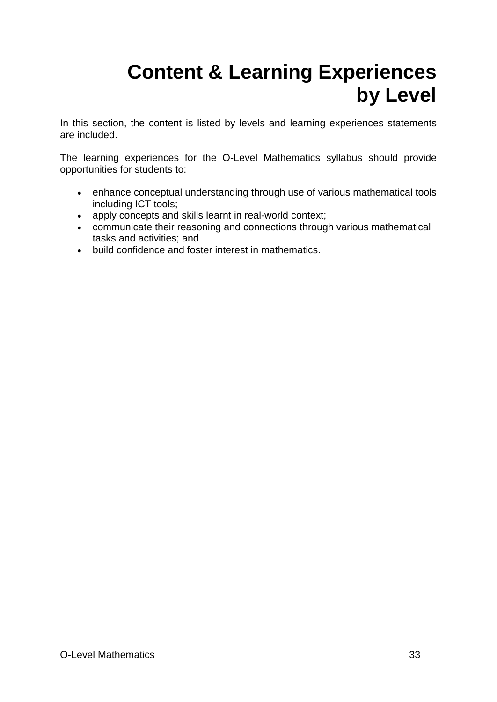# **Content & Learning Experiences by Level**

In this section, the content is listed by levels and learning experiences statements are included.

The learning experiences for the O-Level Mathematics syllabus should provide opportunities for students to:

- enhance conceptual understanding through use of various mathematical tools including ICT tools;
- apply concepts and skills learnt in real-world context;
- communicate their reasoning and connections through various mathematical tasks and activities; and
- build confidence and foster interest in mathematics.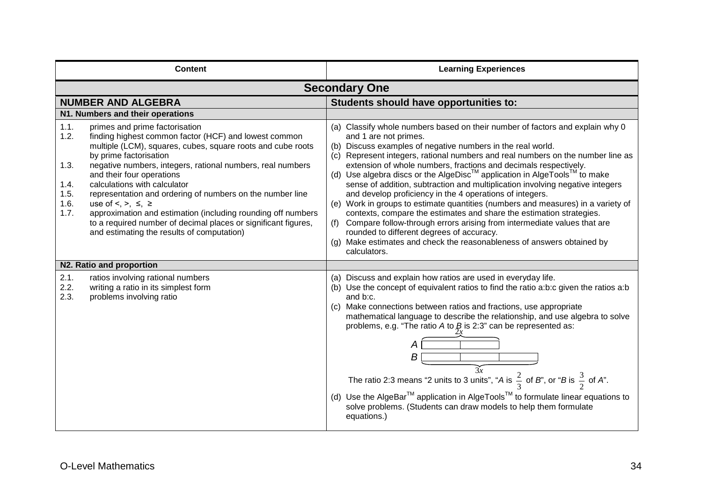| <b>Content</b>                                                                                                                                                                                                                                                                                                                                                                                                                                                                                                                                                                                                                                                                          | <b>Learning Experiences</b>                                                                                                                                                                                                                                                                                                                                                                                                                                                                                                                                                                                                                                                                                                                                                                                                                                                                                                                                          |  |
|-----------------------------------------------------------------------------------------------------------------------------------------------------------------------------------------------------------------------------------------------------------------------------------------------------------------------------------------------------------------------------------------------------------------------------------------------------------------------------------------------------------------------------------------------------------------------------------------------------------------------------------------------------------------------------------------|----------------------------------------------------------------------------------------------------------------------------------------------------------------------------------------------------------------------------------------------------------------------------------------------------------------------------------------------------------------------------------------------------------------------------------------------------------------------------------------------------------------------------------------------------------------------------------------------------------------------------------------------------------------------------------------------------------------------------------------------------------------------------------------------------------------------------------------------------------------------------------------------------------------------------------------------------------------------|--|
| <b>Secondary One</b>                                                                                                                                                                                                                                                                                                                                                                                                                                                                                                                                                                                                                                                                    |                                                                                                                                                                                                                                                                                                                                                                                                                                                                                                                                                                                                                                                                                                                                                                                                                                                                                                                                                                      |  |
| <b>NUMBER AND ALGEBRA</b>                                                                                                                                                                                                                                                                                                                                                                                                                                                                                                                                                                                                                                                               | Students should have opportunities to:                                                                                                                                                                                                                                                                                                                                                                                                                                                                                                                                                                                                                                                                                                                                                                                                                                                                                                                               |  |
| N1. Numbers and their operations<br>1.1.<br>primes and prime factorisation<br>1.2.<br>finding highest common factor (HCF) and lowest common<br>multiple (LCM), squares, cubes, square roots and cube roots<br>by prime factorisation<br>1.3.<br>negative numbers, integers, rational numbers, real numbers<br>and their four operations<br>calculations with calculator<br>1.4.<br>1.5.<br>representation and ordering of numbers on the number line<br>1.6.<br>use of $\leq, \geq, \leq, \geq$<br>1.7.<br>approximation and estimation (including rounding off numbers<br>to a required number of decimal places or significant figures,<br>and estimating the results of computation) | (a) Classify whole numbers based on their number of factors and explain why 0<br>and 1 are not primes.<br>(b) Discuss examples of negative numbers in the real world.<br>(c) Represent integers, rational numbers and real numbers on the number line as<br>extension of whole numbers, fractions and decimals respectively.<br>(d) Use algebra discs or the AlgeDisc <sup>TM</sup> application in AlgeTools <sup>TM</sup> to make<br>sense of addition, subtraction and multiplication involving negative integers<br>and develop proficiency in the 4 operations of integers.<br>(e) Work in groups to estimate quantities (numbers and measures) in a variety of<br>contexts, compare the estimates and share the estimation strategies.<br>Compare follow-through errors arising from intermediate values that are<br>(f)<br>rounded to different degrees of accuracy.<br>(g) Make estimates and check the reasonableness of answers obtained by<br>calculators. |  |
| N2. Ratio and proportion                                                                                                                                                                                                                                                                                                                                                                                                                                                                                                                                                                                                                                                                |                                                                                                                                                                                                                                                                                                                                                                                                                                                                                                                                                                                                                                                                                                                                                                                                                                                                                                                                                                      |  |
| 2.1.<br>ratios involving rational numbers<br>2.2.<br>writing a ratio in its simplest form<br>2.3.<br>problems involving ratio                                                                                                                                                                                                                                                                                                                                                                                                                                                                                                                                                           | (a) Discuss and explain how ratios are used in everyday life.<br>(b) Use the concept of equivalent ratios to find the ratio a:b:c given the ratios a:b<br>and b:c.<br>(c) Make connections between ratios and fractions, use appropriate<br>mathematical language to describe the relationship, and use algebra to solve<br>problems, e.g. "The ratio A to $B$ is 2:3" can be represented as:<br>В<br>$\widetilde{3x}$<br>The ratio 2:3 means "2 units to 3 units", "A is $\frac{2}{3}$ of B", or "B is $\frac{3}{2}$ of A".<br>(d) Use the AlgeBar <sup>™</sup> application in AlgeTools <sup>™</sup> to formulate linear equations to<br>solve problems. (Students can draw models to help them formulate<br>equations.)                                                                                                                                                                                                                                           |  |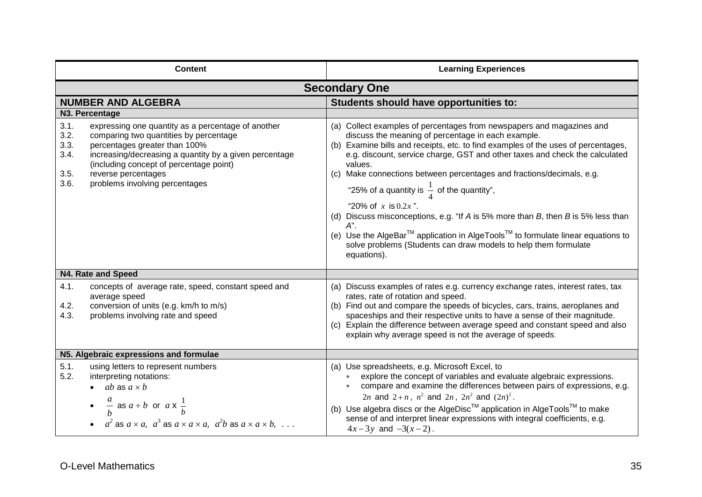| <b>Content</b>                                                                                                                                                                                                                                                                                                                              | <b>Learning Experiences</b>                                                                                                                                                                                                                                                                                                                                                                                                                                                                                                                                                                                                                                                                                                                                              |  |
|---------------------------------------------------------------------------------------------------------------------------------------------------------------------------------------------------------------------------------------------------------------------------------------------------------------------------------------------|--------------------------------------------------------------------------------------------------------------------------------------------------------------------------------------------------------------------------------------------------------------------------------------------------------------------------------------------------------------------------------------------------------------------------------------------------------------------------------------------------------------------------------------------------------------------------------------------------------------------------------------------------------------------------------------------------------------------------------------------------------------------------|--|
| <b>Secondary One</b>                                                                                                                                                                                                                                                                                                                        |                                                                                                                                                                                                                                                                                                                                                                                                                                                                                                                                                                                                                                                                                                                                                                          |  |
| <b>NUMBER AND ALGEBRA</b>                                                                                                                                                                                                                                                                                                                   | Students should have opportunities to:                                                                                                                                                                                                                                                                                                                                                                                                                                                                                                                                                                                                                                                                                                                                   |  |
| N3. Percentage                                                                                                                                                                                                                                                                                                                              |                                                                                                                                                                                                                                                                                                                                                                                                                                                                                                                                                                                                                                                                                                                                                                          |  |
| 3.1.<br>expressing one quantity as a percentage of another<br>3.2.<br>comparing two quantities by percentage<br>3.3.<br>percentages greater than 100%<br>3.4.<br>increasing/decreasing a quantity by a given percentage<br>(including concept of percentage point)<br>3.5.<br>reverse percentages<br>3.6.<br>problems involving percentages | (a) Collect examples of percentages from newspapers and magazines and<br>discuss the meaning of percentage in each example.<br>(b) Examine bills and receipts, etc. to find examples of the uses of percentages,<br>e.g. discount, service charge, GST and other taxes and check the calculated<br>values.<br>(c) Make connections between percentages and fractions/decimals, e.g.<br>"25% of a quantity is $\frac{1}{4}$ of the quantity",<br>"20% of $x$ is 0.2 $x$ ".<br>(d) Discuss misconceptions, e.g. "If $A$ is 5% more than $B$ , then $B$ is 5% less than<br>А".<br>(e) Use the AlgeBar <sup>™</sup> application in AlgeTools <sup>™</sup> to formulate linear equations to<br>solve problems (Students can draw models to help them formulate<br>equations). |  |
| N4. Rate and Speed                                                                                                                                                                                                                                                                                                                          |                                                                                                                                                                                                                                                                                                                                                                                                                                                                                                                                                                                                                                                                                                                                                                          |  |
| 4.1.<br>concepts of average rate, speed, constant speed and<br>average speed<br>4.2.<br>conversion of units (e.g. km/h to m/s)<br>4.3.<br>problems involving rate and speed                                                                                                                                                                 | (a) Discuss examples of rates e.g. currency exchange rates, interest rates, tax<br>rates, rate of rotation and speed.<br>(b) Find out and compare the speeds of bicycles, cars, trains, aeroplanes and<br>spaceships and their respective units to have a sense of their magnitude.<br>(c) Explain the difference between average speed and constant speed and also<br>explain why average speed is not the average of speeds.                                                                                                                                                                                                                                                                                                                                           |  |
| N5. Algebraic expressions and formulae                                                                                                                                                                                                                                                                                                      |                                                                                                                                                                                                                                                                                                                                                                                                                                                                                                                                                                                                                                                                                                                                                                          |  |
| 5.1.<br>using letters to represent numbers<br>5.2.<br>interpreting notations:<br>$\bullet$ ab as $a \times b$<br>• $\frac{a}{b}$ as $a \div b$ or $a \times \frac{1}{b}$<br>• $a^2$ as $a \times a$ , $a^3$ as $a \times a \times a$ , $a^2b$ as $a \times a \times b$ ,                                                                    | (a) Use spreadsheets, e.g. Microsoft Excel, to<br>explore the concept of variables and evaluate algebraic expressions.<br>compare and examine the differences between pairs of expressions, e.g.<br>2 <i>n</i> and 2+ <i>n</i> , $n^2$ and 2 <i>n</i> , $2n^2$ and $(2n)^2$ .<br>(b) Use algebra discs or the AlgeDisc <sup>TM</sup> application in AlgeTools <sup>TM</sup> to make<br>sense of and interpret linear expressions with integral coefficients, e.g.<br>$4x-3y$ and $-3(x-2)$ .                                                                                                                                                                                                                                                                             |  |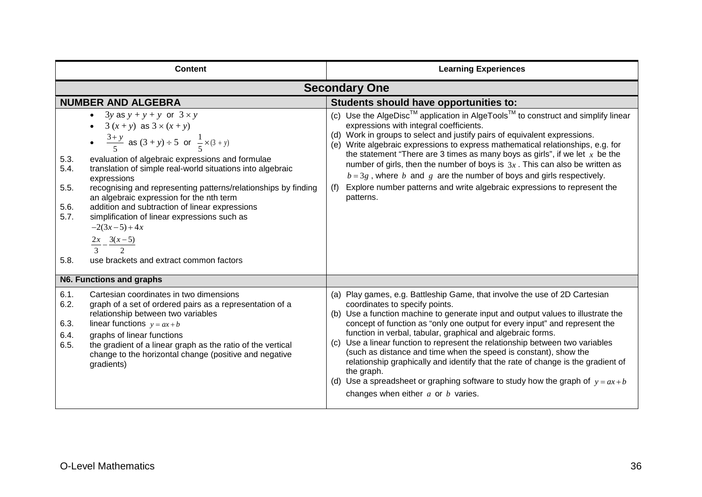| <b>Content</b>                                                                                                                                                                                                                                                                                                                                                                                                                                                                                                                                                                                                                               | <b>Learning Experiences</b>                                                                                                                                                                                                                                                                                                                                                                                                                                                                                                                                                                                                                                                                                                         |
|----------------------------------------------------------------------------------------------------------------------------------------------------------------------------------------------------------------------------------------------------------------------------------------------------------------------------------------------------------------------------------------------------------------------------------------------------------------------------------------------------------------------------------------------------------------------------------------------------------------------------------------------|-------------------------------------------------------------------------------------------------------------------------------------------------------------------------------------------------------------------------------------------------------------------------------------------------------------------------------------------------------------------------------------------------------------------------------------------------------------------------------------------------------------------------------------------------------------------------------------------------------------------------------------------------------------------------------------------------------------------------------------|
|                                                                                                                                                                                                                                                                                                                                                                                                                                                                                                                                                                                                                                              | <b>Secondary One</b>                                                                                                                                                                                                                                                                                                                                                                                                                                                                                                                                                                                                                                                                                                                |
| <b>NUMBER AND ALGEBRA</b>                                                                                                                                                                                                                                                                                                                                                                                                                                                                                                                                                                                                                    | Students should have opportunities to:                                                                                                                                                                                                                                                                                                                                                                                                                                                                                                                                                                                                                                                                                              |
| • 3y as $y + y + y$ or $3 \times y$<br>• $3(x+y)$ as $3 \times (x+y)$<br>• $\frac{3+y}{5}$ as $(3+y) \div 5$ or $\frac{1}{5} \times (3+y)$<br>5.3.<br>evaluation of algebraic expressions and formulae<br>5.4.<br>translation of simple real-world situations into algebraic<br>expressions<br>5.5.<br>recognising and representing patterns/relationships by finding<br>an algebraic expression for the nth term<br>5.6.<br>addition and subtraction of linear expressions<br>5.7.<br>simplification of linear expressions such as<br>$-2(3x-5)+4x$<br>$\frac{2x}{3} - \frac{3(x-5)}{2}$<br>use brackets and extract common factors<br>5.8. | (c) Use the AlgeDisc <sup>TM</sup> application in AlgeTools <sup>TM</sup> to construct and simplify linear<br>expressions with integral coefficients.<br>(d) Work in groups to select and justify pairs of equivalent expressions.<br>(e) Write algebraic expressions to express mathematical relationships, e.g. for<br>the statement "There are 3 times as many boys as girls", if we let $x$ be the<br>number of girls, then the number of boys is $3x$ . This can also be written as<br>$b = 3g$ , where b and g are the number of boys and girls respectively.<br>Explore number patterns and write algebraic expressions to represent the<br>(f)<br>patterns.                                                                 |
| N6. Functions and graphs                                                                                                                                                                                                                                                                                                                                                                                                                                                                                                                                                                                                                     |                                                                                                                                                                                                                                                                                                                                                                                                                                                                                                                                                                                                                                                                                                                                     |
| 6.1.<br>Cartesian coordinates in two dimensions<br>6.2.<br>graph of a set of ordered pairs as a representation of a<br>relationship between two variables<br>6.3.<br>linear functions $y = ax + b$<br>6.4.<br>graphs of linear functions<br>6.5.<br>the gradient of a linear graph as the ratio of the vertical<br>change to the horizontal change (positive and negative<br>gradients)                                                                                                                                                                                                                                                      | (a) Play games, e.g. Battleship Game, that involve the use of 2D Cartesian<br>coordinates to specify points.<br>(b) Use a function machine to generate input and output values to illustrate the<br>concept of function as "only one output for every input" and represent the<br>function in verbal, tabular, graphical and algebraic forms.<br>(c) Use a linear function to represent the relationship between two variables<br>(such as distance and time when the speed is constant), show the<br>relationship graphically and identify that the rate of change is the gradient of<br>the graph.<br>(d) Use a spreadsheet or graphing software to study how the graph of $y = ax + b$<br>changes when either $a$ or $b$ varies. |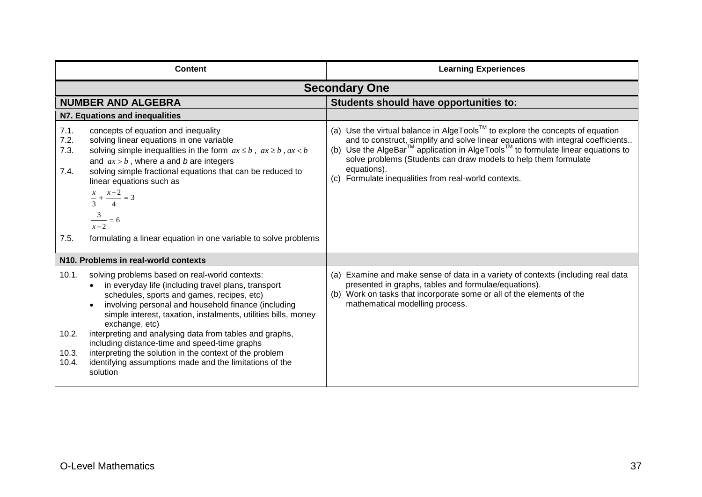|                                      | <b>Content</b>                                                                                                                                                                                                                                                                                                                                                                                                                                                                                                                               | <b>Learning Experiences</b>                                                                                                                                                                                                                                                                                                                                                                                                        |
|--------------------------------------|----------------------------------------------------------------------------------------------------------------------------------------------------------------------------------------------------------------------------------------------------------------------------------------------------------------------------------------------------------------------------------------------------------------------------------------------------------------------------------------------------------------------------------------------|------------------------------------------------------------------------------------------------------------------------------------------------------------------------------------------------------------------------------------------------------------------------------------------------------------------------------------------------------------------------------------------------------------------------------------|
|                                      |                                                                                                                                                                                                                                                                                                                                                                                                                                                                                                                                              | <b>Secondary One</b>                                                                                                                                                                                                                                                                                                                                                                                                               |
|                                      | <b>NUMBER AND ALGEBRA</b>                                                                                                                                                                                                                                                                                                                                                                                                                                                                                                                    | Students should have opportunities to:                                                                                                                                                                                                                                                                                                                                                                                             |
|                                      | N7. Equations and inequalities                                                                                                                                                                                                                                                                                                                                                                                                                                                                                                               |                                                                                                                                                                                                                                                                                                                                                                                                                                    |
| 7.1.<br>7.2.<br>7.3.<br>7.4.<br>7.5. | concepts of equation and inequality<br>solving linear equations in one variable<br>solving simple inequalities in the form $ax \leq b$ , $ax \geq b$ , $ax < b$<br>and $ax > b$ , where a and b are integers<br>solving simple fractional equations that can be reduced to<br>linear equations such as<br>$\frac{x}{-} + \frac{x-2}{-} = 3$<br>$\frac{3}{x-2} = 6$<br>formulating a linear equation in one variable to solve problems                                                                                                        | (a) Use the virtual balance in AlgeTools <sup>™</sup> to explore the concepts of equation<br>and to construct, simplify and solve linear equations with integral coefficients<br>(b) Use the AlgeBar <sup>™</sup> application in AlgeTools <sup>™</sup> to formulate linear equations to<br>solve problems (Students can draw models to help them formulate<br>equations).<br>(c) Formulate inequalities from real-world contexts. |
|                                      |                                                                                                                                                                                                                                                                                                                                                                                                                                                                                                                                              |                                                                                                                                                                                                                                                                                                                                                                                                                                    |
|                                      | N10. Problems in real-world contexts                                                                                                                                                                                                                                                                                                                                                                                                                                                                                                         |                                                                                                                                                                                                                                                                                                                                                                                                                                    |
| 10.1.<br>10.2.<br>10.3.<br>10.4.     | solving problems based on real-world contexts:<br>in everyday life (including travel plans, transport<br>schedules, sports and games, recipes, etc)<br>involving personal and household finance (including<br>simple interest, taxation, instalments, utilities bills, money<br>exchange, etc)<br>interpreting and analysing data from tables and graphs,<br>including distance-time and speed-time graphs<br>interpreting the solution in the context of the problem<br>identifying assumptions made and the limitations of the<br>solution | (a) Examine and make sense of data in a variety of contexts (including real data<br>presented in graphs, tables and formulae/equations).<br>(b) Work on tasks that incorporate some or all of the elements of the<br>mathematical modelling process.                                                                                                                                                                               |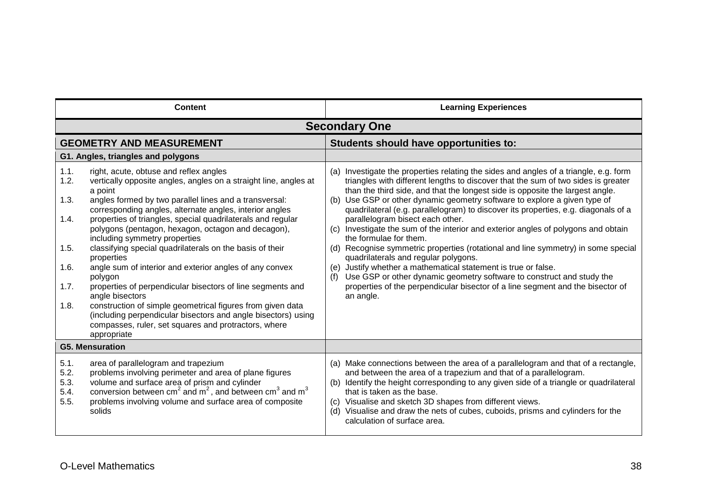| <b>Content</b>                                               |                                                                                                                                                                                                                                                                                                                                                                                                                                                                                                                                                                                                                                                                                                                                                                                                                                         | <b>Learning Experiences</b>                                                                                                                                                                                                                                                                                                                                                                                                                                                                                                                                                                                                                                                                                                                                                                                                                                                                                                                               |
|--------------------------------------------------------------|-----------------------------------------------------------------------------------------------------------------------------------------------------------------------------------------------------------------------------------------------------------------------------------------------------------------------------------------------------------------------------------------------------------------------------------------------------------------------------------------------------------------------------------------------------------------------------------------------------------------------------------------------------------------------------------------------------------------------------------------------------------------------------------------------------------------------------------------|-----------------------------------------------------------------------------------------------------------------------------------------------------------------------------------------------------------------------------------------------------------------------------------------------------------------------------------------------------------------------------------------------------------------------------------------------------------------------------------------------------------------------------------------------------------------------------------------------------------------------------------------------------------------------------------------------------------------------------------------------------------------------------------------------------------------------------------------------------------------------------------------------------------------------------------------------------------|
|                                                              |                                                                                                                                                                                                                                                                                                                                                                                                                                                                                                                                                                                                                                                                                                                                                                                                                                         | <b>Secondary One</b>                                                                                                                                                                                                                                                                                                                                                                                                                                                                                                                                                                                                                                                                                                                                                                                                                                                                                                                                      |
|                                                              | <b>GEOMETRY AND MEASUREMENT</b>                                                                                                                                                                                                                                                                                                                                                                                                                                                                                                                                                                                                                                                                                                                                                                                                         | Students should have opportunities to:                                                                                                                                                                                                                                                                                                                                                                                                                                                                                                                                                                                                                                                                                                                                                                                                                                                                                                                    |
|                                                              | G1. Angles, triangles and polygons                                                                                                                                                                                                                                                                                                                                                                                                                                                                                                                                                                                                                                                                                                                                                                                                      |                                                                                                                                                                                                                                                                                                                                                                                                                                                                                                                                                                                                                                                                                                                                                                                                                                                                                                                                                           |
| 1.1.<br>1.2.<br>1.3.<br>1.4.<br>1.5.<br>1.6.<br>1.7.<br>1.8. | right, acute, obtuse and reflex angles<br>vertically opposite angles, angles on a straight line, angles at<br>a point<br>angles formed by two parallel lines and a transversal:<br>corresponding angles, alternate angles, interior angles<br>properties of triangles, special quadrilaterals and regular<br>polygons (pentagon, hexagon, octagon and decagon),<br>including symmetry properties<br>classifying special quadrilaterals on the basis of their<br>properties<br>angle sum of interior and exterior angles of any convex<br>polygon<br>properties of perpendicular bisectors of line segments and<br>angle bisectors<br>construction of simple geometrical figures from given data<br>(including perpendicular bisectors and angle bisectors) using<br>compasses, ruler, set squares and protractors, where<br>appropriate | (a) Investigate the properties relating the sides and angles of a triangle, e.g. form<br>triangles with different lengths to discover that the sum of two sides is greater<br>than the third side, and that the longest side is opposite the largest angle.<br>(b) Use GSP or other dynamic geometry software to explore a given type of<br>quadrilateral (e.g. parallelogram) to discover its properties, e.g. diagonals of a<br>parallelogram bisect each other.<br>(c) Investigate the sum of the interior and exterior angles of polygons and obtain<br>the formulae for them.<br>(d) Recognise symmetric properties (rotational and line symmetry) in some special<br>quadrilaterals and regular polygons.<br>(e) Justify whether a mathematical statement is true or false.<br>Use GSP or other dynamic geometry software to construct and study the<br>properties of the perpendicular bisector of a line segment and the bisector of<br>an angle. |
|                                                              | <b>G5. Mensuration</b>                                                                                                                                                                                                                                                                                                                                                                                                                                                                                                                                                                                                                                                                                                                                                                                                                  |                                                                                                                                                                                                                                                                                                                                                                                                                                                                                                                                                                                                                                                                                                                                                                                                                                                                                                                                                           |
| 5.1.<br>5.2.<br>5.3.<br>5.4.<br>5.5.                         | area of parallelogram and trapezium<br>problems involving perimeter and area of plane figures<br>volume and surface area of prism and cylinder<br>conversion between $cm2$ and $m2$ , and between $cm3$ and $m3$<br>problems involving volume and surface area of composite<br>solids                                                                                                                                                                                                                                                                                                                                                                                                                                                                                                                                                   | (a) Make connections between the area of a parallelogram and that of a rectangle,<br>and between the area of a trapezium and that of a parallelogram.<br>(b) Identify the height corresponding to any given side of a triangle or quadrilateral<br>that is taken as the base.<br>(c) Visualise and sketch 3D shapes from different views.<br>(d) Visualise and draw the nets of cubes, cuboids, prisms and cylinders for the<br>calculation of surface area.                                                                                                                                                                                                                                                                                                                                                                                                                                                                                              |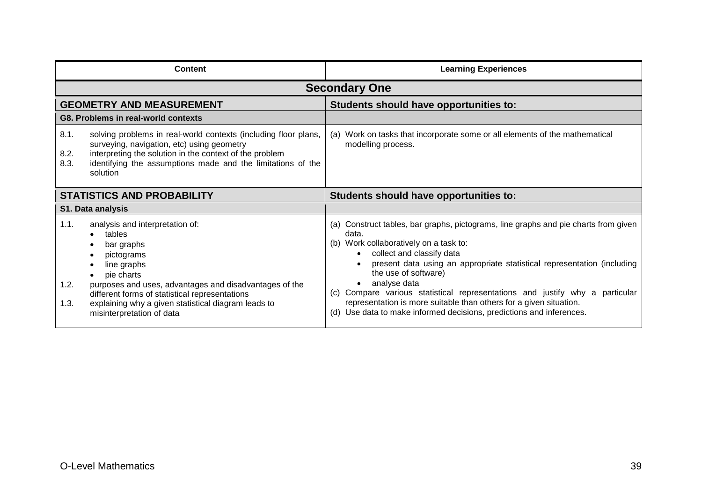|                                   | <b>Content</b>                                                                                                                                                                                                                                                                                     | <b>Learning Experiences</b>                                                                                                                                                                                                                                                                                                                                                                                                                                                                                                |
|-----------------------------------|----------------------------------------------------------------------------------------------------------------------------------------------------------------------------------------------------------------------------------------------------------------------------------------------------|----------------------------------------------------------------------------------------------------------------------------------------------------------------------------------------------------------------------------------------------------------------------------------------------------------------------------------------------------------------------------------------------------------------------------------------------------------------------------------------------------------------------------|
|                                   |                                                                                                                                                                                                                                                                                                    | <b>Secondary One</b>                                                                                                                                                                                                                                                                                                                                                                                                                                                                                                       |
| <b>GEOMETRY AND MEASUREMENT</b>   |                                                                                                                                                                                                                                                                                                    | Students should have opportunities to:                                                                                                                                                                                                                                                                                                                                                                                                                                                                                     |
|                                   | G8. Problems in real-world contexts                                                                                                                                                                                                                                                                |                                                                                                                                                                                                                                                                                                                                                                                                                                                                                                                            |
| 8.1.<br>8.2.<br>8.3.<br>solution  | solving problems in real-world contexts (including floor plans,<br>surveying, navigation, etc) using geometry<br>interpreting the solution in the context of the problem<br>identifying the assumptions made and the limitations of the                                                            | (a) Work on tasks that incorporate some or all elements of the mathematical<br>modelling process.                                                                                                                                                                                                                                                                                                                                                                                                                          |
| <b>STATISTICS AND PROBABILITY</b> |                                                                                                                                                                                                                                                                                                    | Students should have opportunities to:                                                                                                                                                                                                                                                                                                                                                                                                                                                                                     |
| <b>S1. Data analysis</b>          |                                                                                                                                                                                                                                                                                                    |                                                                                                                                                                                                                                                                                                                                                                                                                                                                                                                            |
| 1.1.<br>1.2.<br>1.3.              | analysis and interpretation of:<br>tables<br>bar graphs<br>pictograms<br>line graphs<br>pie charts<br>purposes and uses, advantages and disadvantages of the<br>different forms of statistical representations<br>explaining why a given statistical diagram leads to<br>misinterpretation of data | (a) Construct tables, bar graphs, pictograms, line graphs and pie charts from given<br>data.<br>(b) Work collaboratively on a task to:<br>collect and classify data<br>present data using an appropriate statistical representation (including<br>the use of software)<br>analyse data<br>Compare various statistical representations and justify why a<br>particular<br>(C)<br>representation is more suitable than others for a given situation.<br>(d) Use data to make informed decisions, predictions and inferences. |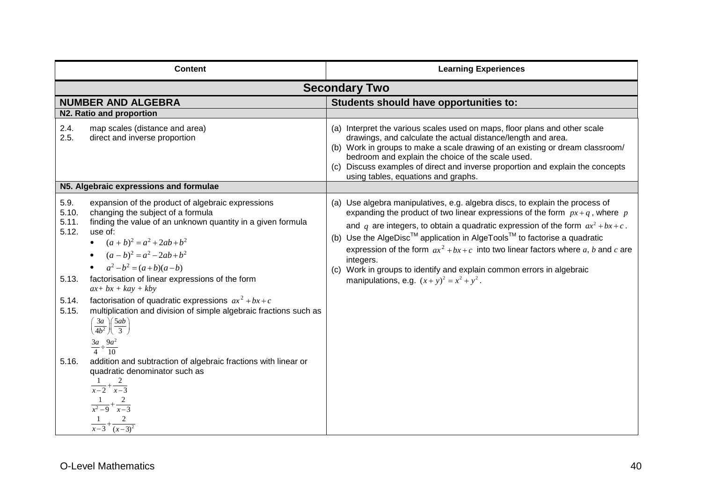|                                                            | <b>Content</b>                                                                                                                                                                                                                                                                                                                                                                                                                                                                                                                                                               | <b>Learning Experiences</b>                                                                                                                                                                                                                                                                                                                                                                                                                                                                                                                                                            |  |
|------------------------------------------------------------|------------------------------------------------------------------------------------------------------------------------------------------------------------------------------------------------------------------------------------------------------------------------------------------------------------------------------------------------------------------------------------------------------------------------------------------------------------------------------------------------------------------------------------------------------------------------------|----------------------------------------------------------------------------------------------------------------------------------------------------------------------------------------------------------------------------------------------------------------------------------------------------------------------------------------------------------------------------------------------------------------------------------------------------------------------------------------------------------------------------------------------------------------------------------------|--|
|                                                            | <b>Secondary Two</b>                                                                                                                                                                                                                                                                                                                                                                                                                                                                                                                                                         |                                                                                                                                                                                                                                                                                                                                                                                                                                                                                                                                                                                        |  |
|                                                            | <b>NUMBER AND ALGEBRA</b>                                                                                                                                                                                                                                                                                                                                                                                                                                                                                                                                                    | Students should have opportunities to:                                                                                                                                                                                                                                                                                                                                                                                                                                                                                                                                                 |  |
|                                                            | N2. Ratio and proportion                                                                                                                                                                                                                                                                                                                                                                                                                                                                                                                                                     |                                                                                                                                                                                                                                                                                                                                                                                                                                                                                                                                                                                        |  |
| 2.4.<br>2.5.                                               | map scales (distance and area)<br>direct and inverse proportion                                                                                                                                                                                                                                                                                                                                                                                                                                                                                                              | (a) Interpret the various scales used on maps, floor plans and other scale<br>drawings, and calculate the actual distance/length and area.<br>(b) Work in groups to make a scale drawing of an existing or dream classroom/<br>bedroom and explain the choice of the scale used.<br>Discuss examples of direct and inverse proportion and explain the concepts<br>(c)<br>using tables, equations and graphs.                                                                                                                                                                           |  |
|                                                            | N5. Algebraic expressions and formulae                                                                                                                                                                                                                                                                                                                                                                                                                                                                                                                                       |                                                                                                                                                                                                                                                                                                                                                                                                                                                                                                                                                                                        |  |
| 5.9.<br>5.10.<br>5.11.<br>5.12.<br>5.13.<br>5.14.<br>5.15. | expansion of the product of algebraic expressions<br>changing the subject of a formula<br>finding the value of an unknown quantity in a given formula<br>use of:<br>• $(a+b)^2 = a^2 + 2ab + b^2$<br>• $(a-b)^2 = a^2 - 2ab + b^2$<br>• $a^2-b^2 = (a+b)(a-b)$<br>factorisation of linear expressions of the form<br>$ax + bx + kay + kby$<br>factorisation of quadratic expressions $ax^2 + bx + c$<br>multiplication and division of simple algebraic fractions such as<br>$\left(\frac{3a}{4b^2}\right)\left(\frac{5ab}{3}\right)$<br>$\frac{3a}{4} \div \frac{9a^2}{10}$ | (a) Use algebra manipulatives, e.g. algebra discs, to explain the process of<br>expanding the product of two linear expressions of the form $px + q$ , where p<br>and q are integers, to obtain a quadratic expression of the form $ax^2 + bx + c$ .<br>(b) Use the AlgeDisc <sup>™</sup> application in AlgeTools <sup>™</sup> to factorise a quadratic<br>expression of the form $ax^2 + bx + c$ into two linear factors where a, b and c are<br>integers.<br>(c) Work in groups to identify and explain common errors in algebraic<br>manipulations, e.g. $(x + y)^2 = x^2 + y^2$ . |  |
| 5.16.                                                      | addition and subtraction of algebraic fractions with linear or<br>quadratic denominator such as<br>$\frac{1}{x-2}+\frac{2}{x-3}$<br>$\frac{1}{x^2-9}+\frac{2}{x-3}$<br>$\frac{1}{x-3} + \frac{2}{(x-3)^2}$                                                                                                                                                                                                                                                                                                                                                                   |                                                                                                                                                                                                                                                                                                                                                                                                                                                                                                                                                                                        |  |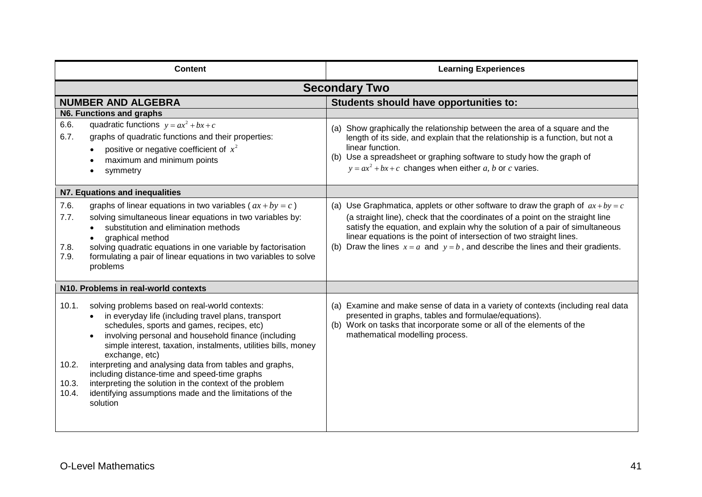| <b>Content</b>                                                                                                                                                                                                                                                                                                                                                                                                                                                                                                                                                                                | <b>Learning Experiences</b>                                                                                                                                                                                                                                                                                                                                                                                        |
|-----------------------------------------------------------------------------------------------------------------------------------------------------------------------------------------------------------------------------------------------------------------------------------------------------------------------------------------------------------------------------------------------------------------------------------------------------------------------------------------------------------------------------------------------------------------------------------------------|--------------------------------------------------------------------------------------------------------------------------------------------------------------------------------------------------------------------------------------------------------------------------------------------------------------------------------------------------------------------------------------------------------------------|
|                                                                                                                                                                                                                                                                                                                                                                                                                                                                                                                                                                                               | <b>Secondary Two</b>                                                                                                                                                                                                                                                                                                                                                                                               |
| <b>NUMBER AND ALGEBRA</b>                                                                                                                                                                                                                                                                                                                                                                                                                                                                                                                                                                     | Students should have opportunities to:                                                                                                                                                                                                                                                                                                                                                                             |
| N6. Functions and graphs                                                                                                                                                                                                                                                                                                                                                                                                                                                                                                                                                                      |                                                                                                                                                                                                                                                                                                                                                                                                                    |
| quadratic functions $y = ax^2 + bx + c$<br>6.6.<br>6.7.<br>graphs of quadratic functions and their properties:<br>positive or negative coefficient of $x^2$<br>maximum and minimum points<br>symmetry                                                                                                                                                                                                                                                                                                                                                                                         | (a) Show graphically the relationship between the area of a square and the<br>length of its side, and explain that the relationship is a function, but not a<br>linear function.<br>(b) Use a spreadsheet or graphing software to study how the graph of<br>$y = ax^2 + bx + c$ changes when either a, b or c varies.                                                                                              |
| N7. Equations and inequalities                                                                                                                                                                                                                                                                                                                                                                                                                                                                                                                                                                |                                                                                                                                                                                                                                                                                                                                                                                                                    |
| graphs of linear equations in two variables ( $ax + by = c$ )<br>7.6.<br>7.7.<br>solving simultaneous linear equations in two variables by:<br>substitution and elimination methods<br>graphical method<br>solving quadratic equations in one variable by factorisation<br>7.8.<br>formulating a pair of linear equations in two variables to solve<br>7.9.<br>problems                                                                                                                                                                                                                       | (a) Use Graphmatica, applets or other software to draw the graph of $ax + by = c$<br>(a straight line), check that the coordinates of a point on the straight line<br>satisfy the equation, and explain why the solution of a pair of simultaneous<br>linear equations is the point of intersection of two straight lines.<br>(b) Draw the lines $x = a$ and $y = b$ , and describe the lines and their gradients. |
| N10. Problems in real-world contexts                                                                                                                                                                                                                                                                                                                                                                                                                                                                                                                                                          |                                                                                                                                                                                                                                                                                                                                                                                                                    |
| 10.1.<br>solving problems based on real-world contexts:<br>in everyday life (including travel plans, transport<br>$\bullet$<br>schedules, sports and games, recipes, etc)<br>involving personal and household finance (including<br>simple interest, taxation, instalments, utilities bills, money<br>exchange, etc)<br>10.2.<br>interpreting and analysing data from tables and graphs,<br>including distance-time and speed-time graphs<br>interpreting the solution in the context of the problem<br>10.3.<br>identifying assumptions made and the limitations of the<br>10.4.<br>solution | (a) Examine and make sense of data in a variety of contexts (including real data<br>presented in graphs, tables and formulae/equations).<br>(b) Work on tasks that incorporate some or all of the elements of the<br>mathematical modelling process.                                                                                                                                                               |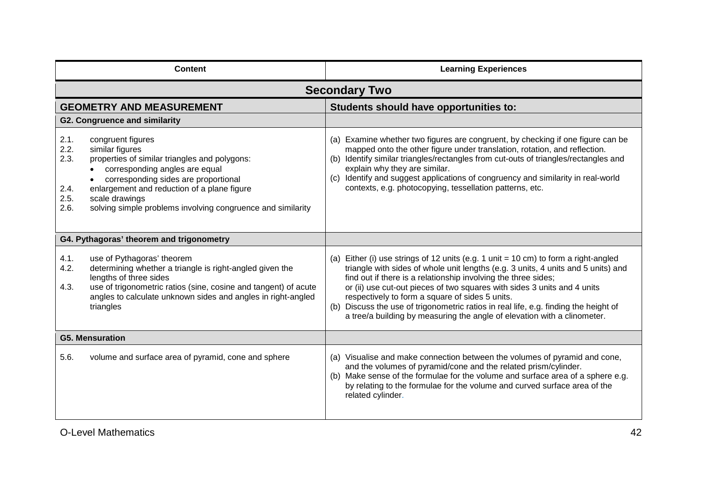| <b>Content</b>                               |                                                                                                                                                                                                                                                                                                 | <b>Learning Experiences</b>                                                                                                                                                                                                                                                                                                                                                                                                                                                                                                               |
|----------------------------------------------|-------------------------------------------------------------------------------------------------------------------------------------------------------------------------------------------------------------------------------------------------------------------------------------------------|-------------------------------------------------------------------------------------------------------------------------------------------------------------------------------------------------------------------------------------------------------------------------------------------------------------------------------------------------------------------------------------------------------------------------------------------------------------------------------------------------------------------------------------------|
|                                              |                                                                                                                                                                                                                                                                                                 | <b>Secondary Two</b>                                                                                                                                                                                                                                                                                                                                                                                                                                                                                                                      |
|                                              | <b>GEOMETRY AND MEASUREMENT</b>                                                                                                                                                                                                                                                                 | Students should have opportunities to:                                                                                                                                                                                                                                                                                                                                                                                                                                                                                                    |
|                                              | <b>G2. Congruence and similarity</b>                                                                                                                                                                                                                                                            |                                                                                                                                                                                                                                                                                                                                                                                                                                                                                                                                           |
| 2.1.<br>2.2.<br>2.3.<br>2.4.<br>2.5.<br>2.6. | congruent figures<br>similar figures<br>properties of similar triangles and polygons:<br>corresponding angles are equal<br>corresponding sides are proportional<br>enlargement and reduction of a plane figure<br>scale drawings<br>solving simple problems involving congruence and similarity | (a) Examine whether two figures are congruent, by checking if one figure can be<br>mapped onto the other figure under translation, rotation, and reflection.<br>(b) Identify similar triangles/rectangles from cut-outs of triangles/rectangles and<br>explain why they are similar.<br>(c) Identify and suggest applications of congruency and similarity in real-world<br>contexts, e.g. photocopying, tessellation patterns, etc.                                                                                                      |
|                                              | G4. Pythagoras' theorem and trigonometry                                                                                                                                                                                                                                                        |                                                                                                                                                                                                                                                                                                                                                                                                                                                                                                                                           |
| 4.1.<br>4.2.<br>4.3.                         | use of Pythagoras' theorem<br>determining whether a triangle is right-angled given the<br>lengths of three sides<br>use of trigonometric ratios (sine, cosine and tangent) of acute<br>angles to calculate unknown sides and angles in right-angled<br>triangles                                | Either (i) use strings of 12 units (e.g. 1 unit = 10 cm) to form a right-angled<br>triangle with sides of whole unit lengths (e.g. 3 units, 4 units and 5 units) and<br>find out if there is a relationship involving the three sides;<br>or (ii) use cut-out pieces of two squares with sides 3 units and 4 units<br>respectively to form a square of sides 5 units.<br>(b) Discuss the use of trigonometric ratios in real life, e.g. finding the height of<br>a tree/a building by measuring the angle of elevation with a clinometer. |
| <b>G5. Mensuration</b>                       |                                                                                                                                                                                                                                                                                                 |                                                                                                                                                                                                                                                                                                                                                                                                                                                                                                                                           |
| 5.6.                                         | volume and surface area of pyramid, cone and sphere                                                                                                                                                                                                                                             | (a) Visualise and make connection between the volumes of pyramid and cone,<br>and the volumes of pyramid/cone and the related prism/cylinder.<br>(b) Make sense of the formulae for the volume and surface area of a sphere e.g.<br>by relating to the formulae for the volume and curved surface area of the<br>related cylinder.                                                                                                                                                                                                        |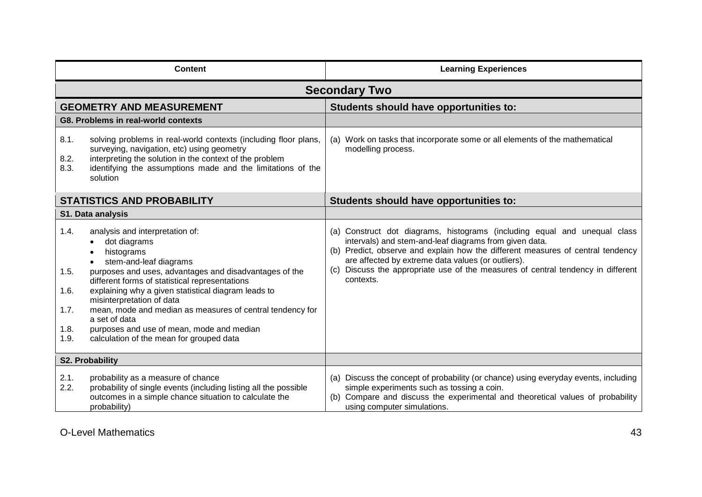| <b>Content</b>                                                                                                                                                                                                                                                                                                                                                                                                                                                                                                 |                                                                                                                                                                                                                                                     | <b>Learning Experiences</b>                                                                                                                                                                                                                                                                                                                                                   |
|----------------------------------------------------------------------------------------------------------------------------------------------------------------------------------------------------------------------------------------------------------------------------------------------------------------------------------------------------------------------------------------------------------------------------------------------------------------------------------------------------------------|-----------------------------------------------------------------------------------------------------------------------------------------------------------------------------------------------------------------------------------------------------|-------------------------------------------------------------------------------------------------------------------------------------------------------------------------------------------------------------------------------------------------------------------------------------------------------------------------------------------------------------------------------|
|                                                                                                                                                                                                                                                                                                                                                                                                                                                                                                                |                                                                                                                                                                                                                                                     | <b>Secondary Two</b>                                                                                                                                                                                                                                                                                                                                                          |
|                                                                                                                                                                                                                                                                                                                                                                                                                                                                                                                | <b>GEOMETRY AND MEASUREMENT</b>                                                                                                                                                                                                                     | Students should have opportunities to:                                                                                                                                                                                                                                                                                                                                        |
|                                                                                                                                                                                                                                                                                                                                                                                                                                                                                                                | G8. Problems in real-world contexts                                                                                                                                                                                                                 |                                                                                                                                                                                                                                                                                                                                                                               |
| 8.1.<br>8.2.<br>8.3.                                                                                                                                                                                                                                                                                                                                                                                                                                                                                           | solving problems in real-world contexts (including floor plans,<br>surveying, navigation, etc) using geometry<br>interpreting the solution in the context of the problem<br>identifying the assumptions made and the limitations of the<br>solution | (a) Work on tasks that incorporate some or all elements of the mathematical<br>modelling process.                                                                                                                                                                                                                                                                             |
| <b>STATISTICS AND PROBABILITY</b>                                                                                                                                                                                                                                                                                                                                                                                                                                                                              |                                                                                                                                                                                                                                                     | Students should have opportunities to:                                                                                                                                                                                                                                                                                                                                        |
|                                                                                                                                                                                                                                                                                                                                                                                                                                                                                                                | S1. Data analysis                                                                                                                                                                                                                                   |                                                                                                                                                                                                                                                                                                                                                                               |
| 1.4.<br>analysis and interpretation of:<br>dot diagrams<br>histograms<br>stem-and-leaf diagrams<br>purposes and uses, advantages and disadvantages of the<br>1.5.<br>different forms of statistical representations<br>explaining why a given statistical diagram leads to<br>1.6.<br>misinterpretation of data<br>1.7.<br>mean, mode and median as measures of central tendency for<br>a set of data<br>1.8.<br>purposes and use of mean, mode and median<br>1.9.<br>calculation of the mean for grouped data |                                                                                                                                                                                                                                                     | (a) Construct dot diagrams, histograms (including equal and unequal class<br>intervals) and stem-and-leaf diagrams from given data.<br>(b) Predict, observe and explain how the different measures of central tendency<br>are affected by extreme data values (or outliers).<br>(c) Discuss the appropriate use of the measures of central tendency in different<br>contexts. |
|                                                                                                                                                                                                                                                                                                                                                                                                                                                                                                                | <b>S2. Probability</b>                                                                                                                                                                                                                              |                                                                                                                                                                                                                                                                                                                                                                               |
| 2.1.<br>2.2.                                                                                                                                                                                                                                                                                                                                                                                                                                                                                                   | probability as a measure of chance<br>probability of single events (including listing all the possible<br>outcomes in a simple chance situation to calculate the<br>probability)                                                                    | (a) Discuss the concept of probability (or chance) using everyday events, including<br>simple experiments such as tossing a coin.<br>(b) Compare and discuss the experimental and theoretical values of probability<br>using computer simulations.                                                                                                                            |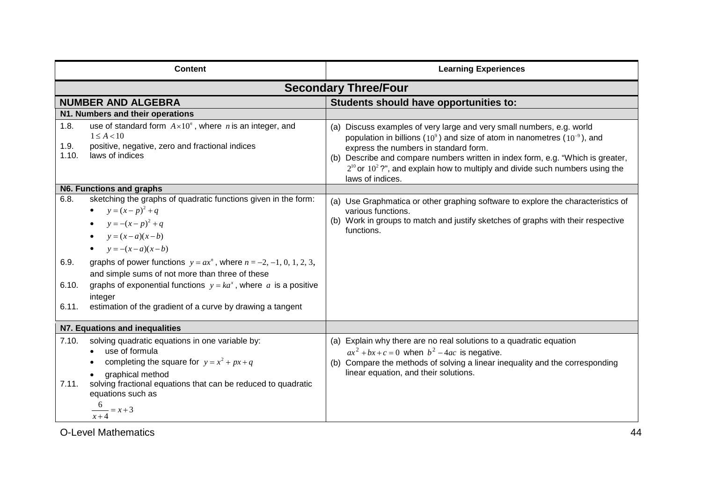| <b>Content</b>                 |                                                                                                                                                                                                                                                                                                                                                                                                                                  | <b>Learning Experiences</b>                                                                                                                                                                                                                                                                                                                                                                          |  |
|--------------------------------|----------------------------------------------------------------------------------------------------------------------------------------------------------------------------------------------------------------------------------------------------------------------------------------------------------------------------------------------------------------------------------------------------------------------------------|------------------------------------------------------------------------------------------------------------------------------------------------------------------------------------------------------------------------------------------------------------------------------------------------------------------------------------------------------------------------------------------------------|--|
| <b>Secondary Three/Four</b>    |                                                                                                                                                                                                                                                                                                                                                                                                                                  |                                                                                                                                                                                                                                                                                                                                                                                                      |  |
|                                | <b>NUMBER AND ALGEBRA</b>                                                                                                                                                                                                                                                                                                                                                                                                        | Students should have opportunities to:                                                                                                                                                                                                                                                                                                                                                               |  |
|                                | N1. Numbers and their operations                                                                                                                                                                                                                                                                                                                                                                                                 |                                                                                                                                                                                                                                                                                                                                                                                                      |  |
| 1.8.<br>1.9.<br>1.10.          | use of standard form $A \times 10^n$ , where <i>n</i> is an integer, and<br>$1 \leq A < 10$<br>positive, negative, zero and fractional indices<br>laws of indices                                                                                                                                                                                                                                                                | (a) Discuss examples of very large and very small numbers, e.g. world<br>population in billions ( $10^9$ ) and size of atom in nanometres ( $10^{-9}$ ), and<br>express the numbers in standard form.<br>(b) Describe and compare numbers written in index form, e.g. "Which is greater,<br>$2^{10}$ or $10^2$ ?", and explain how to multiply and divide such numbers using the<br>laws of indices. |  |
|                                | N6. Functions and graphs                                                                                                                                                                                                                                                                                                                                                                                                         |                                                                                                                                                                                                                                                                                                                                                                                                      |  |
| 6.8.<br>6.9.<br>6.10.<br>6.11. | sketching the graphs of quadratic functions given in the form:<br>• $y = (x-p)^2 + q$<br>• $y = -(x-p)^2 + q$<br>$y=(x-a)(x-b)$<br>$y = -(x-a)(x-b)$<br>graphs of power functions $y = ax^n$ , where $n = -2, -1, 0, 1, 2, 3,$<br>and simple sums of not more than three of these<br>graphs of exponential functions $y = ka^x$ , where a is a positive<br>integer<br>estimation of the gradient of a curve by drawing a tangent | (a) Use Graphmatica or other graphing software to explore the characteristics of<br>various functions.<br>(b) Work in groups to match and justify sketches of graphs with their respective<br>functions.                                                                                                                                                                                             |  |
|                                | N7. Equations and inequalities                                                                                                                                                                                                                                                                                                                                                                                                   |                                                                                                                                                                                                                                                                                                                                                                                                      |  |
| 7.10.<br>7.11.                 | solving quadratic equations in one variable by:<br>use of formula<br>completing the square for $y = x^2 + px + q$<br>graphical method<br>solving fractional equations that can be reduced to quadratic<br>equations such as<br>$\frac{x+4}{x+4} = x+3$                                                                                                                                                                           | (a) Explain why there are no real solutions to a quadratic equation<br>$ax^{2} + bx + c = 0$ when $b^{2} - 4ac$ is negative.<br>(b) Compare the methods of solving a linear inequality and the corresponding<br>linear equation, and their solutions.                                                                                                                                                |  |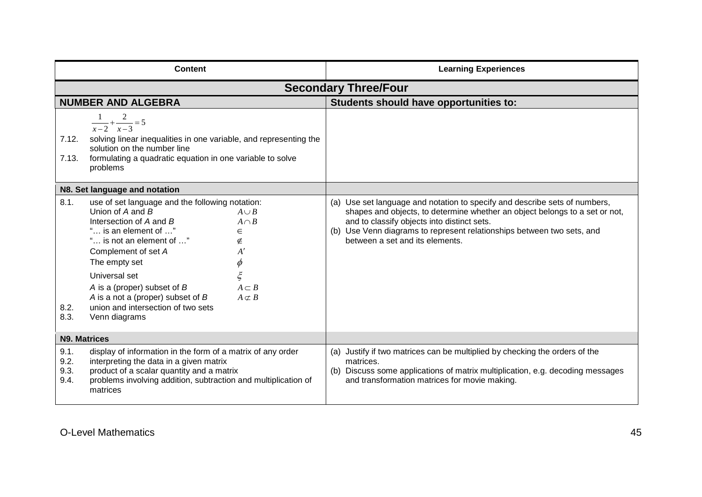| <b>Content</b>                                                                                                                                                                                                                                                                                                                                                                                                                                                                                       |                                                                                                                                                                                                                                   | <b>Learning Experiences</b>                                                                                                                                                                                                                                                                                           |
|------------------------------------------------------------------------------------------------------------------------------------------------------------------------------------------------------------------------------------------------------------------------------------------------------------------------------------------------------------------------------------------------------------------------------------------------------------------------------------------------------|-----------------------------------------------------------------------------------------------------------------------------------------------------------------------------------------------------------------------------------|-----------------------------------------------------------------------------------------------------------------------------------------------------------------------------------------------------------------------------------------------------------------------------------------------------------------------|
|                                                                                                                                                                                                                                                                                                                                                                                                                                                                                                      |                                                                                                                                                                                                                                   | <b>Secondary Three/Four</b>                                                                                                                                                                                                                                                                                           |
|                                                                                                                                                                                                                                                                                                                                                                                                                                                                                                      | <b>NUMBER AND ALGEBRA</b>                                                                                                                                                                                                         | Students should have opportunities to:                                                                                                                                                                                                                                                                                |
| 7.12.<br>7.13.                                                                                                                                                                                                                                                                                                                                                                                                                                                                                       | $\frac{1}{x-2} + \frac{2}{x-3} = 5$<br>solving linear inequalities in one variable, and representing the<br>solution on the number line<br>formulating a quadratic equation in one variable to solve<br>problems                  |                                                                                                                                                                                                                                                                                                                       |
|                                                                                                                                                                                                                                                                                                                                                                                                                                                                                                      |                                                                                                                                                                                                                                   |                                                                                                                                                                                                                                                                                                                       |
| N8. Set language and notation<br>8.1.<br>use of set language and the following notation:<br>Union of A and B<br>$A \cup B$<br>Intersection of A and B<br>$A \cap B$<br>is an element of "<br>$\in$<br>" is not an element of "<br>∉<br>Complement of set A<br>A'<br>$\phi$<br>The empty set<br>$\xi$<br>Universal set<br>A is a (proper) subset of B<br>$A \subset B$<br>A is a not a (proper) subset of $B$<br>$A \subset B$<br>union and intersection of two sets<br>8.2.<br>8.3.<br>Venn diagrams |                                                                                                                                                                                                                                   | (a) Use set language and notation to specify and describe sets of numbers,<br>shapes and objects, to determine whether an object belongs to a set or not,<br>and to classify objects into distinct sets.<br>(b) Use Venn diagrams to represent relationships between two sets, and<br>between a set and its elements. |
| <b>N9. Matrices</b>                                                                                                                                                                                                                                                                                                                                                                                                                                                                                  |                                                                                                                                                                                                                                   |                                                                                                                                                                                                                                                                                                                       |
| 9.1.<br>9.2.<br>9.3.<br>9.4.                                                                                                                                                                                                                                                                                                                                                                                                                                                                         | display of information in the form of a matrix of any order<br>interpreting the data in a given matrix<br>product of a scalar quantity and a matrix<br>problems involving addition, subtraction and multiplication of<br>matrices | (a) Justify if two matrices can be multiplied by checking the orders of the<br>matrices.<br>(b) Discuss some applications of matrix multiplication, e.g. decoding messages<br>and transformation matrices for movie making.                                                                                           |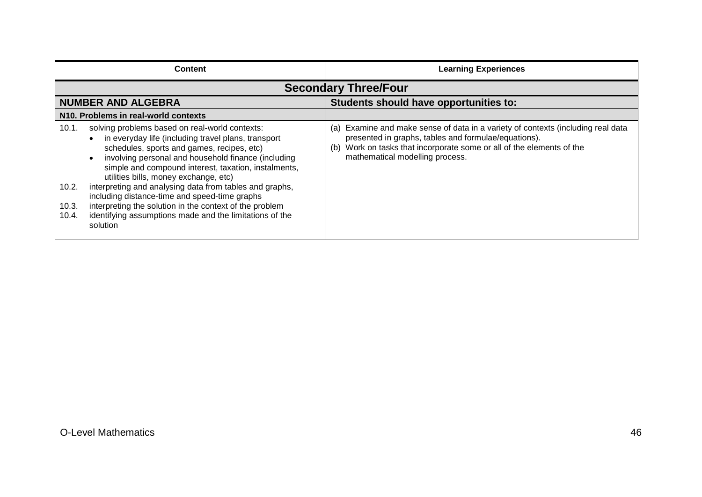| <b>Content</b>                                                                                                                                                                                                                                                                                                                                                                                                                                                                                                                                                                                | <b>Learning Experiences</b>                                                                                                                                                                                                                                |
|-----------------------------------------------------------------------------------------------------------------------------------------------------------------------------------------------------------------------------------------------------------------------------------------------------------------------------------------------------------------------------------------------------------------------------------------------------------------------------------------------------------------------------------------------------------------------------------------------|------------------------------------------------------------------------------------------------------------------------------------------------------------------------------------------------------------------------------------------------------------|
|                                                                                                                                                                                                                                                                                                                                                                                                                                                                                                                                                                                               | <b>Secondary Three/Four</b>                                                                                                                                                                                                                                |
| <b>NUMBER AND ALGEBRA</b>                                                                                                                                                                                                                                                                                                                                                                                                                                                                                                                                                                     | Students should have opportunities to:                                                                                                                                                                                                                     |
| N10. Problems in real-world contexts                                                                                                                                                                                                                                                                                                                                                                                                                                                                                                                                                          |                                                                                                                                                                                                                                                            |
| solving problems based on real-world contexts:<br>10.1.<br>in everyday life (including travel plans, transport<br>schedules, sports and games, recipes, etc)<br>involving personal and household finance (including<br>simple and compound interest, taxation, instalments,<br>utilities bills, money exchange, etc)<br>interpreting and analysing data from tables and graphs,<br>10.2.<br>including distance-time and speed-time graphs<br>interpreting the solution in the context of the problem<br>10.3.<br>identifying assumptions made and the limitations of the<br>10.4.<br>solution | Examine and make sense of data in a variety of contexts (including real data<br>(a)<br>presented in graphs, tables and formulae/equations).<br>Work on tasks that incorporate some or all of the elements of the<br>(b)<br>mathematical modelling process. |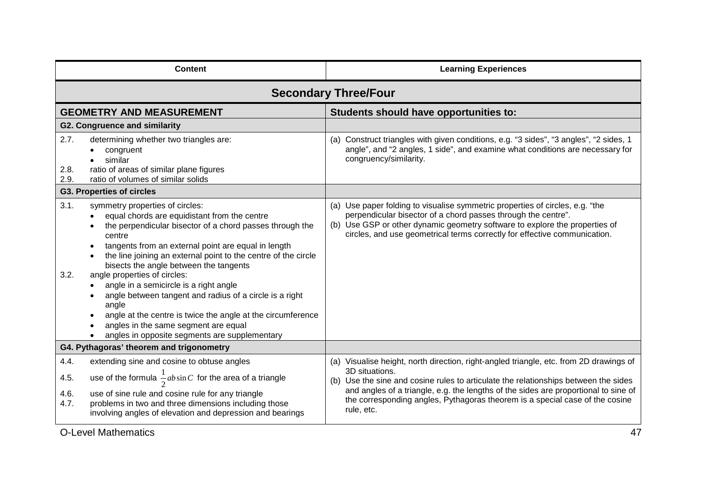| <b>Content</b>                                                                                                                                                                                                                                                                                                                                                                                                                                                                                                                                                                                                                                 | <b>Learning Experiences</b>                                                                                                                                                                                                                                                                                                                                                          |
|------------------------------------------------------------------------------------------------------------------------------------------------------------------------------------------------------------------------------------------------------------------------------------------------------------------------------------------------------------------------------------------------------------------------------------------------------------------------------------------------------------------------------------------------------------------------------------------------------------------------------------------------|--------------------------------------------------------------------------------------------------------------------------------------------------------------------------------------------------------------------------------------------------------------------------------------------------------------------------------------------------------------------------------------|
|                                                                                                                                                                                                                                                                                                                                                                                                                                                                                                                                                                                                                                                | <b>Secondary Three/Four</b>                                                                                                                                                                                                                                                                                                                                                          |
| <b>GEOMETRY AND MEASUREMENT</b>                                                                                                                                                                                                                                                                                                                                                                                                                                                                                                                                                                                                                | Students should have opportunities to:                                                                                                                                                                                                                                                                                                                                               |
| <b>G2. Congruence and similarity</b>                                                                                                                                                                                                                                                                                                                                                                                                                                                                                                                                                                                                           |                                                                                                                                                                                                                                                                                                                                                                                      |
| 2.7.<br>determining whether two triangles are:<br>congruent<br>similar<br>ratio of areas of similar plane figures<br>2.8.<br>ratio of volumes of similar solids<br>2.9.                                                                                                                                                                                                                                                                                                                                                                                                                                                                        | (a) Construct triangles with given conditions, e.g. "3 sides", "3 angles", "2 sides, 1<br>angle", and "2 angles, 1 side", and examine what conditions are necessary for<br>congruency/similarity.                                                                                                                                                                                    |
| <b>G3. Properties of circles</b>                                                                                                                                                                                                                                                                                                                                                                                                                                                                                                                                                                                                               |                                                                                                                                                                                                                                                                                                                                                                                      |
| 3.1.<br>symmetry properties of circles:<br>equal chords are equidistant from the centre<br>the perpendicular bisector of a chord passes through the<br>centre<br>tangents from an external point are equal in length<br>the line joining an external point to the centre of the circle<br>bisects the angle between the tangents<br>3.2.<br>angle properties of circles:<br>angle in a semicircle is a right angle<br>angle between tangent and radius of a circle is a right<br>angle<br>angle at the centre is twice the angle at the circumference<br>angles in the same segment are equal<br>angles in opposite segments are supplementary | (a) Use paper folding to visualise symmetric properties of circles, e.g. "the<br>perpendicular bisector of a chord passes through the centre".<br>(b) Use GSP or other dynamic geometry software to explore the properties of<br>circles, and use geometrical terms correctly for effective communication.                                                                           |
| G4. Pythagoras' theorem and trigonometry                                                                                                                                                                                                                                                                                                                                                                                                                                                                                                                                                                                                       |                                                                                                                                                                                                                                                                                                                                                                                      |
| 4.4.<br>extending sine and cosine to obtuse angles<br>use of the formula $\frac{1}{2}ab\sin C$ for the area of a triangle<br>4.5.<br>4.6.<br>use of sine rule and cosine rule for any triangle<br>problems in two and three dimensions including those<br>4.7.<br>involving angles of elevation and depression and bearings                                                                                                                                                                                                                                                                                                                    | (a) Visualise height, north direction, right-angled triangle, etc. from 2D drawings of<br>3D situations.<br>(b) Use the sine and cosine rules to articulate the relationships between the sides<br>and angles of a triangle, e.g. the lengths of the sides are proportional to sine of<br>the corresponding angles, Pythagoras theorem is a special case of the cosine<br>rule, etc. |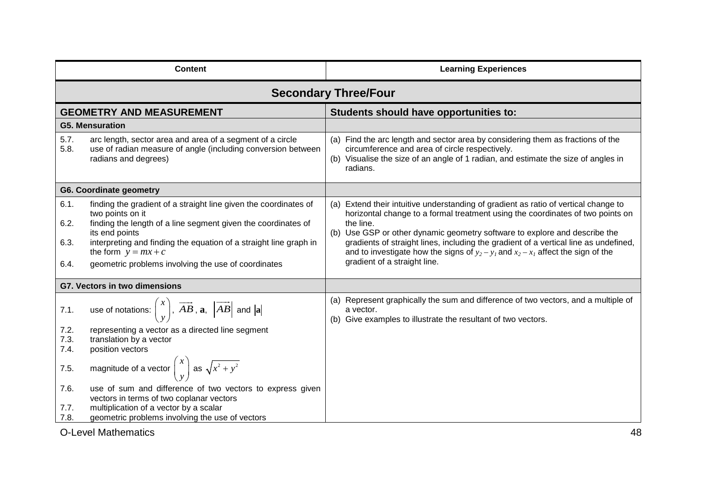| <b>Content</b>               |                                                                                                                                                                                                                                                                                                                              | <b>Learning Experiences</b>                                                                                                                                                                                                                                                                                                                                                                                                                                                        |
|------------------------------|------------------------------------------------------------------------------------------------------------------------------------------------------------------------------------------------------------------------------------------------------------------------------------------------------------------------------|------------------------------------------------------------------------------------------------------------------------------------------------------------------------------------------------------------------------------------------------------------------------------------------------------------------------------------------------------------------------------------------------------------------------------------------------------------------------------------|
|                              |                                                                                                                                                                                                                                                                                                                              | <b>Secondary Three/Four</b>                                                                                                                                                                                                                                                                                                                                                                                                                                                        |
|                              | <b>GEOMETRY AND MEASUREMENT</b>                                                                                                                                                                                                                                                                                              | Students should have opportunities to:                                                                                                                                                                                                                                                                                                                                                                                                                                             |
|                              | <b>G5. Mensuration</b>                                                                                                                                                                                                                                                                                                       |                                                                                                                                                                                                                                                                                                                                                                                                                                                                                    |
| 5.7.<br>5.8.                 | arc length, sector area and area of a segment of a circle<br>use of radian measure of angle (including conversion between<br>radians and degrees)                                                                                                                                                                            | (a) Find the arc length and sector area by considering them as fractions of the<br>circumference and area of circle respectively.<br>(b) Visualise the size of an angle of 1 radian, and estimate the size of angles in<br>radians.                                                                                                                                                                                                                                                |
|                              | <b>G6. Coordinate geometry</b>                                                                                                                                                                                                                                                                                               |                                                                                                                                                                                                                                                                                                                                                                                                                                                                                    |
| 6.1.<br>6.2.<br>6.3.<br>6.4. | finding the gradient of a straight line given the coordinates of<br>two points on it<br>finding the length of a line segment given the coordinates of<br>its end points<br>interpreting and finding the equation of a straight line graph in<br>the form $y = mx + c$<br>geometric problems involving the use of coordinates | (a) Extend their intuitive understanding of gradient as ratio of vertical change to<br>horizontal change to a formal treatment using the coordinates of two points on<br>the line.<br>(b) Use GSP or other dynamic geometry software to explore and describe the<br>gradients of straight lines, including the gradient of a vertical line as undefined,<br>and to investigate how the signs of $y_2 - y_1$ and $x_2 - x_1$ affect the sign of the<br>gradient of a straight line. |
|                              | <b>G7. Vectors in two dimensions</b>                                                                                                                                                                                                                                                                                         |                                                                                                                                                                                                                                                                                                                                                                                                                                                                                    |
| 7.1.                         | use of notations: $\begin{pmatrix} x \\ y \end{pmatrix}$ , $\overrightarrow{AB}$ , $\mathbf{a}$ , $\left  \overrightarrow{AB} \right $ and $\left  \mathbf{a} \right $                                                                                                                                                       | (a) Represent graphically the sum and difference of two vectors, and a multiple of<br>a vector.<br>(b) Give examples to illustrate the resultant of two vectors.                                                                                                                                                                                                                                                                                                                   |
| 7.2.<br>7.3.                 | representing a vector as a directed line segment                                                                                                                                                                                                                                                                             |                                                                                                                                                                                                                                                                                                                                                                                                                                                                                    |
| 7.4.                         | translation by a vector<br>position vectors                                                                                                                                                                                                                                                                                  |                                                                                                                                                                                                                                                                                                                                                                                                                                                                                    |
| 7.5.                         | magnitude of a vector $\begin{pmatrix} x \\ y \end{pmatrix}$ as $\sqrt{x^2 + y^2}$                                                                                                                                                                                                                                           |                                                                                                                                                                                                                                                                                                                                                                                                                                                                                    |
| 7.6.<br>7.7.                 | use of sum and difference of two vectors to express given<br>vectors in terms of two coplanar vectors<br>multiplication of a vector by a scalar                                                                                                                                                                              |                                                                                                                                                                                                                                                                                                                                                                                                                                                                                    |
| 7.8.                         | geometric problems involving the use of vectors                                                                                                                                                                                                                                                                              |                                                                                                                                                                                                                                                                                                                                                                                                                                                                                    |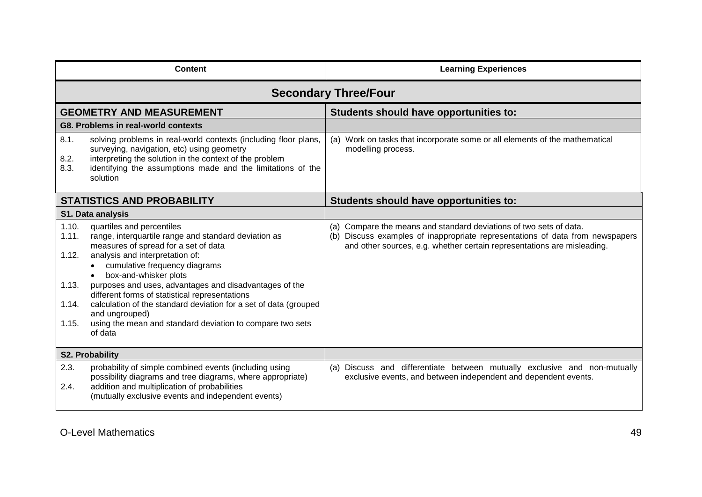| <b>Content</b>                                     |                                                                                                                                                                                                                                                                                                                                                                                                                                                                                                    | <b>Learning Experiences</b>                                                                                                                                                                                                    |
|----------------------------------------------------|----------------------------------------------------------------------------------------------------------------------------------------------------------------------------------------------------------------------------------------------------------------------------------------------------------------------------------------------------------------------------------------------------------------------------------------------------------------------------------------------------|--------------------------------------------------------------------------------------------------------------------------------------------------------------------------------------------------------------------------------|
|                                                    |                                                                                                                                                                                                                                                                                                                                                                                                                                                                                                    | <b>Secondary Three/Four</b>                                                                                                                                                                                                    |
|                                                    | <b>GEOMETRY AND MEASUREMENT</b>                                                                                                                                                                                                                                                                                                                                                                                                                                                                    | Students should have opportunities to:                                                                                                                                                                                         |
|                                                    | G8. Problems in real-world contexts                                                                                                                                                                                                                                                                                                                                                                                                                                                                |                                                                                                                                                                                                                                |
| 8.1.<br>8.2.<br>8.3.                               | solving problems in real-world contexts (including floor plans,<br>surveying, navigation, etc) using geometry<br>interpreting the solution in the context of the problem<br>identifying the assumptions made and the limitations of the<br>solution                                                                                                                                                                                                                                                | (a) Work on tasks that incorporate some or all elements of the mathematical<br>modelling process.                                                                                                                              |
|                                                    | <b>STATISTICS AND PROBABILITY</b>                                                                                                                                                                                                                                                                                                                                                                                                                                                                  | Students should have opportunities to:                                                                                                                                                                                         |
|                                                    | <b>S1. Data analysis</b>                                                                                                                                                                                                                                                                                                                                                                                                                                                                           |                                                                                                                                                                                                                                |
| 1.10.<br>1.11.<br>1.12.<br>1.13.<br>1.14.<br>1.15. | quartiles and percentiles<br>range, interquartile range and standard deviation as<br>measures of spread for a set of data<br>analysis and interpretation of:<br>• cumulative frequency diagrams<br>box-and-whisker plots<br>purposes and uses, advantages and disadvantages of the<br>different forms of statistical representations<br>calculation of the standard deviation for a set of data (grouped<br>and ungrouped)<br>using the mean and standard deviation to compare two sets<br>of data | (a) Compare the means and standard deviations of two sets of data.<br>(b) Discuss examples of inappropriate representations of data from newspapers<br>and other sources, e.g. whether certain representations are misleading. |
| <b>S2. Probability</b>                             |                                                                                                                                                                                                                                                                                                                                                                                                                                                                                                    |                                                                                                                                                                                                                                |
| 2.3.<br>2.4.                                       | probability of simple combined events (including using<br>possibility diagrams and tree diagrams, where appropriate)<br>addition and multiplication of probabilities<br>(mutually exclusive events and independent events)                                                                                                                                                                                                                                                                         | (a) Discuss and differentiate between mutually exclusive and non-mutually<br>exclusive events, and between independent and dependent events.                                                                                   |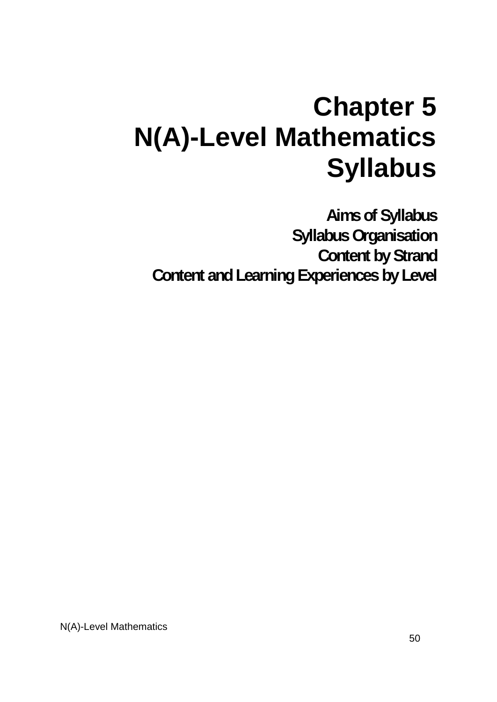# **Chapter 5 N(A)-Level Mathematics Syllabus**

**Aims of Syllabus Syllabus Organisation Content by Strand Content and Learning Experiences by Level**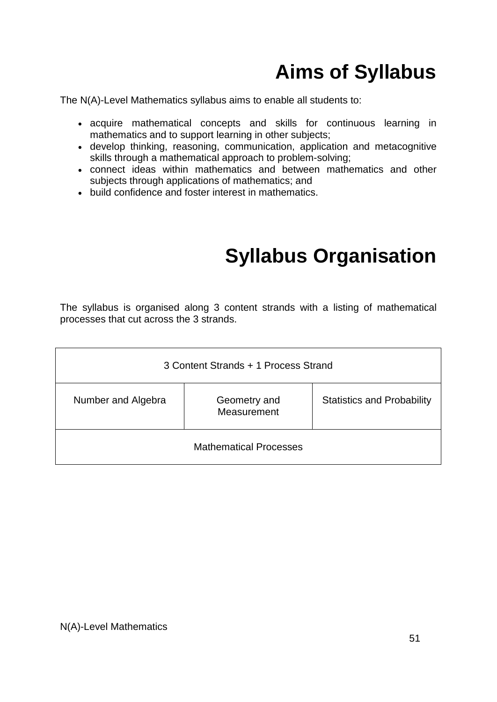# **Aims of Syllabus**

The N(A)-Level Mathematics syllabus aims to enable all students to:

- acquire mathematical concepts and skills for continuous learning in mathematics and to support learning in other subjects;
- develop thinking, reasoning, communication, application and metacognitive skills through a mathematical approach to problem-solving;
- connect ideas within mathematics and between mathematics and other subjects through applications of mathematics; and
- build confidence and foster interest in mathematics.

## **Syllabus Organisation**

The syllabus is organised along 3 content strands with a listing of mathematical processes that cut across the 3 strands.

| 3 Content Strands + 1 Process Strand              |  |                                   |
|---------------------------------------------------|--|-----------------------------------|
| Number and Algebra<br>Geometry and<br>Measurement |  | <b>Statistics and Probability</b> |
| <b>Mathematical Processes</b>                     |  |                                   |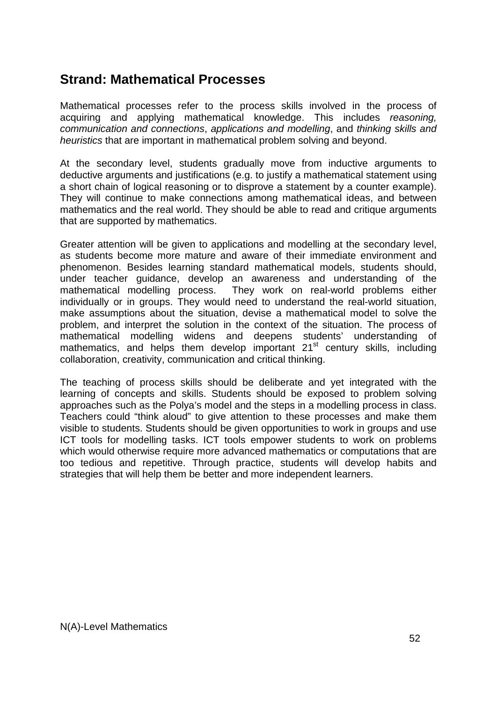### **Strand: Mathematical Processes**

Mathematical processes refer to the process skills involved in the process of acquiring and applying mathematical knowledge. This includes *reasoning, communication and connections*, *applications and modelling*, and *thinking skills and heuristics* that are important in mathematical problem solving and beyond.

At the secondary level, students gradually move from inductive arguments to deductive arguments and justifications (e.g. to justify a mathematical statement using a short chain of logical reasoning or to disprove a statement by a counter example). They will continue to make connections among mathematical ideas, and between mathematics and the real world. They should be able to read and critique arguments that are supported by mathematics.

Greater attention will be given to applications and modelling at the secondary level, as students become more mature and aware of their immediate environment and phenomenon. Besides learning standard mathematical models, students should, under teacher guidance, develop an awareness and understanding of the mathematical modelling process. They work on real-world problems either individually or in groups. They would need to understand the real-world situation, make assumptions about the situation, devise a mathematical model to solve the problem, and interpret the solution in the context of the situation. The process of mathematical modelling widens and deepens students' understanding of mathematics, and helps them develop important 21<sup>st</sup> century skills, including collaboration, creativity, communication and critical thinking.

The teaching of process skills should be deliberate and yet integrated with the learning of concepts and skills. Students should be exposed to problem solving approaches such as the Polya's model and the steps in a modelling process in class. Teachers could "think aloud" to give attention to these processes and make them visible to students. Students should be given opportunities to work in groups and use ICT tools for modelling tasks. ICT tools empower students to work on problems which would otherwise require more advanced mathematics or computations that are too tedious and repetitive. Through practice, students will develop habits and strategies that will help them be better and more independent learners.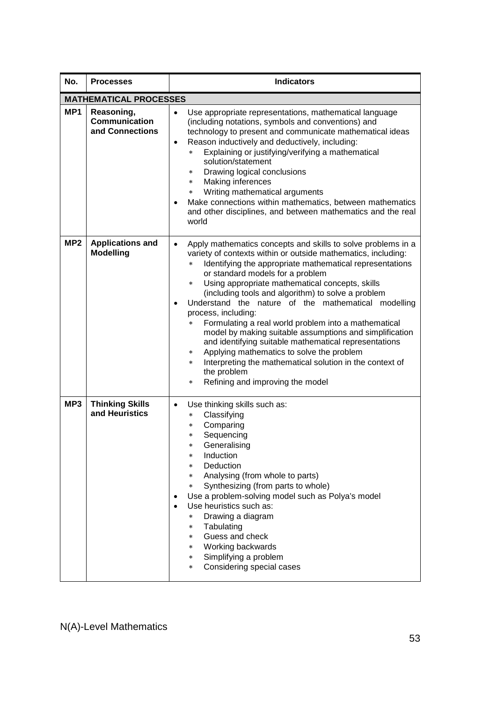| No.             | <b>Processes</b>                               | <b>Indicators</b>                                                                                                                                                                                                                                                                                                                                                                                                                                                                                                                                                                                                                                                                                                                                                                                                                                      |  |
|-----------------|------------------------------------------------|--------------------------------------------------------------------------------------------------------------------------------------------------------------------------------------------------------------------------------------------------------------------------------------------------------------------------------------------------------------------------------------------------------------------------------------------------------------------------------------------------------------------------------------------------------------------------------------------------------------------------------------------------------------------------------------------------------------------------------------------------------------------------------------------------------------------------------------------------------|--|
|                 | <b>MATHEMATICAL PROCESSES</b>                  |                                                                                                                                                                                                                                                                                                                                                                                                                                                                                                                                                                                                                                                                                                                                                                                                                                                        |  |
| MP <sub>1</sub> | Reasoning,<br>Communication<br>and Connections | Use appropriate representations, mathematical language<br>$\bullet$<br>(including notations, symbols and conventions) and<br>technology to present and communicate mathematical ideas<br>Reason inductively and deductively, including:<br>$\bullet$<br>Explaining or justifying/verifying a mathematical<br>$\star$<br>solution/statement<br>Drawing logical conclusions<br>$\ast$<br>Making inferences<br>$\star$<br>Writing mathematical arguments<br>$\star$<br>Make connections within mathematics, between mathematics<br>and other disciplines, and between mathematics and the real<br>world                                                                                                                                                                                                                                                   |  |
| MP <sub>2</sub> | <b>Applications and</b><br><b>Modelling</b>    | Apply mathematics concepts and skills to solve problems in a<br>$\bullet$<br>variety of contexts within or outside mathematics, including:<br>Identifying the appropriate mathematical representations<br>$\ast$<br>or standard models for a problem<br>Using appropriate mathematical concepts, skills<br>$\star$<br>(including tools and algorithm) to solve a problem<br>Understand the nature of the mathematical modelling<br>$\bullet$<br>process, including:<br>Formulating a real world problem into a mathematical<br>$\star$<br>model by making suitable assumptions and simplification<br>and identifying suitable mathematical representations<br>Applying mathematics to solve the problem<br>$\ast$<br>Interpreting the mathematical solution in the context of<br>$\star$<br>the problem<br>Refining and improving the model<br>$\star$ |  |
| MP3             | <b>Thinking Skills</b><br>and Heuristics       | Use thinking skills such as:<br>$\bullet$<br>Classifying<br>$\star$<br>Comparing<br>$\star$<br>Sequencing<br>$\ast$<br>Generalising<br>Induction<br>$\ast$<br>Deduction<br>$\ast$<br>Analysing (from whole to parts)<br>$\star$<br>Synthesizing (from parts to whole)<br>$\star$<br>Use a problem-solving model such as Polya's model<br>Use heuristics such as:<br>Drawing a diagram<br>$\star$<br>Tabulating<br>$\star$<br>Guess and check<br>$\star$<br>Working backwards<br>$\star$<br>Simplifying a problem<br>*.<br>Considering special cases<br>$\star$                                                                                                                                                                                                                                                                                         |  |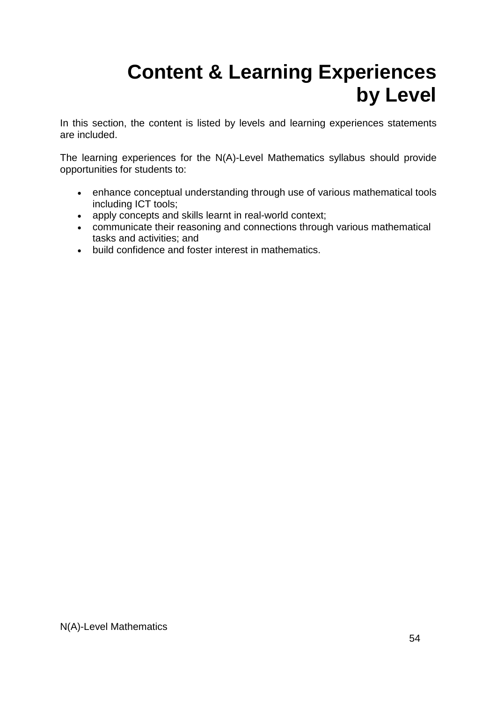# **Content & Learning Experiences by Level**

In this section, the content is listed by levels and learning experiences statements are included.

The learning experiences for the N(A)-Level Mathematics syllabus should provide opportunities for students to:

- enhance conceptual understanding through use of various mathematical tools including ICT tools;
- apply concepts and skills learnt in real-world context;
- communicate their reasoning and connections through various mathematical tasks and activities; and
- build confidence and foster interest in mathematics.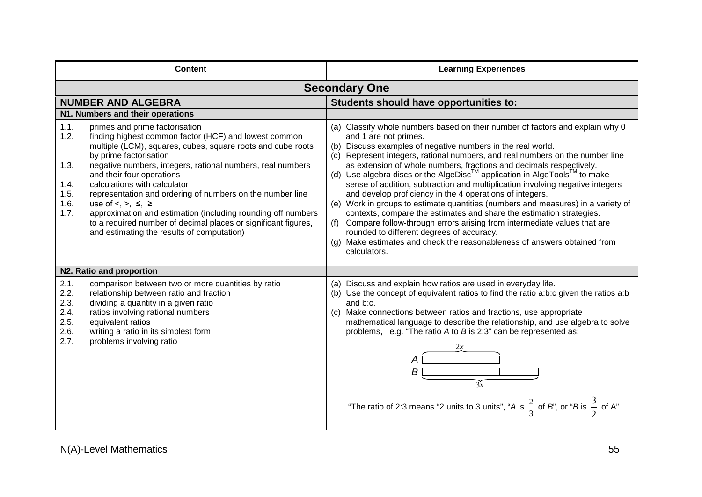| <b>Content</b>                                                                                                                                                                                                                                                                                                                                                                                                                                                                                                                                                                                                                                      | <b>Learning Experiences</b>                                                                                                                                                                                                                                                                                                                                                                                                                                                                                                                                                                                                                                                                                                                                                                                                                                                                                                                |
|-----------------------------------------------------------------------------------------------------------------------------------------------------------------------------------------------------------------------------------------------------------------------------------------------------------------------------------------------------------------------------------------------------------------------------------------------------------------------------------------------------------------------------------------------------------------------------------------------------------------------------------------------------|--------------------------------------------------------------------------------------------------------------------------------------------------------------------------------------------------------------------------------------------------------------------------------------------------------------------------------------------------------------------------------------------------------------------------------------------------------------------------------------------------------------------------------------------------------------------------------------------------------------------------------------------------------------------------------------------------------------------------------------------------------------------------------------------------------------------------------------------------------------------------------------------------------------------------------------------|
|                                                                                                                                                                                                                                                                                                                                                                                                                                                                                                                                                                                                                                                     | <b>Secondary One</b>                                                                                                                                                                                                                                                                                                                                                                                                                                                                                                                                                                                                                                                                                                                                                                                                                                                                                                                       |
| <b>NUMBER AND ALGEBRA</b>                                                                                                                                                                                                                                                                                                                                                                                                                                                                                                                                                                                                                           | Students should have opportunities to:                                                                                                                                                                                                                                                                                                                                                                                                                                                                                                                                                                                                                                                                                                                                                                                                                                                                                                     |
| N1. Numbers and their operations                                                                                                                                                                                                                                                                                                                                                                                                                                                                                                                                                                                                                    |                                                                                                                                                                                                                                                                                                                                                                                                                                                                                                                                                                                                                                                                                                                                                                                                                                                                                                                                            |
| 1.1.<br>primes and prime factorisation<br>1.2.<br>finding highest common factor (HCF) and lowest common<br>multiple (LCM), squares, cubes, square roots and cube roots<br>by prime factorisation<br>1.3.<br>negative numbers, integers, rational numbers, real numbers<br>and their four operations<br>1.4.<br>calculations with calculator<br>1.5.<br>representation and ordering of numbers on the number line<br>1.6.<br>use of $\leq, \geq, \leq, \geq$<br>1.7.<br>approximation and estimation (including rounding off numbers<br>to a required number of decimal places or significant figures,<br>and estimating the results of computation) | (a) Classify whole numbers based on their number of factors and explain why 0<br>and 1 are not primes.<br>(b) Discuss examples of negative numbers in the real world.<br>(c) Represent integers, rational numbers, and real numbers on the number line<br>as extension of whole numbers, fractions and decimals respectively.<br>(d) Use algebra discs or the AlgeDisc™ application in AlgeTools™ to make<br>sense of addition, subtraction and multiplication involving negative integers<br>and develop proficiency in the 4 operations of integers.<br>(e) Work in groups to estimate quantities (numbers and measures) in a variety of<br>contexts, compare the estimates and share the estimation strategies.<br>(f) Compare follow-through errors arising from intermediate values that are<br>rounded to different degrees of accuracy.<br>(g) Make estimates and check the reasonableness of answers obtained from<br>calculators. |
| N2. Ratio and proportion                                                                                                                                                                                                                                                                                                                                                                                                                                                                                                                                                                                                                            |                                                                                                                                                                                                                                                                                                                                                                                                                                                                                                                                                                                                                                                                                                                                                                                                                                                                                                                                            |
| 2.1.<br>comparison between two or more quantities by ratio<br>2.2.<br>relationship between ratio and fraction<br>2.3.<br>dividing a quantity in a given ratio<br>2.4.<br>ratios involving rational numbers<br>2.5.<br>equivalent ratios<br>2.6.<br>writing a ratio in its simplest form<br>2.7.<br>problems involving ratio                                                                                                                                                                                                                                                                                                                         | (a) Discuss and explain how ratios are used in everyday life.<br>(b) Use the concept of equivalent ratios to find the ratio a:b:c given the ratios a:b<br>and b:c.<br>(c) Make connections between ratios and fractions, use appropriate<br>mathematical language to describe the relationship, and use algebra to solve<br>problems, e.g. "The ratio A to B is 2:3" can be represented as:<br>"The ratio of 2:3 means "2 units to 3 units", "A is $\frac{2}{3}$ of B", or "B is $\frac{3}{2}$ of A".                                                                                                                                                                                                                                                                                                                                                                                                                                      |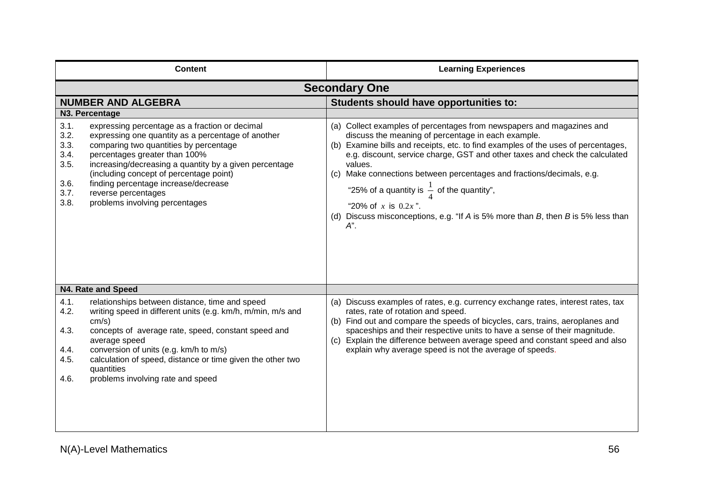| <b>Content</b>                                                                                                                                                                                                                                                                                                                                                                                                                                        | <b>Learning Experiences</b>                                                                                                                                                                                                                                                                                                                                                                                                                                                                                                                                              |
|-------------------------------------------------------------------------------------------------------------------------------------------------------------------------------------------------------------------------------------------------------------------------------------------------------------------------------------------------------------------------------------------------------------------------------------------------------|--------------------------------------------------------------------------------------------------------------------------------------------------------------------------------------------------------------------------------------------------------------------------------------------------------------------------------------------------------------------------------------------------------------------------------------------------------------------------------------------------------------------------------------------------------------------------|
| <b>Secondary One</b>                                                                                                                                                                                                                                                                                                                                                                                                                                  |                                                                                                                                                                                                                                                                                                                                                                                                                                                                                                                                                                          |
| <b>NUMBER AND ALGEBRA</b>                                                                                                                                                                                                                                                                                                                                                                                                                             | Students should have opportunities to:                                                                                                                                                                                                                                                                                                                                                                                                                                                                                                                                   |
| N3. Percentage                                                                                                                                                                                                                                                                                                                                                                                                                                        |                                                                                                                                                                                                                                                                                                                                                                                                                                                                                                                                                                          |
| 3.1.<br>expressing percentage as a fraction or decimal<br>3.2.<br>expressing one quantity as a percentage of another<br>3.3.<br>comparing two quantities by percentage<br>3.4.<br>percentages greater than 100%<br>3.5.<br>increasing/decreasing a quantity by a given percentage<br>(including concept of percentage point)<br>finding percentage increase/decrease<br>3.6.<br>3.7.<br>reverse percentages<br>3.8.<br>problems involving percentages | (a) Collect examples of percentages from newspapers and magazines and<br>discuss the meaning of percentage in each example.<br>(b) Examine bills and receipts, etc. to find examples of the uses of percentages,<br>e.g. discount, service charge, GST and other taxes and check the calculated<br>values.<br>(c) Make connections between percentages and fractions/decimals, e.g.<br>"25% of a quantity is $\frac{1}{4}$ of the quantity",<br>"20% of x is $0.2x$ ".<br>(d) Discuss misconceptions, e.g. "If $A$ is 5% more than $B$ , then $B$ is 5% less than<br>А". |
| N4. Rate and Speed                                                                                                                                                                                                                                                                                                                                                                                                                                    |                                                                                                                                                                                                                                                                                                                                                                                                                                                                                                                                                                          |
| 4.1.<br>relationships between distance, time and speed<br>4.2.<br>writing speed in different units (e.g. km/h, m/min, m/s and<br>cm/s)<br>4.3.<br>concepts of average rate, speed, constant speed and<br>average speed<br>conversion of units (e.g. km/h to m/s)<br>4.4.<br>calculation of speed, distance or time given the other two<br>4.5.<br>quantities<br>problems involving rate and speed<br>4.6.                                             | (a) Discuss examples of rates, e.g. currency exchange rates, interest rates, tax<br>rates, rate of rotation and speed.<br>(b) Find out and compare the speeds of bicycles, cars, trains, aeroplanes and<br>spaceships and their respective units to have a sense of their magnitude.<br>(c) Explain the difference between average speed and constant speed and also<br>explain why average speed is not the average of speeds.                                                                                                                                          |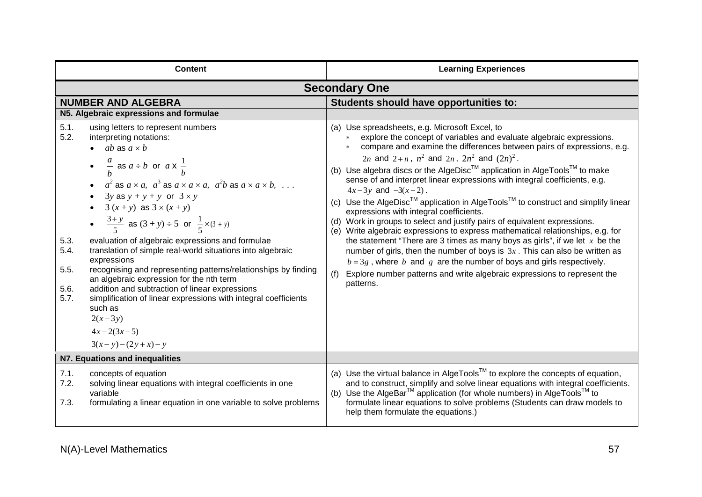| <b>Content</b>                                                                                                                                                                                                                                                                                                                                                                                                                                                                                                                                                                                                                                                                                                                                                                                                                                                                                            | <b>Learning Experiences</b>                                                                                                                                                                                                                                                                                                                                                                                                                                                                                                                                                                                                                                                                                                                                                                                                                                                                                                                                                                                                                                                                                                               |
|-----------------------------------------------------------------------------------------------------------------------------------------------------------------------------------------------------------------------------------------------------------------------------------------------------------------------------------------------------------------------------------------------------------------------------------------------------------------------------------------------------------------------------------------------------------------------------------------------------------------------------------------------------------------------------------------------------------------------------------------------------------------------------------------------------------------------------------------------------------------------------------------------------------|-------------------------------------------------------------------------------------------------------------------------------------------------------------------------------------------------------------------------------------------------------------------------------------------------------------------------------------------------------------------------------------------------------------------------------------------------------------------------------------------------------------------------------------------------------------------------------------------------------------------------------------------------------------------------------------------------------------------------------------------------------------------------------------------------------------------------------------------------------------------------------------------------------------------------------------------------------------------------------------------------------------------------------------------------------------------------------------------------------------------------------------------|
|                                                                                                                                                                                                                                                                                                                                                                                                                                                                                                                                                                                                                                                                                                                                                                                                                                                                                                           | <b>Secondary One</b>                                                                                                                                                                                                                                                                                                                                                                                                                                                                                                                                                                                                                                                                                                                                                                                                                                                                                                                                                                                                                                                                                                                      |
| <b>NUMBER AND ALGEBRA</b>                                                                                                                                                                                                                                                                                                                                                                                                                                                                                                                                                                                                                                                                                                                                                                                                                                                                                 | Students should have opportunities to:                                                                                                                                                                                                                                                                                                                                                                                                                                                                                                                                                                                                                                                                                                                                                                                                                                                                                                                                                                                                                                                                                                    |
| N5. Algebraic expressions and formulae                                                                                                                                                                                                                                                                                                                                                                                                                                                                                                                                                                                                                                                                                                                                                                                                                                                                    |                                                                                                                                                                                                                                                                                                                                                                                                                                                                                                                                                                                                                                                                                                                                                                                                                                                                                                                                                                                                                                                                                                                                           |
| 5.1.<br>using letters to represent numbers<br>5.2.<br>interpreting notations:<br>$\bullet$ ab as $a \times b$<br>• $\frac{a}{b}$ as $a \div b$ or $a \times \frac{1}{b}$<br>• $a^2$ as $a \times a$ , $a^3$ as $a \times a \times a$ , $a^2b$ as $a \times a \times b$ ,<br>$3y$ as $y + y + y$ or $3 \times y$<br>$3(x + y)$ as $3 \times (x + y)$<br>• $\frac{3+y}{5}$ as $(3+y) \div 5$ or $\frac{1}{5} \times (3+y)$<br>5.3.<br>evaluation of algebraic expressions and formulae<br>translation of simple real-world situations into algebraic<br>5.4.<br>expressions<br>5.5.<br>recognising and representing patterns/relationships by finding<br>an algebraic expression for the nth term<br>5.6.<br>addition and subtraction of linear expressions<br>5.7.<br>simplification of linear expressions with integral coefficients<br>such as<br>$2(x-3y)$<br>$4x-2(3x-5)$<br>$3(x - y) - (2y + x) - y$ | (a) Use spreadsheets, e.g. Microsoft Excel, to<br>explore the concept of variables and evaluate algebraic expressions.<br>compare and examine the differences between pairs of expressions, e.g.<br>2 <i>n</i> and 2+ <i>n</i> , $n^2$ and 2 <i>n</i> , $2n^2$ and $(2n)^2$ .<br>(b) Use algebra discs or the AlgeDisc™ application in AlgeTools™ to make<br>sense of and interpret linear expressions with integral coefficients, e.g.<br>$4x-3y$ and $-3(x-2)$ .<br>(c) Use the AlgeDisc <sup>TM</sup> application in AlgeTools <sup>TM</sup> to construct and simplify linear<br>expressions with integral coefficients.<br>(d) Work in groups to select and justify pairs of equivalent expressions.<br>(e) Write algebraic expressions to express mathematical relationships, e.g. for<br>the statement "There are 3 times as many boys as girls", if we let $x$ be the<br>number of girls, then the number of boys is $3x$ . This can also be written as<br>$b = 3g$ , where b and g are the number of boys and girls respectively.<br>Explore number patterns and write algebraic expressions to represent the<br>(f)<br>patterns. |
| N7. Equations and inequalities                                                                                                                                                                                                                                                                                                                                                                                                                                                                                                                                                                                                                                                                                                                                                                                                                                                                            |                                                                                                                                                                                                                                                                                                                                                                                                                                                                                                                                                                                                                                                                                                                                                                                                                                                                                                                                                                                                                                                                                                                                           |
| 7.1.<br>concepts of equation<br>7.2.<br>solving linear equations with integral coefficients in one<br>variable<br>formulating a linear equation in one variable to solve problems<br>7.3.                                                                                                                                                                                                                                                                                                                                                                                                                                                                                                                                                                                                                                                                                                                 | (a) Use the virtual balance in AlgeTools <sup>TM</sup> to explore the concepts of equation,<br>and to construct, simplify and solve linear equations with integral coefficients.<br>(b) Use the AlgeBar <sup>™</sup> application (for whole numbers) in AlgeTools <sup>™</sup> to<br>formulate linear equations to solve problems (Students can draw models to<br>help them formulate the equations.)                                                                                                                                                                                                                                                                                                                                                                                                                                                                                                                                                                                                                                                                                                                                     |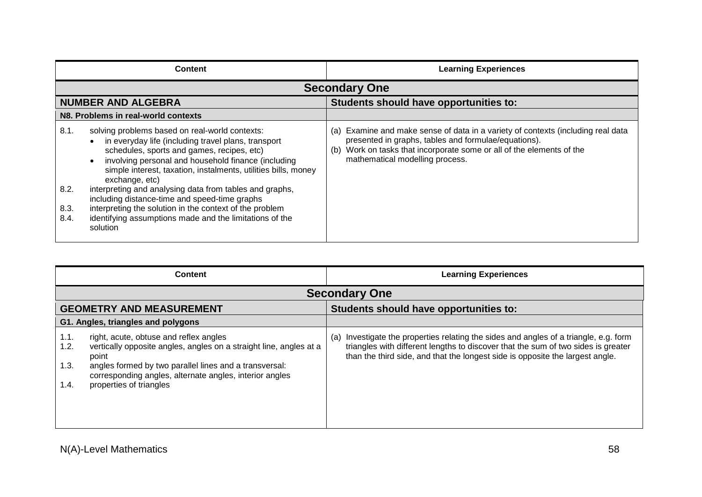|                              | <b>Content</b>                                                                                                                                                                                                                                                                                                                                                                                                                                                                                                                               | <b>Learning Experiences</b>                                                                                                                                                                                                                             |
|------------------------------|----------------------------------------------------------------------------------------------------------------------------------------------------------------------------------------------------------------------------------------------------------------------------------------------------------------------------------------------------------------------------------------------------------------------------------------------------------------------------------------------------------------------------------------------|---------------------------------------------------------------------------------------------------------------------------------------------------------------------------------------------------------------------------------------------------------|
|                              |                                                                                                                                                                                                                                                                                                                                                                                                                                                                                                                                              | <b>Secondary One</b>                                                                                                                                                                                                                                    |
|                              | <b>NUMBER AND ALGEBRA</b>                                                                                                                                                                                                                                                                                                                                                                                                                                                                                                                    | Students should have opportunities to:                                                                                                                                                                                                                  |
|                              | N8. Problems in real-world contexts                                                                                                                                                                                                                                                                                                                                                                                                                                                                                                          |                                                                                                                                                                                                                                                         |
| 8.1.<br>8.2.<br>8.3.<br>8.4. | solving problems based on real-world contexts:<br>in everyday life (including travel plans, transport<br>schedules, sports and games, recipes, etc)<br>involving personal and household finance (including<br>simple interest, taxation, instalments, utilities bills, money<br>exchange, etc)<br>interpreting and analysing data from tables and graphs,<br>including distance-time and speed-time graphs<br>interpreting the solution in the context of the problem<br>identifying assumptions made and the limitations of the<br>solution | (a) Examine and make sense of data in a variety of contexts (including real data<br>presented in graphs, tables and formulae/equations).<br>Work on tasks that incorporate some or all of the elements of the<br>(b)<br>mathematical modelling process. |

| <b>Content</b>                                                                                                                                                                                                                                                                                        | <b>Learning Experiences</b>                                                                                                                                                                                                                                    |
|-------------------------------------------------------------------------------------------------------------------------------------------------------------------------------------------------------------------------------------------------------------------------------------------------------|----------------------------------------------------------------------------------------------------------------------------------------------------------------------------------------------------------------------------------------------------------------|
|                                                                                                                                                                                                                                                                                                       | <b>Secondary One</b>                                                                                                                                                                                                                                           |
| <b>GEOMETRY AND MEASUREMENT</b>                                                                                                                                                                                                                                                                       | Students should have opportunities to:                                                                                                                                                                                                                         |
| G1. Angles, triangles and polygons                                                                                                                                                                                                                                                                    |                                                                                                                                                                                                                                                                |
| right, acute, obtuse and reflex angles<br>1.1.<br>vertically opposite angles, angles on a straight line, angles at a<br>1.2.<br>point<br>1.3.<br>angles formed by two parallel lines and a transversal:<br>corresponding angles, alternate angles, interior angles<br>properties of triangles<br>1.4. | Investigate the properties relating the sides and angles of a triangle, e.g. form<br>(a)<br>triangles with different lengths to discover that the sum of two sides is greater<br>than the third side, and that the longest side is opposite the largest angle. |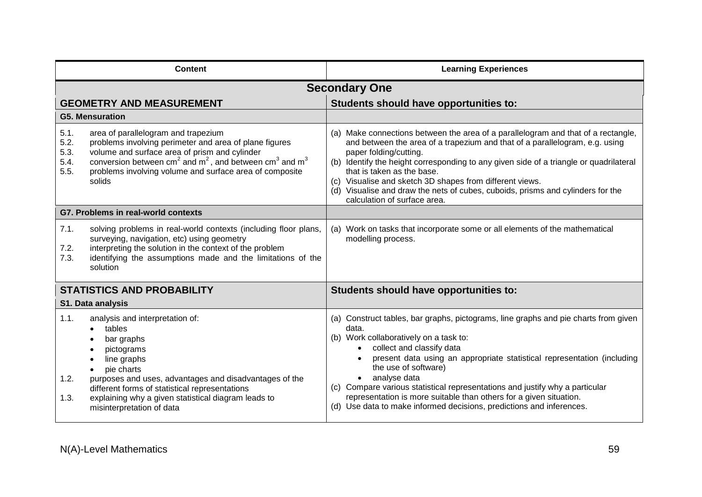| <b>Content</b>                                                                                                                                                                                                                                                                                                                | <b>Learning Experiences</b>                                                                                                                                                                                                                                                                                                                                                                                                                                                                                          |
|-------------------------------------------------------------------------------------------------------------------------------------------------------------------------------------------------------------------------------------------------------------------------------------------------------------------------------|----------------------------------------------------------------------------------------------------------------------------------------------------------------------------------------------------------------------------------------------------------------------------------------------------------------------------------------------------------------------------------------------------------------------------------------------------------------------------------------------------------------------|
|                                                                                                                                                                                                                                                                                                                               | <b>Secondary One</b>                                                                                                                                                                                                                                                                                                                                                                                                                                                                                                 |
| <b>GEOMETRY AND MEASUREMENT</b>                                                                                                                                                                                                                                                                                               | Students should have opportunities to:                                                                                                                                                                                                                                                                                                                                                                                                                                                                               |
| <b>G5. Mensuration</b>                                                                                                                                                                                                                                                                                                        |                                                                                                                                                                                                                                                                                                                                                                                                                                                                                                                      |
| 5.1.<br>area of parallelogram and trapezium<br>5.2.<br>problems involving perimeter and area of plane figures<br>5.3.<br>volume and surface area of prism and cylinder<br>conversion between $cm2$ and $m2$ , and between $cm3$ and $m3$<br>5.4.<br>5.5.<br>problems involving volume and surface area of composite<br>solids | (a) Make connections between the area of a parallelogram and that of a rectangle,<br>and between the area of a trapezium and that of a parallelogram, e.g. using<br>paper folding/cutting.<br>(b) Identify the height corresponding to any given side of a triangle or quadrilateral<br>that is taken as the base.<br>(c) Visualise and sketch 3D shapes from different views.<br>(d) Visualise and draw the nets of cubes, cuboids, prisms and cylinders for the<br>calculation of surface area.                    |
| G7. Problems in real-world contexts                                                                                                                                                                                                                                                                                           |                                                                                                                                                                                                                                                                                                                                                                                                                                                                                                                      |
| 7.1.<br>solving problems in real-world contexts (including floor plans,<br>surveying, navigation, etc) using geometry<br>7.2.<br>interpreting the solution in the context of the problem<br>7.3.<br>identifying the assumptions made and the limitations of the<br>solution                                                   | (a) Work on tasks that incorporate some or all elements of the mathematical<br>modelling process.                                                                                                                                                                                                                                                                                                                                                                                                                    |
| <b>STATISTICS AND PROBABILITY</b>                                                                                                                                                                                                                                                                                             | Students should have opportunities to:                                                                                                                                                                                                                                                                                                                                                                                                                                                                               |
| S1. Data analysis                                                                                                                                                                                                                                                                                                             |                                                                                                                                                                                                                                                                                                                                                                                                                                                                                                                      |
| 1.1.<br>analysis and interpretation of:<br>tables<br>bar graphs<br>pictograms<br>line graphs<br>pie charts<br>1.2.<br>purposes and uses, advantages and disadvantages of the<br>different forms of statistical representations<br>explaining why a given statistical diagram leads to<br>1.3.<br>misinterpretation of data    | (a) Construct tables, bar graphs, pictograms, line graphs and pie charts from given<br>data.<br>(b) Work collaboratively on a task to:<br>collect and classify data<br>present data using an appropriate statistical representation (including<br>the use of software)<br>analyse data<br>(c) Compare various statistical representations and justify why a particular<br>representation is more suitable than others for a given situation.<br>(d) Use data to make informed decisions, predictions and inferences. |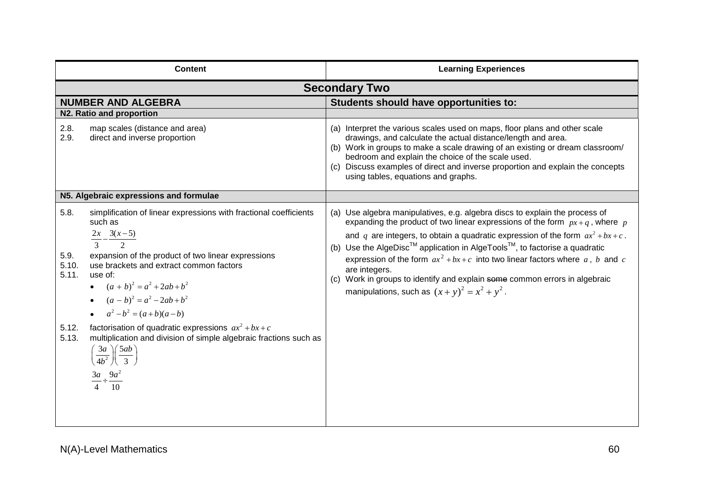| <b>Content</b>                                                                                                                                                                                                                                                                                                                                                  | <b>Learning Experiences</b>                                                                                                                                                                                                                                                                                                                                                                                                                                                                                                                                                                       |
|-----------------------------------------------------------------------------------------------------------------------------------------------------------------------------------------------------------------------------------------------------------------------------------------------------------------------------------------------------------------|---------------------------------------------------------------------------------------------------------------------------------------------------------------------------------------------------------------------------------------------------------------------------------------------------------------------------------------------------------------------------------------------------------------------------------------------------------------------------------------------------------------------------------------------------------------------------------------------------|
| <b>Secondary Two</b>                                                                                                                                                                                                                                                                                                                                            |                                                                                                                                                                                                                                                                                                                                                                                                                                                                                                                                                                                                   |
| <b>NUMBER AND ALGEBRA</b>                                                                                                                                                                                                                                                                                                                                       | Students should have opportunities to:                                                                                                                                                                                                                                                                                                                                                                                                                                                                                                                                                            |
| N2. Ratio and proportion                                                                                                                                                                                                                                                                                                                                        |                                                                                                                                                                                                                                                                                                                                                                                                                                                                                                                                                                                                   |
| 2.8.<br>map scales (distance and area)<br>2.9.<br>direct and inverse proportion                                                                                                                                                                                                                                                                                 | (a) Interpret the various scales used on maps, floor plans and other scale<br>drawings, and calculate the actual distance/length and area.<br>(b) Work in groups to make a scale drawing of an existing or dream classroom/<br>bedroom and explain the choice of the scale used.<br>(c) Discuss examples of direct and inverse proportion and explain the concepts<br>using tables, equations and graphs.                                                                                                                                                                                         |
| N5. Algebraic expressions and formulae                                                                                                                                                                                                                                                                                                                          |                                                                                                                                                                                                                                                                                                                                                                                                                                                                                                                                                                                                   |
| 5.8.<br>simplification of linear expressions with fractional coefficients<br>such as<br>$\frac{2x}{3} - \frac{3(x-5)}{2}$<br>expansion of the product of two linear expressions<br>5.9.<br>5.10.<br>use brackets and extract common factors<br>5.11.<br>use of:<br>• $(a + b)^2 = a^2 + 2ab + b^2$<br>• $(a-b)^2 = a^2 - 2ab + b^2$<br>• $a^2-b^2 = (a+b)(a-b)$ | (a) Use algebra manipulatives, e.g. algebra discs to explain the process of<br>expanding the product of two linear expressions of the form $px + q$ , where p<br>and q are integers, to obtain a quadratic expression of the form $ax^2 + bx + c$ .<br>(b) Use the AlgeDisc <sup>TM</sup> application in AlgeTools <sup>TM</sup> , to factorise a quadratic<br>expression of the form $ax^2 + bx + c$ into two linear factors where a, b and c<br>are integers.<br>(c) Work in groups to identify and explain some common errors in algebraic<br>manipulations, such as $(x + y)^2 = x^2 + y^2$ . |
| factorisation of quadratic expressions $ax^2 + bx + c$<br>5.12.<br>5.13.<br>multiplication and division of simple algebraic fractions such as<br>$\left(\frac{3a}{4b^2}\right)\left(\frac{5ab}{3}\right)$<br>$\frac{3a}{4} \div \frac{9a^2}{4}$                                                                                                                 |                                                                                                                                                                                                                                                                                                                                                                                                                                                                                                                                                                                                   |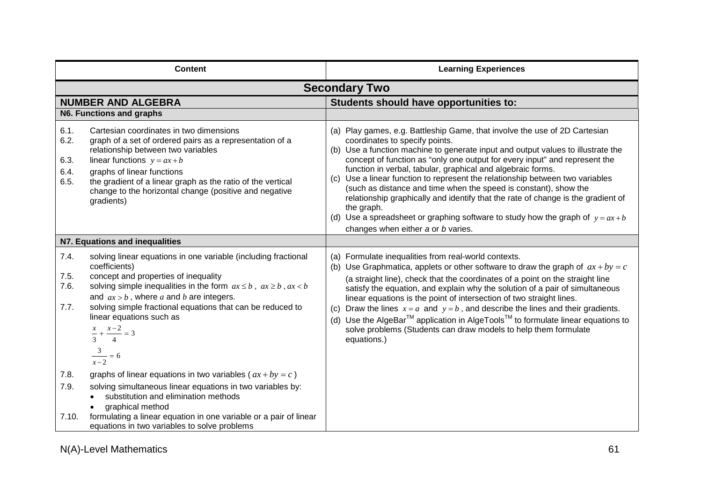|                                      | <b>Content</b>                                                                                                                                                                                                                                                                                                                                                                                              | <b>Learning Experiences</b>                                                                                                                                                                                                                                                                                                                                                                                                                                                                                                                                                                                                                                                                                                     |
|--------------------------------------|-------------------------------------------------------------------------------------------------------------------------------------------------------------------------------------------------------------------------------------------------------------------------------------------------------------------------------------------------------------------------------------------------------------|---------------------------------------------------------------------------------------------------------------------------------------------------------------------------------------------------------------------------------------------------------------------------------------------------------------------------------------------------------------------------------------------------------------------------------------------------------------------------------------------------------------------------------------------------------------------------------------------------------------------------------------------------------------------------------------------------------------------------------|
|                                      | <b>Secondary Two</b>                                                                                                                                                                                                                                                                                                                                                                                        |                                                                                                                                                                                                                                                                                                                                                                                                                                                                                                                                                                                                                                                                                                                                 |
|                                      | <b>NUMBER AND ALGEBRA</b>                                                                                                                                                                                                                                                                                                                                                                                   | Students should have opportunities to:                                                                                                                                                                                                                                                                                                                                                                                                                                                                                                                                                                                                                                                                                          |
|                                      | N6. Functions and graphs                                                                                                                                                                                                                                                                                                                                                                                    |                                                                                                                                                                                                                                                                                                                                                                                                                                                                                                                                                                                                                                                                                                                                 |
| 6.1.<br>6.2.<br>6.3.<br>6.4.<br>6.5. | Cartesian coordinates in two dimensions<br>graph of a set of ordered pairs as a representation of a<br>relationship between two variables<br>linear functions $y = ax + b$<br>graphs of linear functions<br>the gradient of a linear graph as the ratio of the vertical<br>change to the horizontal change (positive and negative<br>gradients)                                                             | (a) Play games, e.g. Battleship Game, that involve the use of 2D Cartesian<br>coordinates to specify points.<br>(b) Use a function machine to generate input and output values to illustrate the<br>concept of function as "only one output for every input" and represent the<br>function in verbal, tabular, graphical and algebraic forms.<br>(c) Use a linear function to represent the relationship between two variables<br>(such as distance and time when the speed is constant), show the<br>relationship graphically and identify that the rate of change is the gradient of<br>the graph.<br>(d) Use a spreadsheet or graphing software to study how the graph of $y = ax + b$<br>changes when either a or b varies. |
|                                      | N7. Equations and inequalities                                                                                                                                                                                                                                                                                                                                                                              |                                                                                                                                                                                                                                                                                                                                                                                                                                                                                                                                                                                                                                                                                                                                 |
| 7.4.<br>7.5.<br>7.6.<br>7.7.         | solving linear equations in one variable (including fractional<br>coefficients)<br>concept and properties of inequality<br>solving simple inequalities in the form $ax \leq b$ , $ax \geq b$ , $ax < b$<br>and $ax > b$ , where a and b are integers.<br>solving simple fractional equations that can be reduced to<br>linear equations such as<br>$\frac{x}{3} + \frac{x-2}{4} = 3$<br>$\frac{3}{x-2} = 6$ | (a) Formulate inequalities from real-world contexts.<br>(b) Use Graphmatica, applets or other software to draw the graph of $ax + by = c$<br>(a straight line), check that the coordinates of a point on the straight line<br>satisfy the equation, and explain why the solution of a pair of simultaneous<br>linear equations is the point of intersection of two straight lines.<br>(c) Draw the lines $x = a$ and $y = b$ , and describe the lines and their gradients.<br>(d) Use the AlgeBar <sup>™</sup> application in AlgeTools <sup>™</sup> to formulate linear equations to<br>solve problems (Students can draw models to help them formulate<br>equations.)                                                         |
| 7.8.<br>7.9.<br>7.10.                | graphs of linear equations in two variables ( $ax + by = c$ )<br>solving simultaneous linear equations in two variables by:<br>substitution and elimination methods<br>graphical method<br>formulating a linear equation in one variable or a pair of linear<br>equations in two variables to solve problems                                                                                                |                                                                                                                                                                                                                                                                                                                                                                                                                                                                                                                                                                                                                                                                                                                                 |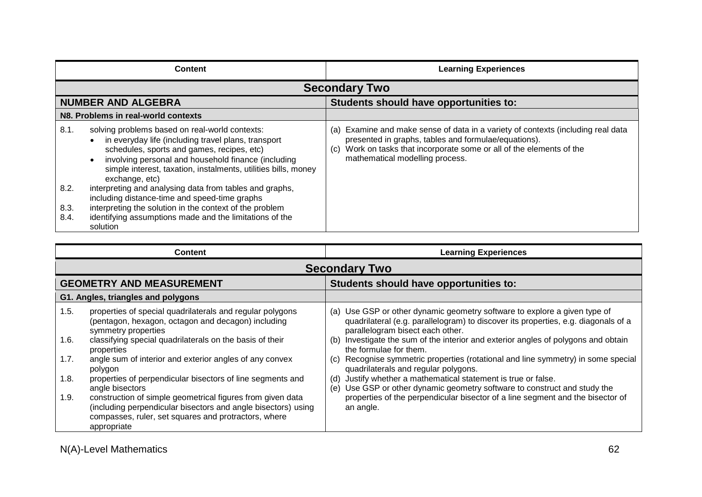|              | <b>Content</b>                                                                                                                                                                                                                                                                                 | <b>Learning Experiences</b>                                                                                                                                                                                                                              |
|--------------|------------------------------------------------------------------------------------------------------------------------------------------------------------------------------------------------------------------------------------------------------------------------------------------------|----------------------------------------------------------------------------------------------------------------------------------------------------------------------------------------------------------------------------------------------------------|
|              | <b>Secondary Two</b>                                                                                                                                                                                                                                                                           |                                                                                                                                                                                                                                                          |
|              | <b>NUMBER AND ALGEBRA</b>                                                                                                                                                                                                                                                                      | Students should have opportunities to:                                                                                                                                                                                                                   |
|              | N8. Problems in real-world contexts                                                                                                                                                                                                                                                            |                                                                                                                                                                                                                                                          |
| 8.1.         | solving problems based on real-world contexts:<br>in everyday life (including travel plans, transport<br>schedules, sports and games, recipes, etc)<br>involving personal and household finance (including<br>simple interest, taxation, instalments, utilities bills, money<br>exchange, etc) | (a) Examine and make sense of data in a variety of contexts (including real data<br>presented in graphs, tables and formulae/equations).<br>Work on tasks that incorporate some or all of the elements of the<br>(c).<br>mathematical modelling process. |
| 8.2.         | interpreting and analysing data from tables and graphs,<br>including distance-time and speed-time graphs                                                                                                                                                                                       |                                                                                                                                                                                                                                                          |
| 8.3.<br>8.4. | interpreting the solution in the context of the problem<br>identifying assumptions made and the limitations of the<br>solution                                                                                                                                                                 |                                                                                                                                                                                                                                                          |

| <b>Content</b>                                                                                                                                                                                                                                                                                                                                                                                                                                                                                                                                                                                                        | <b>Learning Experiences</b>                                                                                                                                                                                                                                                                                                                                                                                                                                                                                                                                                                                                                                                                             |
|-----------------------------------------------------------------------------------------------------------------------------------------------------------------------------------------------------------------------------------------------------------------------------------------------------------------------------------------------------------------------------------------------------------------------------------------------------------------------------------------------------------------------------------------------------------------------------------------------------------------------|---------------------------------------------------------------------------------------------------------------------------------------------------------------------------------------------------------------------------------------------------------------------------------------------------------------------------------------------------------------------------------------------------------------------------------------------------------------------------------------------------------------------------------------------------------------------------------------------------------------------------------------------------------------------------------------------------------|
| <b>Secondary Two</b>                                                                                                                                                                                                                                                                                                                                                                                                                                                                                                                                                                                                  |                                                                                                                                                                                                                                                                                                                                                                                                                                                                                                                                                                                                                                                                                                         |
| <b>GEOMETRY AND MEASUREMENT</b>                                                                                                                                                                                                                                                                                                                                                                                                                                                                                                                                                                                       | Students should have opportunities to:                                                                                                                                                                                                                                                                                                                                                                                                                                                                                                                                                                                                                                                                  |
| G1. Angles, triangles and polygons                                                                                                                                                                                                                                                                                                                                                                                                                                                                                                                                                                                    |                                                                                                                                                                                                                                                                                                                                                                                                                                                                                                                                                                                                                                                                                                         |
| 1.5.<br>properties of special quadrilaterals and regular polygons<br>(pentagon, hexagon, octagon and decagon) including<br>symmetry properties<br>classifying special quadrilaterals on the basis of their<br>1.6.<br>properties<br>angle sum of interior and exterior angles of any convex<br>1.7.<br>polygon<br>1.8.<br>properties of perpendicular bisectors of line segments and<br>angle bisectors<br>1.9.<br>construction of simple geometrical figures from given data<br>(including perpendicular bisectors and angle bisectors) using<br>compasses, ruler, set squares and protractors, where<br>appropriate | (a) Use GSP or other dynamic geometry software to explore a given type of<br>quadrilateral (e.g. parallelogram) to discover its properties, e.g. diagonals of a<br>parallelogram bisect each other.<br>Investigate the sum of the interior and exterior angles of polygons and obtain<br>(b)<br>the formulae for them.<br>Recognise symmetric properties (rotational and line symmetry) in some special<br>(C)<br>quadrilaterals and regular polygons.<br>Justify whether a mathematical statement is true or false.<br>(d)<br>(e) Use GSP or other dynamic geometry software to construct and study the<br>properties of the perpendicular bisector of a line segment and the bisector of<br>an angle. |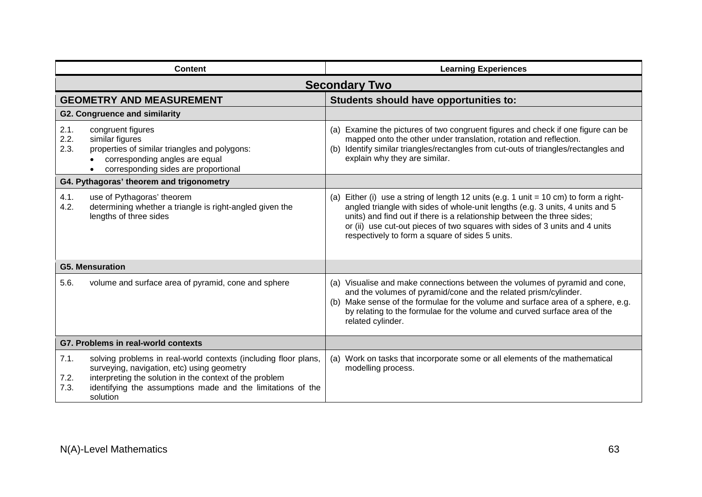|                      | <b>Content</b>                                                                                                                                                                                                                                      | <b>Learning Experiences</b>                                                                                                                                                                                                                                                                                                                                                           |
|----------------------|-----------------------------------------------------------------------------------------------------------------------------------------------------------------------------------------------------------------------------------------------------|---------------------------------------------------------------------------------------------------------------------------------------------------------------------------------------------------------------------------------------------------------------------------------------------------------------------------------------------------------------------------------------|
| <b>Secondary Two</b> |                                                                                                                                                                                                                                                     |                                                                                                                                                                                                                                                                                                                                                                                       |
|                      | <b>GEOMETRY AND MEASUREMENT</b>                                                                                                                                                                                                                     | Students should have opportunities to:                                                                                                                                                                                                                                                                                                                                                |
|                      | <b>G2. Congruence and similarity</b>                                                                                                                                                                                                                |                                                                                                                                                                                                                                                                                                                                                                                       |
| 2.1.<br>2.2.<br>2.3. | congruent figures<br>similar figures<br>properties of similar triangles and polygons:<br>corresponding angles are equal<br>corresponding sides are proportional                                                                                     | (a) Examine the pictures of two congruent figures and check if one figure can be<br>mapped onto the other under translation, rotation and reflection.<br>(b) Identify similar triangles/rectangles from cut-outs of triangles/rectangles and<br>explain why they are similar.                                                                                                         |
|                      | G4. Pythagoras' theorem and trigonometry                                                                                                                                                                                                            |                                                                                                                                                                                                                                                                                                                                                                                       |
| 4.1.<br>4.2.         | use of Pythagoras' theorem<br>determining whether a triangle is right-angled given the<br>lengths of three sides                                                                                                                                    | (a) Either (i) use a string of length 12 units (e.g. 1 unit $= 10$ cm) to form a right-<br>angled triangle with sides of whole-unit lengths (e.g. 3 units, 4 units and 5<br>units) and find out if there is a relationship between the three sides;<br>or (ii) use cut-out pieces of two squares with sides of 3 units and 4 units<br>respectively to form a square of sides 5 units. |
|                      | <b>G5. Mensuration</b>                                                                                                                                                                                                                              |                                                                                                                                                                                                                                                                                                                                                                                       |
| 5.6.                 | volume and surface area of pyramid, cone and sphere                                                                                                                                                                                                 | (a) Visualise and make connections between the volumes of pyramid and cone,<br>and the volumes of pyramid/cone and the related prism/cylinder.<br>(b) Make sense of the formulae for the volume and surface area of a sphere, e.g.<br>by relating to the formulae for the volume and curved surface area of the<br>related cylinder.                                                  |
|                      | G7. Problems in real-world contexts                                                                                                                                                                                                                 |                                                                                                                                                                                                                                                                                                                                                                                       |
| 7.1.<br>7.2.<br>7.3. | solving problems in real-world contexts (including floor plans,<br>surveying, navigation, etc) using geometry<br>interpreting the solution in the context of the problem<br>identifying the assumptions made and the limitations of the<br>solution | (a) Work on tasks that incorporate some or all elements of the mathematical<br>modelling process.                                                                                                                                                                                                                                                                                     |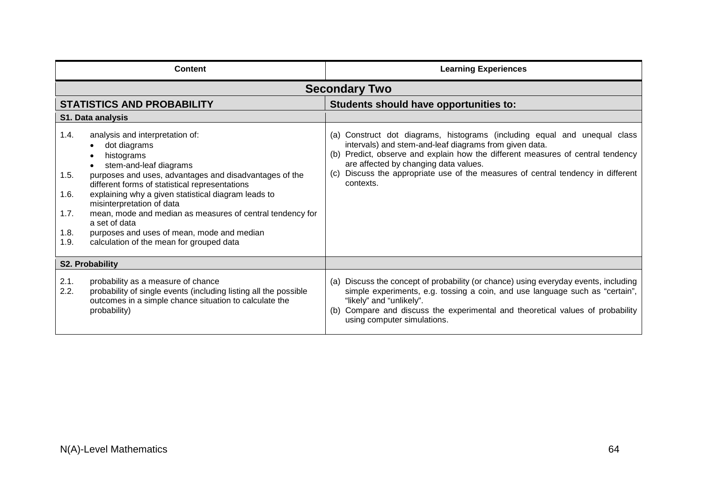|                                              | <b>Content</b>                                                                                                                                                                                                                                                                                                                                                                                                                                                  | <b>Learning Experiences</b>                                                                                                                                                                                                                                                                                                                                      |
|----------------------------------------------|-----------------------------------------------------------------------------------------------------------------------------------------------------------------------------------------------------------------------------------------------------------------------------------------------------------------------------------------------------------------------------------------------------------------------------------------------------------------|------------------------------------------------------------------------------------------------------------------------------------------------------------------------------------------------------------------------------------------------------------------------------------------------------------------------------------------------------------------|
|                                              |                                                                                                                                                                                                                                                                                                                                                                                                                                                                 | <b>Secondary Two</b>                                                                                                                                                                                                                                                                                                                                             |
|                                              | <b>STATISTICS AND PROBABILITY</b>                                                                                                                                                                                                                                                                                                                                                                                                                               | Students should have opportunities to:                                                                                                                                                                                                                                                                                                                           |
|                                              | S1. Data analysis                                                                                                                                                                                                                                                                                                                                                                                                                                               |                                                                                                                                                                                                                                                                                                                                                                  |
| 1.4.<br>1.5.<br>1.6.<br>1.7.<br>1.8.<br>1.9. | analysis and interpretation of:<br>dot diagrams<br>histograms<br>stem-and-leaf diagrams<br>purposes and uses, advantages and disadvantages of the<br>different forms of statistical representations<br>explaining why a given statistical diagram leads to<br>misinterpretation of data<br>mean, mode and median as measures of central tendency for<br>a set of data<br>purposes and uses of mean, mode and median<br>calculation of the mean for grouped data | (a) Construct dot diagrams, histograms (including equal and unequal class<br>intervals) and stem-and-leaf diagrams from given data.<br>(b) Predict, observe and explain how the different measures of central tendency<br>are affected by changing data values.<br>(c) Discuss the appropriate use of the measures of central tendency in different<br>contexts. |
|                                              | S2. Probability                                                                                                                                                                                                                                                                                                                                                                                                                                                 |                                                                                                                                                                                                                                                                                                                                                                  |
| 2.1.<br>2.2.                                 | probability as a measure of chance<br>probability of single events (including listing all the possible<br>outcomes in a simple chance situation to calculate the<br>probability)                                                                                                                                                                                                                                                                                | (a) Discuss the concept of probability (or chance) using everyday events, including<br>simple experiments, e.g. tossing a coin, and use language such as "certain",<br>"likely" and "unlikely".<br>(b) Compare and discuss the experimental and theoretical values of probability<br>using computer simulations.                                                 |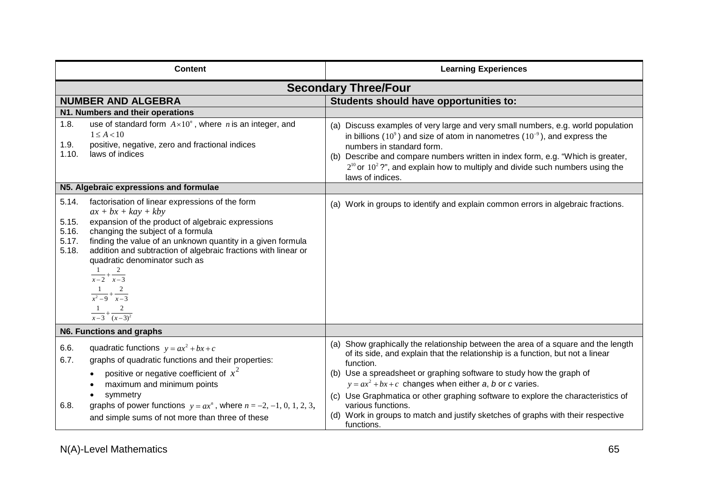|                                           | <b>Content</b>                                                                                                                                                                                                                                                                                                                                                                                                                                    | <b>Learning Experiences</b>                                                                                                                                                                                                                                                                                                                                                                                                                                                                                                       |
|-------------------------------------------|---------------------------------------------------------------------------------------------------------------------------------------------------------------------------------------------------------------------------------------------------------------------------------------------------------------------------------------------------------------------------------------------------------------------------------------------------|-----------------------------------------------------------------------------------------------------------------------------------------------------------------------------------------------------------------------------------------------------------------------------------------------------------------------------------------------------------------------------------------------------------------------------------------------------------------------------------------------------------------------------------|
|                                           |                                                                                                                                                                                                                                                                                                                                                                                                                                                   | <b>Secondary Three/Four</b>                                                                                                                                                                                                                                                                                                                                                                                                                                                                                                       |
|                                           | <b>NUMBER AND ALGEBRA</b>                                                                                                                                                                                                                                                                                                                                                                                                                         | Students should have opportunities to:                                                                                                                                                                                                                                                                                                                                                                                                                                                                                            |
|                                           | N1. Numbers and their operations                                                                                                                                                                                                                                                                                                                                                                                                                  |                                                                                                                                                                                                                                                                                                                                                                                                                                                                                                                                   |
| 1.8.<br>1.9.<br>1.10.                     | use of standard form $A \times 10^n$ , where <i>n</i> is an integer, and<br>$1 \leq A < 10$<br>positive, negative, zero and fractional indices<br>laws of indices                                                                                                                                                                                                                                                                                 | (a) Discuss examples of very large and very small numbers, e.g. world population<br>in billions (10 <sup>9</sup> ) and size of atom in nanometres ( $10^{-9}$ ), and express the<br>numbers in standard form.<br>(b) Describe and compare numbers written in index form, e.g. "Which is greater,<br>$2^{10}$ or $10^2$ ?", and explain how to multiply and divide such numbers using the<br>laws of indices.                                                                                                                      |
|                                           | N5. Algebraic expressions and formulae                                                                                                                                                                                                                                                                                                                                                                                                            |                                                                                                                                                                                                                                                                                                                                                                                                                                                                                                                                   |
| 5.14.<br>5.15.<br>5.16.<br>5.17.<br>5.18. | factorisation of linear expressions of the form<br>$ax + bx + kay + kby$<br>expansion of the product of algebraic expressions<br>changing the subject of a formula<br>finding the value of an unknown quantity in a given formula<br>addition and subtraction of algebraic fractions with linear or<br>quadratic denominator such as<br>$\frac{1}{x-2}+\frac{2}{x-3}$<br>$\frac{1}{x^2-9} + \frac{2}{x-3}$<br>$\frac{1}{x-3} + \frac{2}{(x-3)^2}$ | (a) Work in groups to identify and explain common errors in algebraic fractions.                                                                                                                                                                                                                                                                                                                                                                                                                                                  |
|                                           | N6. Functions and graphs                                                                                                                                                                                                                                                                                                                                                                                                                          |                                                                                                                                                                                                                                                                                                                                                                                                                                                                                                                                   |
| 6.6.<br>6.7.<br>6.8.                      | quadratic functions $y = ax^2 + bx + c$<br>graphs of quadratic functions and their properties:<br>positive or negative coefficient of $x^2$<br>maximum and minimum points<br>symmetry<br>graphs of power functions $y = ax^n$ , where $n = -2, -1, 0, 1, 2, 3,$<br>and simple sums of not more than three of these                                                                                                                                | (a) Show graphically the relationship between the area of a square and the length<br>of its side, and explain that the relationship is a function, but not a linear<br>function.<br>(b) Use a spreadsheet or graphing software to study how the graph of<br>$y = ax^2 + bx + c$ changes when either a, b or c varies.<br>(c) Use Graphmatica or other graphing software to explore the characteristics of<br>various functions.<br>(d) Work in groups to match and justify sketches of graphs with their respective<br>functions. |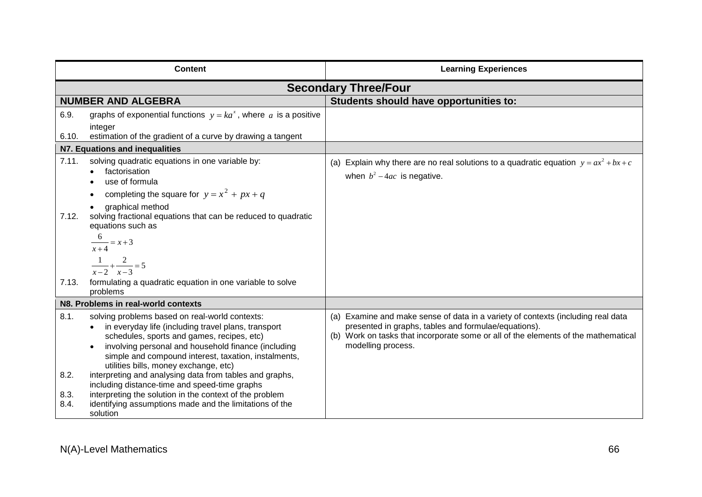| <b>Content</b>                 |                                                                                                                                                                                                                                                                                                                                                                                                                                                                                                                                                           | <b>Learning Experiences</b>                                                                                                                                                                                                                          |  |
|--------------------------------|-----------------------------------------------------------------------------------------------------------------------------------------------------------------------------------------------------------------------------------------------------------------------------------------------------------------------------------------------------------------------------------------------------------------------------------------------------------------------------------------------------------------------------------------------------------|------------------------------------------------------------------------------------------------------------------------------------------------------------------------------------------------------------------------------------------------------|--|
| <b>Secondary Three/Four</b>    |                                                                                                                                                                                                                                                                                                                                                                                                                                                                                                                                                           |                                                                                                                                                                                                                                                      |  |
|                                | <b>NUMBER AND ALGEBRA</b>                                                                                                                                                                                                                                                                                                                                                                                                                                                                                                                                 | Students should have opportunities to:                                                                                                                                                                                                               |  |
| 6.9.<br>6.10.                  | graphs of exponential functions $y = ka^x$ , where a is a positive<br>integer<br>estimation of the gradient of a curve by drawing a tangent                                                                                                                                                                                                                                                                                                                                                                                                               |                                                                                                                                                                                                                                                      |  |
| N7. Equations and inequalities |                                                                                                                                                                                                                                                                                                                                                                                                                                                                                                                                                           |                                                                                                                                                                                                                                                      |  |
| 7.11.<br>7.12.<br>7.13.        | solving quadratic equations in one variable by:<br>factorisation<br>$\bullet$<br>use of formula<br>completing the square for $y = x^2 + px + q$<br>graphical method<br>solving fractional equations that can be reduced to quadratic<br>equations such as<br>$\frac{6}{x+4} = x+3$<br>$\frac{1}{x-2} + \frac{2}{x-3} = 5$<br>formulating a quadratic equation in one variable to solve<br>problems                                                                                                                                                        | (a) Explain why there are no real solutions to a quadratic equation $y = ax^2 + bx + c$<br>when $b^2-4ac$ is negative.                                                                                                                               |  |
|                                | N8. Problems in real-world contexts                                                                                                                                                                                                                                                                                                                                                                                                                                                                                                                       |                                                                                                                                                                                                                                                      |  |
| 8.1.<br>8.2.<br>8.3.<br>8.4.   | solving problems based on real-world contexts:<br>in everyday life (including travel plans, transport<br>schedules, sports and games, recipes, etc)<br>involving personal and household finance (including<br>simple and compound interest, taxation, instalments,<br>utilities bills, money exchange, etc)<br>interpreting and analysing data from tables and graphs,<br>including distance-time and speed-time graphs<br>interpreting the solution in the context of the problem<br>identifying assumptions made and the limitations of the<br>solution | (a) Examine and make sense of data in a variety of contexts (including real data<br>presented in graphs, tables and formulae/equations).<br>(b) Work on tasks that incorporate some or all of the elements of the mathematical<br>modelling process. |  |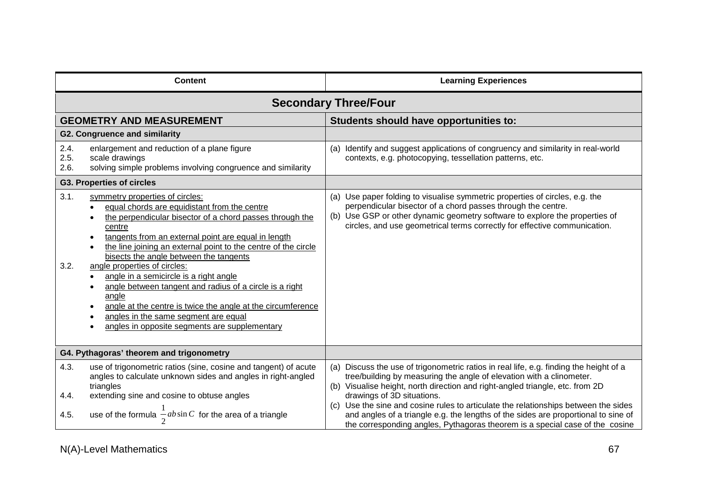| <b>Content</b>                                                                                                                                                                                                                                                                                                                                                                                                                                                                                                                                                                                                                                 | <b>Learning Experiences</b>                                                                                                                                                                                                                                                                                                                                             |  |  |  |
|------------------------------------------------------------------------------------------------------------------------------------------------------------------------------------------------------------------------------------------------------------------------------------------------------------------------------------------------------------------------------------------------------------------------------------------------------------------------------------------------------------------------------------------------------------------------------------------------------------------------------------------------|-------------------------------------------------------------------------------------------------------------------------------------------------------------------------------------------------------------------------------------------------------------------------------------------------------------------------------------------------------------------------|--|--|--|
| <b>Secondary Three/Four</b>                                                                                                                                                                                                                                                                                                                                                                                                                                                                                                                                                                                                                    |                                                                                                                                                                                                                                                                                                                                                                         |  |  |  |
| <b>GEOMETRY AND MEASUREMENT</b>                                                                                                                                                                                                                                                                                                                                                                                                                                                                                                                                                                                                                | Students should have opportunities to:                                                                                                                                                                                                                                                                                                                                  |  |  |  |
| <b>G2. Congruence and similarity</b>                                                                                                                                                                                                                                                                                                                                                                                                                                                                                                                                                                                                           |                                                                                                                                                                                                                                                                                                                                                                         |  |  |  |
| 2.4.<br>enlargement and reduction of a plane figure<br>2.5.<br>scale drawings<br>2.6.<br>solving simple problems involving congruence and similarity                                                                                                                                                                                                                                                                                                                                                                                                                                                                                           | (a) Identify and suggest applications of congruency and similarity in real-world<br>contexts, e.g. photocopying, tessellation patterns, etc.                                                                                                                                                                                                                            |  |  |  |
| <b>G3. Properties of circles</b>                                                                                                                                                                                                                                                                                                                                                                                                                                                                                                                                                                                                               |                                                                                                                                                                                                                                                                                                                                                                         |  |  |  |
| 3.1.<br>symmetry properties of circles:<br>equal chords are equidistant from the centre<br>the perpendicular bisector of a chord passes through the<br>centre<br>tangents from an external point are equal in length<br>the line joining an external point to the centre of the circle<br>bisects the angle between the tangents<br>3.2.<br>angle properties of circles:<br>angle in a semicircle is a right angle<br>angle between tangent and radius of a circle is a right<br>angle<br>angle at the centre is twice the angle at the circumference<br>angles in the same segment are equal<br>angles in opposite segments are supplementary | (a) Use paper folding to visualise symmetric properties of circles, e.g. the<br>perpendicular bisector of a chord passes through the centre.<br>(b) Use GSP or other dynamic geometry software to explore the properties of<br>circles, and use geometrical terms correctly for effective communication.                                                                |  |  |  |
| G4. Pythagoras' theorem and trigonometry                                                                                                                                                                                                                                                                                                                                                                                                                                                                                                                                                                                                       |                                                                                                                                                                                                                                                                                                                                                                         |  |  |  |
| 4.3.<br>use of trigonometric ratios (sine, cosine and tangent) of acute<br>angles to calculate unknown sides and angles in right-angled<br>triangles<br>4.4.<br>extending sine and cosine to obtuse angles                                                                                                                                                                                                                                                                                                                                                                                                                                     | Discuss the use of trigonometric ratios in real life, e.g. finding the height of a<br>(a)<br>tree/building by measuring the angle of elevation with a clinometer.<br>(b) Visualise height, north direction and right-angled triangle, etc. from 2D<br>drawings of 3D situations.<br>(c) Use the sine and cosine rules to articulate the relationships between the sides |  |  |  |
| use of the formula $\frac{-}{2}ab\sin C$ for the area of a triangle<br>4.5.                                                                                                                                                                                                                                                                                                                                                                                                                                                                                                                                                                    | and angles of a triangle e.g. the lengths of the sides are proportional to sine of<br>the corresponding angles, Pythagoras theorem is a special case of the cosine                                                                                                                                                                                                      |  |  |  |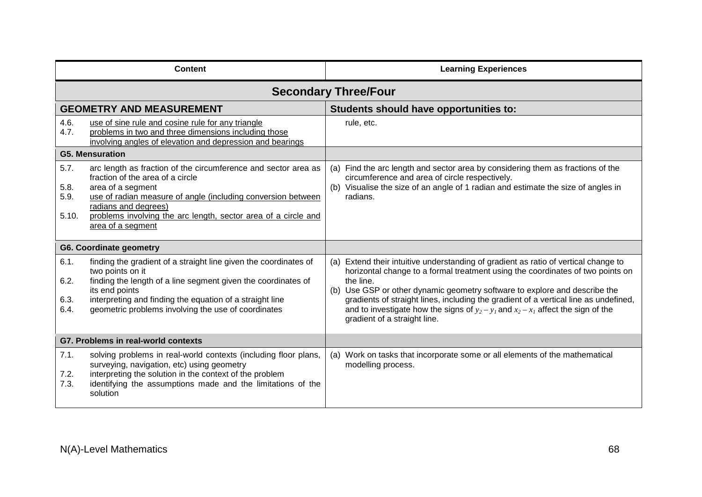| <b>Content</b>                      |                                                                                                                                                                                                                                                                                                        | <b>Learning Experiences</b>                                                                                                                                                                                                                                                                                                                                                                                                                                                        |  |
|-------------------------------------|--------------------------------------------------------------------------------------------------------------------------------------------------------------------------------------------------------------------------------------------------------------------------------------------------------|------------------------------------------------------------------------------------------------------------------------------------------------------------------------------------------------------------------------------------------------------------------------------------------------------------------------------------------------------------------------------------------------------------------------------------------------------------------------------------|--|
| <b>Secondary Three/Four</b>         |                                                                                                                                                                                                                                                                                                        |                                                                                                                                                                                                                                                                                                                                                                                                                                                                                    |  |
| <b>GEOMETRY AND MEASUREMENT</b>     |                                                                                                                                                                                                                                                                                                        | Students should have opportunities to:                                                                                                                                                                                                                                                                                                                                                                                                                                             |  |
| 4.6.<br>4.7.                        | use of sine rule and cosine rule for any triangle<br>problems in two and three dimensions including those<br>involving angles of elevation and depression and bearings                                                                                                                                 | rule, etc.                                                                                                                                                                                                                                                                                                                                                                                                                                                                         |  |
| <b>G5. Mensuration</b>              |                                                                                                                                                                                                                                                                                                        |                                                                                                                                                                                                                                                                                                                                                                                                                                                                                    |  |
| 5.7.<br>5.8.<br>5.9.<br>5.10.       | arc length as fraction of the circumference and sector area as<br>fraction of the area of a circle<br>area of a segment<br>use of radian measure of angle (including conversion between<br>radians and degrees)<br>problems involving the arc length, sector area of a circle and<br>area of a segment | (a) Find the arc length and sector area by considering them as fractions of the<br>circumference and area of circle respectively.<br>(b) Visualise the size of an angle of 1 radian and estimate the size of angles in<br>radians.                                                                                                                                                                                                                                                 |  |
| <b>G6. Coordinate geometry</b>      |                                                                                                                                                                                                                                                                                                        |                                                                                                                                                                                                                                                                                                                                                                                                                                                                                    |  |
| 6.1.<br>6.2.<br>6.3.<br>6.4.        | finding the gradient of a straight line given the coordinates of<br>two points on it<br>finding the length of a line segment given the coordinates of<br>its end points<br>interpreting and finding the equation of a straight line<br>geometric problems involving the use of coordinates             | (a) Extend their intuitive understanding of gradient as ratio of vertical change to<br>horizontal change to a formal treatment using the coordinates of two points on<br>the line.<br>(b) Use GSP or other dynamic geometry software to explore and describe the<br>gradients of straight lines, including the gradient of a vertical line as undefined,<br>and to investigate how the signs of $y_2 - y_1$ and $x_2 - x_1$ affect the sign of the<br>gradient of a straight line. |  |
| G7. Problems in real-world contexts |                                                                                                                                                                                                                                                                                                        |                                                                                                                                                                                                                                                                                                                                                                                                                                                                                    |  |
| 7.1.<br>7.2.<br>7.3.                | solving problems in real-world contexts (including floor plans,<br>surveying, navigation, etc) using geometry<br>interpreting the solution in the context of the problem<br>identifying the assumptions made and the limitations of the<br>solution                                                    | (a) Work on tasks that incorporate some or all elements of the mathematical<br>modelling process.                                                                                                                                                                                                                                                                                                                                                                                  |  |